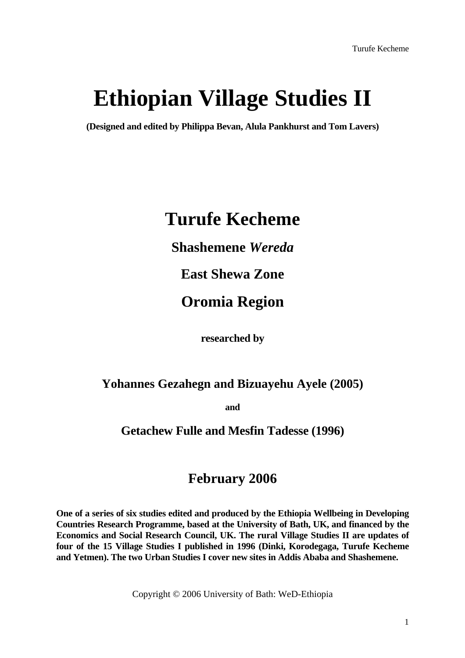# **Ethiopian Village Studies II**

**(Designed and edited by Philippa Bevan, Alula Pankhurst and Tom Lavers)** 

# **Turufe Kecheme**

**Shashemene** *Wereda*

**East Shewa Zone** 

# **Oromia Region**

 **researched by**

# **Yohannes Gezahegn and Bizuayehu Ayele (2005)**

**and** 

### **Getachew Fulle and Mesfin Tadesse (1996)**

# **February 2006**

**One of a series of six studies edited and produced by the Ethiopia Wellbeing in Developing Countries Research Programme, based at the University of Bath, UK, and financed by the Economics and Social Research Council, UK. The rural Village Studies II are updates of four of the 15 Village Studies I published in 1996 (Dinki, Korodegaga, Turufe Kecheme and Yetmen). The two Urban Studies I cover new sites in Addis Ababa and Shashemene.** 

Copyright © 2006 University of Bath: WeD-Ethiopia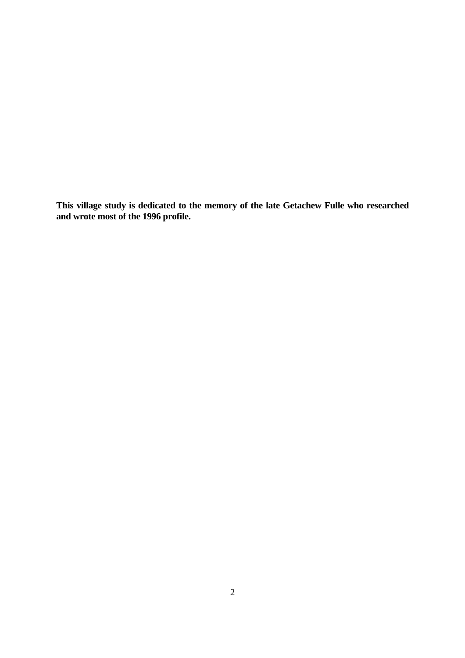**This village study is dedicated to the memory of the late Getachew Fulle who researched and wrote most of the 1996 profile.**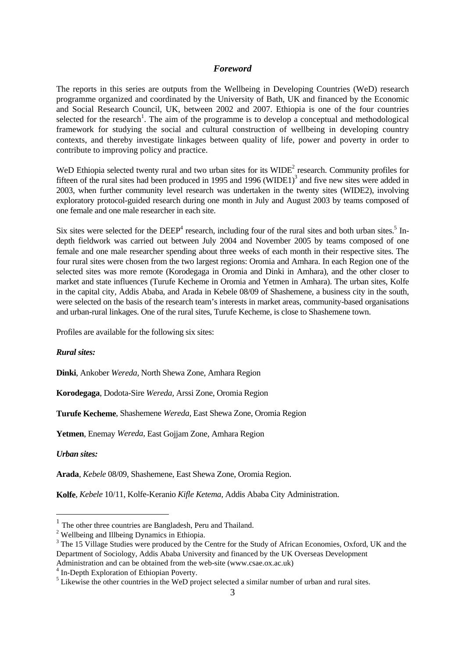#### *Foreword*

The reports in this series are outputs from the Wellbeing in Developing Countries (WeD) research programme organized and coordinated by the University of Bath, UK and financed by the Economic and Social Research Council, UK, between 2002 and 2007. Ethiopia is one of the four countries selected for the research<sup>[1](#page-2-0)</sup>. The aim of the programme is to develop a conceptual and methodological framework for studying the social and cultural construction of wellbeing in developing country contexts, and thereby investigate linkages between quality of life, power and poverty in order to contribute to improving policy and practice.

WeD Ethiopia selected twenty rural and two urban sites for its  $WIDE<sup>2</sup>$  $WIDE<sup>2</sup>$  $WIDE<sup>2</sup>$  research. Community profiles for fifteen of the rural sites had been produced in 1995 and 1996 (WIDE1)<sup>3</sup> and five new sites were added in 2003, when further community level research was undertaken in the twenty sites (WIDE2), involving exploratory protocol-guided research during one month in July and August 2003 by teams composed of one female and one male researcher in each site.

Six sites were selected for the DEEP<sup>[4](#page-2-3)</sup> research, including four of the rural sites and both urban sites.<sup>[5](#page-2-4)</sup> Indepth fieldwork was carried out between July 2004 and November 2005 by teams composed of one female and one male researcher spending about three weeks of each month in their respective sites. The four rural sites were chosen from the two largest regions: Oromia and Amhara. In each Region one of the selected sites was more remote (Korodegaga in Oromia and Dinki in Amhara), and the other closer to market and state influences (Turufe Kecheme in Oromia and Yetmen in Amhara). The urban sites, Kolfe in the capital city, Addis Ababa, and Arada in Kebele 08/09 of Shashemene, a business city in the south, were selected on the basis of the research team's interests in market areas, community-based organisations and urban-rural linkages. One of the rural sites, Turufe Kecheme, is close to Shashemene town.

Profiles are available for the following six sites:

#### *Rural sites:*

**Dinki**, Ankober *Wereda,* North Shewa Zone, Amhara Region

**Korodegaga**, Dodota-Sire *Wereda,* Arssi Zone, Oromia Region

**Turufe Kecheme**, Shashemene *Wereda,* East Shewa Zone, Oromia Region

**Yetmen**, Enemay *Wereda,* East Gojjam Zone, Amhara Region

*Urban sites:* 

i

**Arada**, *Kebele* 08/09, Shashemene, East Shewa Zone, Oromia Region.

**Kolfe**, *Kebele* 10/11, Kolfe-Keranio *Kifle Ketema,* Addis Ababa City Administration.

<span id="page-2-0"></span> $1$  The other three countries are Bangladesh, Peru and Thailand.

<span id="page-2-1"></span> $2$  Wellbeing and Illbeing Dynamics in Ethiopia.

<span id="page-2-2"></span><sup>&</sup>lt;sup>3</sup> The 15 Village Studies were produced by the Centre for the Study of African Economies, Oxford, UK and the Department of Sociology, Addis Ababa University and financed by the UK Overseas Development Administration and can be obtained from the web-site (www.csae.ox.ac.uk) 4

<span id="page-2-3"></span> $4$  In-Depth Exploration of Ethiopian Poverty.

<span id="page-2-4"></span><sup>&</sup>lt;sup>5</sup> Likewise the other countries in the WeD project selected a similar number of urban and rural sites.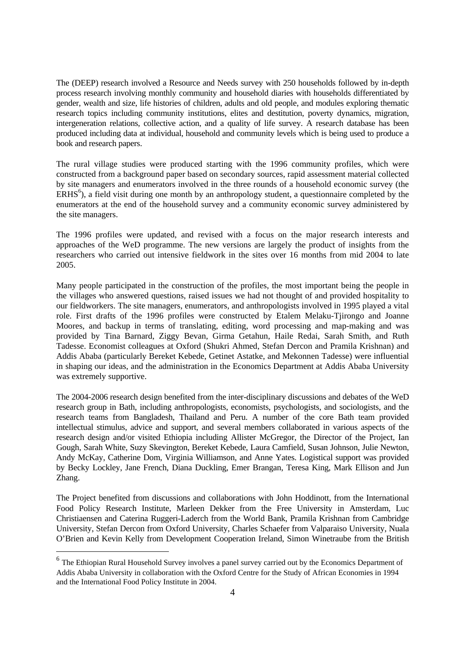The (DEEP) research involved a Resource and Needs survey with 250 households followed by in-depth process research involving monthly community and household diaries with households differentiated by gender, wealth and size, life histories of children, adults and old people, and modules exploring thematic research topics including community institutions, elites and destitution, poverty dynamics, migration, intergeneration relations, collective action, and a quality of life survey. A research database has been produced including data at individual, household and community levels which is being used to produce a book and research papers.

The rural village studies were produced starting with the 1996 community profiles, which were constructed from a background paper based on secondary sources, rapid assessment material collected by site managers and enumerators involved in the three rounds of a household economic survey (the  $ERHS<sup>6</sup>$  $ERHS<sup>6</sup>$  $ERHS<sup>6</sup>$ ), a field visit during one month by an anthropology student, a questionnaire completed by the enumerators at the end of the household survey and a community economic survey administered by the site managers.

The 1996 profiles were updated, and revised with a focus on the major research interests and approaches of the WeD programme. The new versions are largely the product of insights from the researchers who carried out intensive fieldwork in the sites over 16 months from mid 2004 to late 2005.

Many people participated in the construction of the profiles, the most important being the people in the villages who answered questions, raised issues we had not thought of and provided hospitality to our fieldworkers. The site managers, enumerators, and anthropologists involved in 1995 played a vital role. First drafts of the 1996 profiles were constructed by Etalem Melaku-Tjirongo and Joanne Moores, and backup in terms of translating, editing, word processing and map-making and was provided by Tina Barnard, Ziggy Bevan, Girma Getahun, Haile Redai, Sarah Smith, and Ruth Tadesse. Economist colleagues at Oxford (Shukri Ahmed, Stefan Dercon and Pramila Krishnan) and Addis Ababa (particularly Bereket Kebede, Getinet Astatke, and Mekonnen Tadesse) were influential in shaping our ideas, and the administration in the Economics Department at Addis Ababa University was extremely supportive.

The 2004-2006 research design benefited from the inter-disciplinary discussions and debates of the WeD research group in Bath, including anthropologists, economists, psychologists, and sociologists, and the research teams from Bangladesh, Thailand and Peru. A number of the core Bath team provided intellectual stimulus, advice and support, and several members collaborated in various aspects of the research design and/or visited Ethiopia including Allister McGregor, the Director of the Project, Ian Gough, Sarah White, Suzy Skevington, Bereket Kebede, Laura Camfield, Susan Johnson, Julie Newton, Andy McKay, Catherine Dom, Virginia Williamson, and Anne Yates. Logistical support was provided by Becky Lockley, Jane French, Diana Duckling, Emer Brangan, Teresa King, Mark Ellison and Jun Zhang.

The Project benefited from discussions and collaborations with John Hoddinott, from the International Food Policy Research Institute, Marleen Dekker from the Free University in Amsterdam*,* Luc Christiaensen and Caterina Ruggeri-Laderch from the World Bank, Pramila Krishnan from Cambridge University, Stefan Dercon from Oxford University, Charles Schaefer from Valparaiso University, Nuala O'Brien and Kevin Kelly from Development Cooperation Ireland, Simon Winetraube from the British

i

<span id="page-3-0"></span><sup>6</sup> The Ethiopian Rural Household Survey involves a panel survey carried out by the Economics Department of Addis Ababa University in collaboration with the Oxford Centre for the Study of African Economies in 1994 and the International Food Policy Institute in 2004.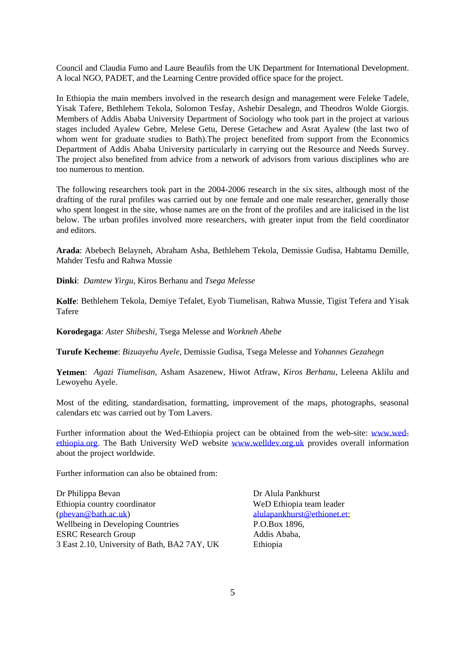Council and Claudia Fumo and Laure Beaufils from the UK Department for International Development. A local NGO, PADET, and the Learning Centre provided office space for the project.

In Ethiopia the main members involved in the research design and management were Feleke Tadele, Yisak Tafere, Bethlehem Tekola, Solomon Tesfay, Ashebir Desalegn, and Theodros Wolde Giorgis. Members of Addis Ababa University Department of Sociology who took part in the project at various stages included Ayalew Gebre, Melese Getu, Derese Getachew and Asrat Ayalew (the last two of whom went for graduate studies to Bath).The project benefited from support from the Economics Department of Addis Ababa University particularly in carrying out the Resource and Needs Survey. The project also benefited from advice from a network of advisors from various disciplines who are too numerous to mention.

The following researchers took part in the 2004-2006 research in the six sites, although most of the drafting of the rural profiles was carried out by one female and one male researcher, generally those who spent longest in the site, whose names are on the front of the profiles and are italicised in the list below. The urban profiles involved more researchers, with greater input from the field coordinator and editors.

**Arada**: Abebech Belayneh, Abraham Asha, Bethlehem Tekola, Demissie Gudisa, Habtamu Demille, Mahder Tesfu and Rahwa Mussie

**Dinki**: *Damtew Yirgu*, Kiros Berhanu and *Tsega Melesse*

**Kolfe**: Bethlehem Tekola, Demiye Tefalet, Eyob Tiumelisan, Rahwa Mussie, Tigist Tefera and Yisak Tafere

**Korodegaga**: *Aster Shibeshi*, Tsega Melesse and *Workneh Abebe*

**Turufe Kecheme**: *Bizuayehu Ayele*, Demissie Gudisa, Tsega Melesse and *Yohannes Gezahegn*

**Yetmen**: *Agazi Tiumelisan*, Asham Asazenew, Hiwot Atfraw, *Kiros Berhanu*, Leleena Aklilu and Lewoyehu Ayele.

Most of the editing, standardisation, formatting, improvement of the maps, photographs, seasonal calendars etc was carried out by Tom Lavers.

Further information about the Wed-Ethiopia project can be obtained from the web-site: [www.wed](http://www.wed-ethiopia.org/)[ethiopia.org.](http://www.wed-ethiopia.org/) The Bath University WeD website [www.welldev.org.uk](http://www.welldev.org.uk/) provides overall information about the project worldwide.

Further information can also be obtained from:

Dr Philippa Bevan Dr Alula Pankhurst Ethiopia country coordinator WeD Ethiopia team leader ([pbevan@bath.ac.uk\)](mailto:pbevan@bath.ac.uk) [alulapankhurst@ethionet.et](mailto:alulapankhurst@ethionet.et); Wellbeing in Developing Countries P.O.Box 1896, ESRC Research Group Addis Ababa, 3 East 2.10, University of Bath, BA2 7AY, UK Ethiopia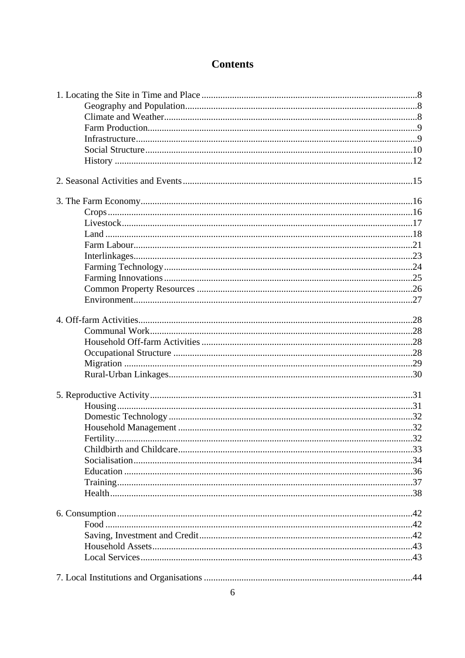## **Contents**

| Fertility. | . 32 |
|------------|------|
|            |      |
|            |      |
|            |      |
|            |      |
|            |      |
|            |      |
|            |      |
|            |      |
|            |      |
|            |      |
|            |      |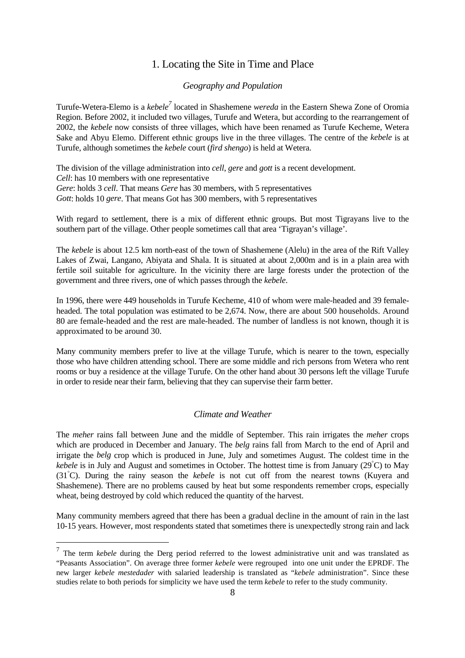### 1. Locating the Site in Time and Place

#### *Geography and Population*

<span id="page-7-0"></span>Turufe-Wetera-Elemo is a *kebele[7](#page-7-1)* located in Shashemene *wereda* in the Eastern Shewa Zone of Oromia Region. Before 2002, it included two villages, Turufe and Wetera, but according to the rearrangement of 2002, the *kebele* now consists of three villages, which have been renamed as Turufe Kecheme, Wetera Sake and Abyu Elemo. Different ethnic groups live in the three villages. The centre of the *kebele* is at Turufe, although sometimes the *kebele* court (*fird shengo*) is held at Wetera.

The division of the village administration into *cell*, *gere* and *gott* is a recent development. *Cell*: has 10 members with one representative *Gere*: holds 3 *cell*. That means *Gere* has 30 members, with 5 representatives *Gott*: holds 10 *gere*. That means Got has 300 members, with 5 representatives

With regard to settlement, there is a mix of different ethnic groups. But most Tigrayans live to the southern part of the village. Other people sometimes call that area 'Tigrayan's village'.

The *kebele* is about 12.5 km north-east of the town of Shashemene (Alelu) in the area of the Rift Valley Lakes of Zwai, Langano, Abiyata and Shala. It is situated at about 2,000m and is in a plain area with fertile soil suitable for agriculture. In the vicinity there are large forests under the protection of the government and three rivers, one of which passes through the *kebele*.

In 1996, there were 449 households in Turufe Kecheme, 410 of whom were male-headed and 39 femaleheaded. The total population was estimated to be 2,674. Now, there are about 500 households. Around 80 are female-headed and the rest are male-headed. The number of landless is not known, though it is approximated to be around 30.

Many community members prefer to live at the village Turufe, which is nearer to the town, especially those who have children attending school. There are some middle and rich persons from Wetera who rent rooms or buy a residence at the village Turufe. On the other hand about 30 persons left the village Turufe in order to reside near their farm, believing that they can supervise their farm better.

#### *Climate and Weather*

The *meher* rains fall between June and the middle of September. This rain irrigates the *meher* crops which are produced in December and January. The *belg* rains fall from March to the end of April and irrigate the *belg* crop which is produced in June, July and sometimes August. The coldest time in the *kebele* is in July and August and sometimes in October. The hottest time is from January (29° C) to May (31° C). During the rainy season the *kebele* is not cut off from the nearest towns (Kuyera and Shashemene). There are no problems caused by heat but some respondents remember crops, especially wheat, being destroyed by cold which reduced the quantity of the harvest.

Many community members agreed that there has been a gradual decline in the amount of rain in the last 10-15 years. However, most respondents stated that sometimes there is unexpectedly strong rain and lack

i

<span id="page-7-1"></span><sup>7</sup> The term *kebele* during the Derg period referred to the lowest administrative unit and was translated as "Peasants Association". On average three former *kebele* were regrouped into one unit under the EPRDF. The new larger *kebele mestedader* with salaried leadership is translated as "*kebele* administration". Since these studies relate to both periods for simplicity we have used the term *kebele* to refer to the study community.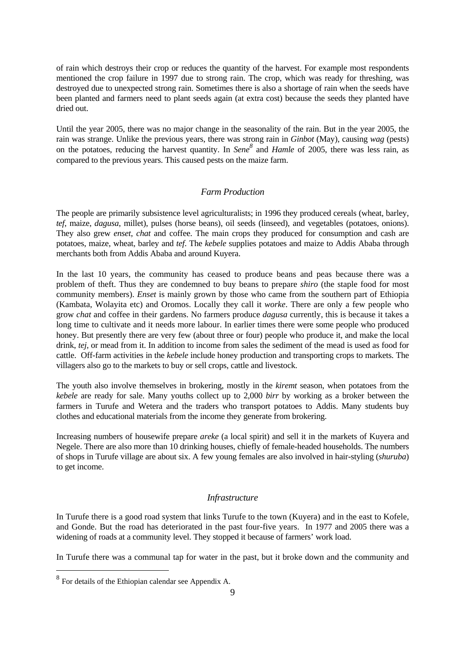<span id="page-8-0"></span>of rain which destroys their crop or reduces the quantity of the harvest. For example most respondents mentioned the crop failure in 1997 due to strong rain. The crop, which was ready for threshing, was destroyed due to unexpected strong rain. Sometimes there is also a shortage of rain when the seeds have been planted and farmers need to plant seeds again (at extra cost) because the seeds they planted have dried out.

Until the year 2005, there was no major change in the seasonality of the rain. But in the year 2005, the rain was strange. Unlike the previous years, there was strong rain in *Ginbot* (May), causing *wag* (pests) on the potatoes, reducing the harvest quantity. In *Sen[e8](#page-8-1)* and *Hamle* of 2005, there was less rain, as compared to the previous years. This caused pests on the maize farm.

#### *Farm Production*

The people are primarily subsistence level agriculturalists; in 1996 they produced cereals (wheat, barley, *tef*, maize, *dagusa*, millet), pulses (horse beans), oil seeds (linseed), and vegetables (potatoes, onions). They also grew *enset*, *chat* and coffee. The main crops they produced for consumption and cash are potatoes, maize, wheat, barley and *tef*. The *kebele* supplies potatoes and maize to Addis Ababa through merchants both from Addis Ababa and around Kuyera.

In the last 10 years, the community has ceased to produce beans and peas because there was a problem of theft. Thus they are condemned to buy beans to prepare *shiro* (the staple food for most community members). *Enset* is mainly grown by those who came from the southern part of Ethiopia (Kambata, Wolayita etc) and Oromos. Locally they call it *worke*. There are only a few people who grow *chat* and coffee in their gardens. No farmers produce *dagusa* currently, this is because it takes a long time to cultivate and it needs more labour. In earlier times there were some people who produced honey. But presently there are very few (about three or four) people who produce it, and make the local drink, *tej*, or mead from it. In addition to income from sales the sediment of the mead is used as food for cattle. Off-farm activities in the *kebele* include honey production and transporting crops to markets. The villagers also go to the markets to buy or sell crops, cattle and livestock.

The youth also involve themselves in brokering, mostly in the *kiremt* season, when potatoes from the *kebele* are ready for sale. Many youths collect up to 2,000 *birr* by working as a broker between the farmers in Turufe and Wetera and the traders who transport potatoes to Addis. Many students buy clothes and educational materials from the income they generate from brokering.

Increasing numbers of housewife prepare *areke* (a local spirit) and sell it in the markets of Kuyera and Negele. There are also more than 10 drinking houses, chiefly of female-headed households. The numbers of shops in Turufe village are about six. A few young females are also involved in hair-styling (*shuruba*) to get income.

#### *Infrastructure*

In Turufe there is a good road system that links Turufe to the town (Kuyera) and in the east to Kofele, and Gonde. But the road has deteriorated in the past four-five years. In 1977 and 2005 there was a widening of roads at a community level. They stopped it because of farmers' work load.

In Turufe there was a communal tap for water in the past, but it broke down and the community and

i

<span id="page-8-1"></span> $8\,$  For details of the Ethiopian calendar see Appendix A.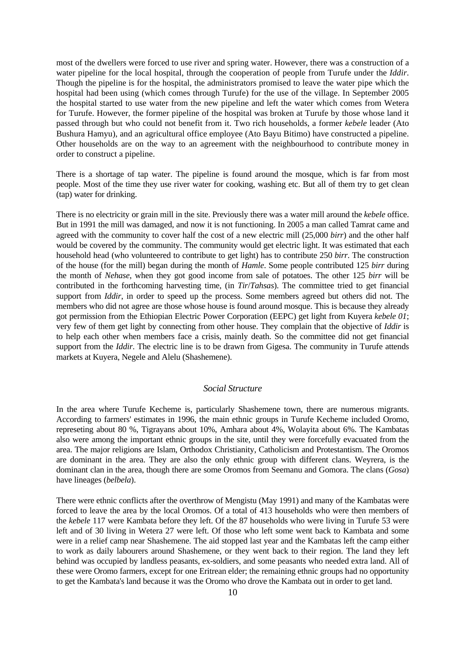<span id="page-9-0"></span>most of the dwellers were forced to use river and spring water. However, there was a construction of a water pipeline for the local hospital, through the cooperation of people from Turufe under the *Iddir*. Though the pipeline is for the hospital, the administrators promised to leave the water pipe which the hospital had been using (which comes through Turufe) for the use of the village. In September 2005 the hospital started to use water from the new pipeline and left the water which comes from Wetera for Turufe. However, the former pipeline of the hospital was broken at Turufe by those whose land it passed through but who could not benefit from it. Two rich households, a former *kebele* leader (Ato Bushura Hamyu), and an agricultural office employee (Ato Bayu Bitimo) have constructed a pipeline. Other households are on the way to an agreement with the neighbourhood to contribute money in order to construct a pipeline.

There is a shortage of tap water. The pipeline is found around the mosque, which is far from most people. Most of the time they use river water for cooking, washing etc. But all of them try to get clean (tap) water for drinking.

There is no electricity or grain mill in the site. Previously there was a water mill around the *kebele* office. But in 1991 the mill was damaged, and now it is not functioning. In 2005 a man called Tamrat came and agreed with the community to cover half the cost of a new electric mill (25,000 *birr*) and the other half would be covered by the community. The community would get electric light. It was estimated that each household head (who volunteered to contribute to get light) has to contribute 250 *birr*. The construction of the house (for the mill) began during the month of *Hamle*. Some people contributed 125 *birr* during the month of *Nehase*, when they got good income from sale of potatoes. The other 125 *birr* will be contributed in the forthcoming harvesting time, (in *Tir*/*Tahsas*). The committee tried to get financial support from *Iddir*, in order to speed up the process. Some members agreed but others did not. The members who did not agree are those whose house is found around mosque. This is because they already got permission from the Ethiopian Electric Power Corporation (EEPC) get light from Kuyera *kebele 01*; very few of them get light by connecting from other house. They complain that the objective of *Iddir* is to help each other when members face a crisis, mainly death. So the committee did not get financial support from the *Iddir*. The electric line is to be drawn from Gigesa. The community in Turufe attends markets at Kuyera, Negele and Alelu (Shashemene).

#### *Social Structure*

In the area where Turufe Kecheme is, particularly Shashemene town, there are numerous migrants. According to farmers' estimates in 1996, the main ethnic groups in Turufe Kecheme included Oromo, represeting about 80 %, Tigrayans about 10%, Amhara about 4%, Wolayita about 6%. The Kambatas also were among the important ethnic groups in the site, until they were forcefully evacuated from the area. The major religions are Islam, Orthodox Christianity, Catholicism and Protestantism. The Oromos are dominant in the area. They are also the only ethnic group with different clans. Weyrera, is the dominant clan in the area, though there are some Oromos from Seemanu and Gomora. The clans (*Gosa*) have lineages (*belbela*).

There were ethnic conflicts after the overthrow of Mengistu (May 1991) and many of the Kambatas were forced to leave the area by the local Oromos. Of a total of 413 households who were then members of the *kebele* 117 were Kambata before they left. Of the 87 households who were living in Turufe 53 were left and of 30 living in Wetera 27 were left. Of those who left some went back to Kambata and some were in a relief camp near Shashemene. The aid stopped last year and the Kambatas left the camp either to work as daily labourers around Shashemene, or they went back to their region. The land they left behind was occupied by landless peasants, ex-soldiers, and some peasants who needed extra land. All of these were Oromo farmers, except for one Eritrean elder; the remaining ethnic groups had no opportunity to get the Kambata's land because it was the Oromo who drove the Kambata out in order to get land.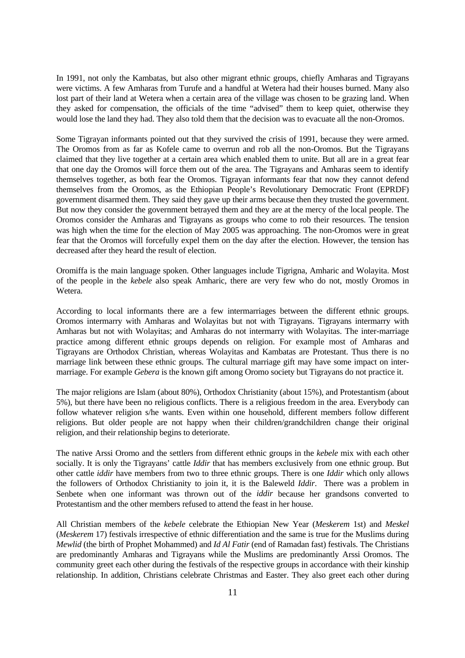In 1991, not only the Kambatas, but also other migrant ethnic groups, chiefly Amharas and Tigrayans were victims. A few Amharas from Turufe and a handful at Wetera had their houses burned. Many also lost part of their land at Wetera when a certain area of the village was chosen to be grazing land. When they asked for compensation, the officials of the time "advised" them to keep quiet, otherwise they would lose the land they had. They also told them that the decision was to evacuate all the non-Oromos.

Some Tigrayan informants pointed out that they survived the crisis of 1991, because they were armed. The Oromos from as far as Kofele came to overrun and rob all the non-Oromos. But the Tigrayans claimed that they live together at a certain area which enabled them to unite. But all are in a great fear that one day the Oromos will force them out of the area. The Tigrayans and Amharas seem to identify themselves together, as both fear the Oromos. Tigrayan informants fear that now they cannot defend themselves from the Oromos, as the Ethiopian People's Revolutionary Democratic Front (EPRDF) government disarmed them. They said they gave up their arms because then they trusted the government. But now they consider the government betrayed them and they are at the mercy of the local people. The Oromos consider the Amharas and Tigrayans as groups who come to rob their resources. The tension was high when the time for the election of May 2005 was approaching. The non-Oromos were in great fear that the Oromos will forcefully expel them on the day after the election. However, the tension has decreased after they heard the result of election.

Oromiffa is the main language spoken. Other languages include Tigrigna, Amharic and Wolayita. Most of the people in the *kebele* also speak Amharic, there are very few who do not, mostly Oromos in Wetera.

According to local informants there are a few intermarriages between the different ethnic groups. Oromos intermarry with Amharas and Wolayitas but not with Tigrayans. Tigrayans intermarry with Amharas but not with Wolayitas; and Amharas do not intermarry with Wolayitas. The inter-marriage practice among different ethnic groups depends on religion. For example most of Amharas and Tigrayans are Orthodox Christian, whereas Wolayitas and Kambatas are Protestant. Thus there is no marriage link between these ethnic groups. The cultural marriage gift may have some impact on intermarriage. For example *Gebera* is the known gift among Oromo society but Tigrayans do not practice it.

The major religions are Islam (about 80%), Orthodox Christianity (about 15%), and Protestantism (about 5%), but there have been no religious conflicts. There is a religious freedom in the area. Everybody can follow whatever religion s/he wants. Even within one household, different members follow different religions. But older people are not happy when their children/grandchildren change their original religion, and their relationship begins to deteriorate.

The native Arssi Oromo and the settlers from different ethnic groups in the *kebele* mix with each other socially. It is only the Tigrayans' cattle *Iddir* that has members exclusively from one ethnic group. But other cattle *iddir* have members from two to three ethnic groups. There is one *Iddir* which only allows the followers of Orthodox Christianity to join it, it is the Baleweld *Iddir*. There was a problem in Senbete when one informant was thrown out of the *iddir* because her grandsons converted to Protestantism and the other members refused to attend the feast in her house.

All Christian members of the *kebele* celebrate the Ethiopian New Year (*Meskerem* 1st) and *Meskel* (*Meskerem* 17) festivals irrespective of ethnic differentiation and the same is true for the Muslims during *Mewlid* (the birth of Prophet Mohammed) and *Id Al Fatir* (end of Ramadan fast) festivals. The Christians are predominantly Amharas and Tigrayans while the Muslims are predominantly Arssi Oromos. The community greet each other during the festivals of the respective groups in accordance with their kinship relationship. In addition, Christians celebrate Christmas and Easter. They also greet each other during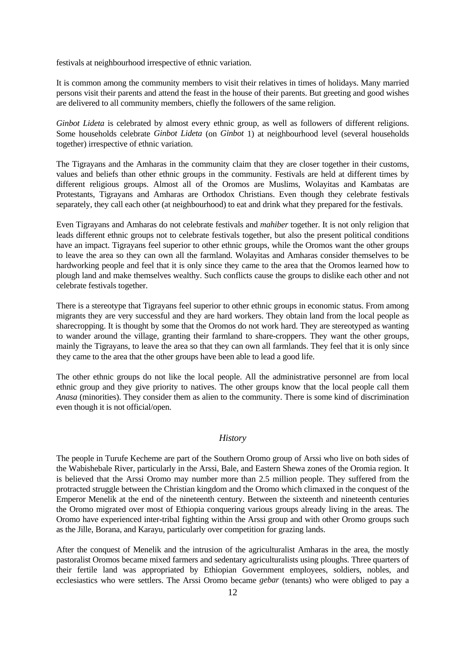<span id="page-11-0"></span>festivals at neighbourhood irrespective of ethnic variation.

It is common among the community members to visit their relatives in times of holidays. Many married persons visit their parents and attend the feast in the house of their parents. But greeting and good wishes are delivered to all community members, chiefly the followers of the same religion.

*Ginbot Lideta* is celebrated by almost every ethnic group, as well as followers of different religions. Some households celebrate *Ginbot Lideta* (on *Ginbot* 1) at neighbourhood level (several households together) irrespective of ethnic variation.

The Tigrayans and the Amharas in the community claim that they are closer together in their customs, values and beliefs than other ethnic groups in the community. Festivals are held at different times by different religious groups. Almost all of the Oromos are Muslims, Wolayitas and Kambatas are Protestants, Tigrayans and Amharas are Orthodox Christians. Even though they celebrate festivals separately, they call each other (at neighbourhood) to eat and drink what they prepared for the festivals.

Even Tigrayans and Amharas do not celebrate festivals and *mahiber* together. It is not only religion that leads different ethnic groups not to celebrate festivals together, but also the present political conditions have an impact. Tigrayans feel superior to other ethnic groups, while the Oromos want the other groups to leave the area so they can own all the farmland. Wolayitas and Amharas consider themselves to be hardworking people and feel that it is only since they came to the area that the Oromos learned how to plough land and make themselves wealthy. Such conflicts cause the groups to dislike each other and not celebrate festivals together.

There is a stereotype that Tigrayans feel superior to other ethnic groups in economic status. From among migrants they are very successful and they are hard workers. They obtain land from the local people as sharecropping. It is thought by some that the Oromos do not work hard. They are stereotyped as wanting to wander around the village, granting their farmland to share-croppers. They want the other groups, mainly the Tigrayans, to leave the area so that they can own all farmlands. They feel that it is only since they came to the area that the other groups have been able to lead a good life.

The other ethnic groups do not like the local people. All the administrative personnel are from local ethnic group and they give priority to natives. The other groups know that the local people call them *Anasa* (minorities). They consider them as alien to the community. There is some kind of discrimination even though it is not official/open.

#### *History*

The people in Turufe Kecheme are part of the Southern Oromo group of Arssi who live on both sides of the Wabishebale River, particularly in the Arssi, Bale, and Eastern Shewa zones of the Oromia region. It is believed that the Arssi Oromo may number more than 2.5 million people. They suffered from the protracted struggle between the Christian kingdom and the Oromo which climaxed in the conquest of the Emperor Menelik at the end of the nineteenth century. Between the sixteenth and nineteenth centuries the Oromo migrated over most of Ethiopia conquering various groups already living in the areas. The Oromo have experienced inter-tribal fighting within the Arssi group and with other Oromo groups such as the Jille, Borana, and Karayu, particularly over competition for grazing lands.

After the conquest of Menelik and the intrusion of the agriculturalist Amharas in the area, the mostly pastoralist Oromos became mixed farmers and sedentary agriculturalists using ploughs. Three quarters of their fertile land was appropriated by Ethiopian Government employees, soldiers, nobles, and ecclesiastics who were settlers. The Arssi Oromo became *gebar* (tenants) who were obliged to pay a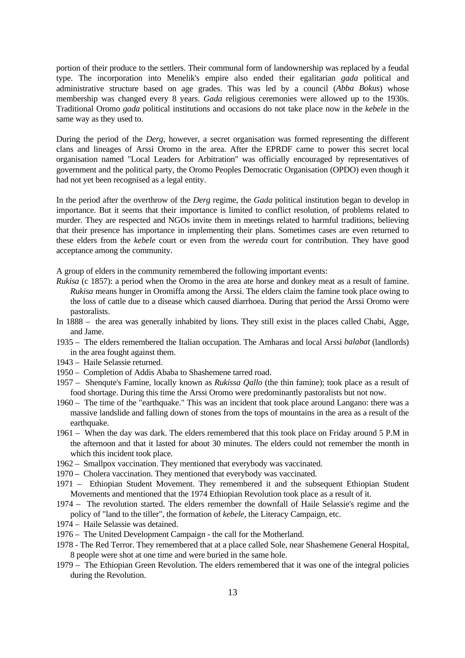portion of their produce to the settlers. Their communal form of landownership was replaced by a feudal type. The incorporation into Menelik's empire also ended their egalitarian *gada* political and administrative structure based on age grades. This was led by a council (*Abba Bokus*) whose membership was changed every 8 years. *Gada* religious ceremonies were allowed up to the 1930s. Traditional Oromo *gada* political institutions and occasions do not take place now in the *kebele* in the same way as they used to.

During the period of the *Derg*, however, a secret organisation was formed representing the different clans and lineages of Arssi Oromo in the area. After the EPRDF came to power this secret local organisation named "Local Leaders for Arbitration" was officially encouraged by representatives of government and the political party, the Oromo Peoples Democratic Organisation (OPDO) even though it had not yet been recognised as a legal entity.

In the period after the overthrow of the *Derg* regime, the *Gada* political institution began to develop in importance. But it seems that their importance is limited to conflict resolution, of problems related to murder. They are respected and NGOs invite them in meetings related to harmful traditions, believing that their presence has importance in implementing their plans. Sometimes cases are even returned to these elders from the *kebele* court or even from the *wereda* court for contribution. They have good acceptance among the community.

A group of elders in the community remembered the following important events:

- *Rukisa* (c 1857): a period when the Oromo in the area ate horse and donkey meat as a result of famine. *Rukisa* means hunger in Oromiffa among the Arssi. The elders claim the famine took place owing to the loss of cattle due to a disease which caused diarrhoea. During that period the Arssi Oromo were pastoralists.
- In 1888 the area was generally inhabited by lions. They still exist in the places called Chabi, Agge, and Jame.
- 1935 The elders remembered the Italian occupation. The Amharas and local Arssi *balabat* (landlords) in the area fought against them.
- 1943 Haile Selassie returned.
- 1950 Completion of Addis Ababa to Shashemene tarred road.
- 1957 Shenqute's Famine, locally known as *Rukissa Qallo* (the thin famine); took place as a result of food shortage. During this time the Arssi Oromo were predominantly pastoralists but not now.
- 1960 The time of the "earthquake." This was an incident that took place around Langano: there was a massive landslide and falling down of stones from the tops of mountains in the area as a result of the earthquake.
- 1961 When the day was dark. The elders remembered that this took place on Friday around 5 P.M in the afternoon and that it lasted for about 30 minutes. The elders could not remember the month in which this incident took place.
- 1962 Smallpox vaccination. They mentioned that everybody was vaccinated.
- 1970 Cholera vaccination. They mentioned that everybody was vaccinated.
- 1971 Ethiopian Student Movement. They remembered it and the subsequent Ethiopian Student Movements and mentioned that the 1974 Ethiopian Revolution took place as a result of it.
- 1974 The revolution started. The elders remember the downfall of Haile Selassie's regime and the policy of "land to the tiller", the formation of *kebele*, the Literacy Campaign, etc.
- 1974 Haile Selassie was detained.
- 1976 The United Development Campaign the call for the Motherland.
- 1978 The Red Terror. They remembered that at a place called Sole, near Shashemene General Hospital, 8 people were shot at one time and were buried in the same hole.
- 1979 The Ethiopian Green Revolution. The elders remembered that it was one of the integral policies during the Revolution.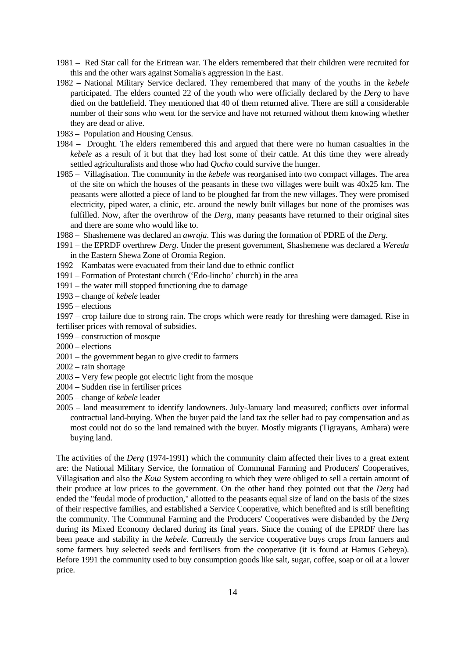- 1981 Red Star call for the Eritrean war. The elders remembered that their children were recruited for this and the other wars against Somalia's aggression in the East.
- 1982 National Military Service declared. They remembered that many of the youths in the *kebele* participated. The elders counted 22 of the youth who were officially declared by the *Derg* to have died on the battlefield. They mentioned that 40 of them returned alive. There are still a considerable number of their sons who went for the service and have not returned without them knowing whether they are dead or alive.
- 1983 Population and Housing Census.
- 1984 Drought. The elders remembered this and argued that there were no human casualties in the *kebele* as a result of it but that they had lost some of their cattle. At this time they were already settled agriculturalists and those who had *Qocho* could survive the hunger.
- 1985 Villagisation. The community in the *kebele* was reorganised into two compact villages. The area of the site on which the houses of the peasants in these two villages were built was 40x25 km. The peasants were allotted a piece of land to be ploughed far from the new villages. They were promised electricity, piped water, a clinic, etc. around the newly built villages but none of the promises was fulfilled. Now, after the overthrow of the *Derg*, many peasants have returned to their original sites and there are some who would like to.
- 1988 Shashemene was declared an *awraja*. This was during the formation of PDRE of the *Derg*.
- 1991 the EPRDF overthrew *Derg*. Under the present government, Shashemene was declared a *Wereda* in the Eastern Shewa Zone of Oromia Region.
- 1992 Kambatas were evacuated from their land due to ethnic conflict
- 1991 Formation of Protestant church ('Edo-lincho' church) in the area
- 1991 the water mill stopped functioning due to damage
- 1993 change of *kebele* leader
- 1995 elections

1997 – crop failure due to strong rain. The crops which were ready for threshing were damaged. Rise in fertiliser prices with removal of subsidies.

- 1999 construction of mosque
- 2000 elections
- 2001 the government began to give credit to farmers
- 2002 rain shortage
- 2003 Very few people got electric light from the mosque
- 2004 Sudden rise in fertiliser prices
- 2005 change of *kebele* leader
- 2005 land measurement to identify landowners. July-January land measured; conflicts over informal contractual land-buying. When the buyer paid the land tax the seller had to pay compensation and as most could not do so the land remained with the buyer. Mostly migrants (Tigrayans, Amhara) were buying land.

The activities of the *Derg* (1974-1991) which the community claim affected their lives to a great extent are: the National Military Service, the formation of Communal Farming and Producers' Cooperatives, Villagisation and also the *Kota* System according to which they were obliged to sell a certain amount of their produce at low prices to the government. On the other hand they pointed out that the *Derg* had ended the "feudal mode of production," allotted to the peasants equal size of land on the basis of the sizes of their respective families, and established a Service Cooperative, which benefited and is still benefiting the community. The Communal Farming and the Producers' Cooperatives were disbanded by the *Derg* during its Mixed Economy declared during its final years. Since the coming of the EPRDF there has been peace and stability in the *kebele*. Currently the service cooperative buys crops from farmers and some farmers buy selected seeds and fertilisers from the cooperative (it is found at Hamus Gebeya). Before 1991 the community used to buy consumption goods like salt, sugar, coffee, soap or oil at a lower price.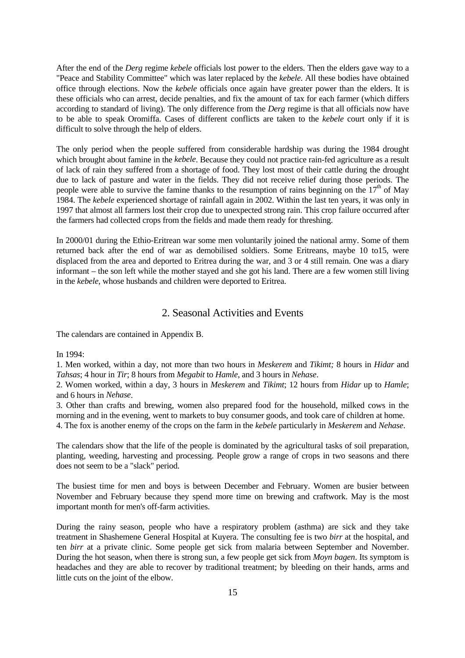<span id="page-14-0"></span>After the end of the *Derg* regime *kebele* officials lost power to the elders. Then the elders gave way to a "Peace and Stability Committee" which was later replaced by the *kebele*. All these bodies have obtained office through elections. Now the *kebele* officials once again have greater power than the elders. It is these officials who can arrest, decide penalties, and fix the amount of tax for each farmer (which differs according to standard of living). The only difference from the *Derg* regime is that all officials now have to be able to speak Oromiffa. Cases of different conflicts are taken to the *kebele* court only if it is difficult to solve through the help of elders.

The only period when the people suffered from considerable hardship was during the 1984 drought which brought about famine in the *kebele*. Because they could not practice rain-fed agriculture as a result of lack of rain they suffered from a shortage of food. They lost most of their cattle during the drought due to lack of pasture and water in the fields. They did not receive relief during those periods. The people were able to survive the famine thanks to the resumption of rains beginning on the  $17<sup>th</sup>$  of May 1984. The *kebele* experienced shortage of rainfall again in 2002. Within the last ten years, it was only in 1997 that almost all farmers lost their crop due to unexpected strong rain. This crop failure occurred after the farmers had collected crops from the fields and made them ready for threshing.

In 2000/01 during the Ethio-Eritrean war some men voluntarily joined the national army. Some of them returned back after the end of war as demobilised soldiers. Some Eritreans, maybe 10 to15, were displaced from the area and deported to Eritrea during the war, and 3 or 4 still remain. One was a diary informant – the son left while the mother stayed and she got his land. There are a few women still living in the *kebele*, whose husbands and children were deported to Eritrea.

#### 2. Seasonal Activities and Events

The calendars are contained in Appendix B.

In 1994:

1. Men worked, within a day, not more than two hours in *Meskerem* and *Tikimt;* 8 hours in *Hidar* and *Tahsas*; 4 hour in *Tir*; 8 hours from *Megabit* to *Hamle*, and 3 hours in *Nehase*.

2. Women worked, within a day, 3 hours in *Meskerem* and *Tikimt*; 12 hours from *Hidar* up to *Hamle*; and 6 hours in *Nehase*.

3. Other than crafts and brewing, women also prepared food for the household, milked cows in the morning and in the evening, went to markets to buy consumer goods, and took care of children at home. 4. The fox is another enemy of the crops on the farm in the *kebele* particularly in *Meskerem* and *Nehase*.

The calendars show that the life of the people is dominated by the agricultural tasks of soil preparation, planting, weeding, harvesting and processing. People grow a range of crops in two seasons and there does not seem to be a "slack" period.

The busiest time for men and boys is between December and February. Women are busier between November and February because they spend more time on brewing and craftwork. May is the most important month for men's off-farm activities.

During the rainy season, people who have a respiratory problem (asthma) are sick and they take treatment in Shashemene General Hospital at Kuyera. The consulting fee is two *birr* at the hospital, and ten *birr* at a private clinic. Some people get sick from malaria between September and November. During the hot season, when there is strong sun, a few people get sick from *Moyn bagen*. Its symptom is headaches and they are able to recover by traditional treatment; by bleeding on their hands, arms and little cuts on the joint of the elbow.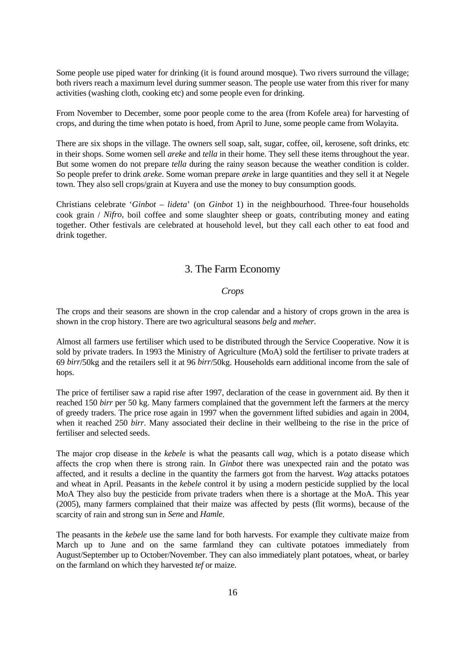<span id="page-15-0"></span>Some people use piped water for drinking (it is found around mosque). Two rivers surround the village; both rivers reach a maximum level during summer season. The people use water from this river for many activities (washing cloth, cooking etc) and some people even for drinking.

From November to December, some poor people come to the area (from Kofele area) for harvesting of crops, and during the time when potato is hoed, from April to June, some people came from Wolayita.

There are six shops in the village. The owners sell soap, salt, sugar, coffee, oil, kerosene, soft drinks, etc in their shops. Some women sell *areke* and *tella* in their home. They sell these items throughout the year. But some women do not prepare *tella* during the rainy season because the weather condition is colder. So people prefer to drink *areke*. Some woman prepare *areke* in large quantities and they sell it at Negele town. They also sell crops/grain at Kuyera and use the money to buy consumption goods.

Christians celebrate '*Ginbot – lideta*' (on *Ginbot* 1) in the neighbourhood. Three-four households cook grain / *Nifro,* boil coffee and some slaughter sheep or goats, contributing money and eating together. Other festivals are celebrated at household level, but they call each other to eat food and drink together.

#### 3. The Farm Economy

#### *Crops*

The crops and their seasons are shown in the crop calendar and a history of crops grown in the area is shown in the crop history. There are two agricultural seasons *belg* and *meher*.

Almost all farmers use fertiliser which used to be distributed through the Service Cooperative. Now it is sold by private traders. In 1993 the Ministry of Agriculture (MoA) sold the fertiliser to private traders at 69 *birr*/50kg and the retailers sell it at 96 *birr*/50kg. Households earn additional income from the sale of hops.

The price of fertiliser saw a rapid rise after 1997, declaration of the cease in government aid. By then it reached 150 *birr* per 50 kg. Many farmers complained that the government left the farmers at the mercy of greedy traders. The price rose again in 1997 when the government lifted subidies and again in 2004, when it reached 250 *birr*. Many associated their decline in their wellbeing to the rise in the price of fertiliser and selected seeds.

The major crop disease in the *kebele* is what the peasants call *wag*, which is a potato disease which affects the crop when there is strong rain. In *Ginbot* there was unexpected rain and the potato was affected, and it results a decline in the quantity the farmers got from the harvest. *Wag* attacks potatoes and wheat in April. Peasants in the *kebele* control it by using a modern pesticide supplied by the local MoA They also buy the pesticide from private traders when there is a shortage at the MoA. This year (2005), many farmers complained that their maize was affected by pests (flit worms), because of the scarcity of rain and strong sun in *Sene* and *Hamle*.

The peasants in the *kebele* use the same land for both harvests. For example they cultivate maize from March up to June and on the same farmland they can cultivate potatoes immediately from August/September up to October/November. They can also immediately plant potatoes, wheat, or barley on the farmland on which they harvested *tef* or maize.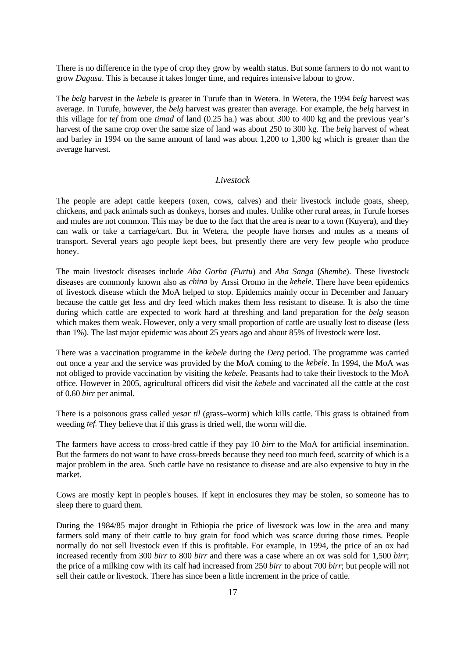<span id="page-16-0"></span>There is no difference in the type of crop they grow by wealth status. But some farmers to do not want to grow *Dagusa*. This is because it takes longer time, and requires intensive labour to grow.

The *belg* harvest in the *kebele* is greater in Turufe than in Wetera. In Wetera, the 1994 *belg* harvest was average. In Turufe, however, the *belg* harvest was greater than average. For example, the *belg* harvest in this village for *tef* from one *timad* of land (0.25 ha.) was about 300 to 400 kg and the previous year's harvest of the same crop over the same size of land was about 250 to 300 kg. The *belg* harvest of wheat and barley in 1994 on the same amount of land was about 1,200 to 1,300 kg which is greater than the average harvest.

#### *Livestock*

The people are adept cattle keepers (oxen, cows, calves) and their livestock include goats, sheep, chickens, and pack animals such as donkeys, horses and mules. Unlike other rural areas, in Turufe horses and mules are not common. This may be due to the fact that the area is near to a town (Kuyera), and they can walk or take a carriage/cart. But in Wetera, the people have horses and mules as a means of transport. Several years ago people kept bees, but presently there are very few people who produce honey.

The main livestock diseases include *Aba Gorba (Furtu*) and *Aba Sanga* (*Shembe*). These livestock diseases are commonly known also as *china* by Arssi Oromo in the *kebele*. There have been epidemics of livestock disease which the MoA helped to stop. Epidemics mainly occur in December and January because the cattle get less and dry feed which makes them less resistant to disease. It is also the time during which cattle are expected to work hard at threshing and land preparation for the *belg* season which makes them weak. However, only a very small proportion of cattle are usually lost to disease (less than 1%). The last major epidemic was about 25 years ago and about 85% of livestock were lost.

There was a vaccination programme in the *kebele* during the *Derg* period. The programme was carried out once a year and the service was provided by the MoA coming to the *kebele*. In 1994, the MoA was not obliged to provide vaccination by visiting the *kebele*. Peasants had to take their livestock to the MoA office. However in 2005, agricultural officers did visit the *kebele* and vaccinated all the cattle at the cost of 0.60 *birr* per animal.

There is a poisonous grass called *yesar til* (grass–worm) which kills cattle. This grass is obtained from weeding *tef.* They believe that if this grass is dried well, the worm will die.

The farmers have access to cross-bred cattle if they pay 10 *birr* to the MoA for artificial insemination. But the farmers do not want to have cross-breeds because they need too much feed, scarcity of which is a major problem in the area. Such cattle have no resistance to disease and are also expensive to buy in the market.

Cows are mostly kept in people's houses. If kept in enclosures they may be stolen, so someone has to sleep there to guard them.

During the 1984/85 major drought in Ethiopia the price of livestock was low in the area and many farmers sold many of their cattle to buy grain for food which was scarce during those times. People normally do not sell livestock even if this is profitable. For example, in 1994, the price of an ox had increased recently from 300 *birr* to 800 *birr* and there was a case where an ox was sold for 1,500 *birr*; the price of a milking cow with its calf had increased from 250 *birr* to about 700 *birr*; but people will not sell their cattle or livestock. There has since been a little increment in the price of cattle.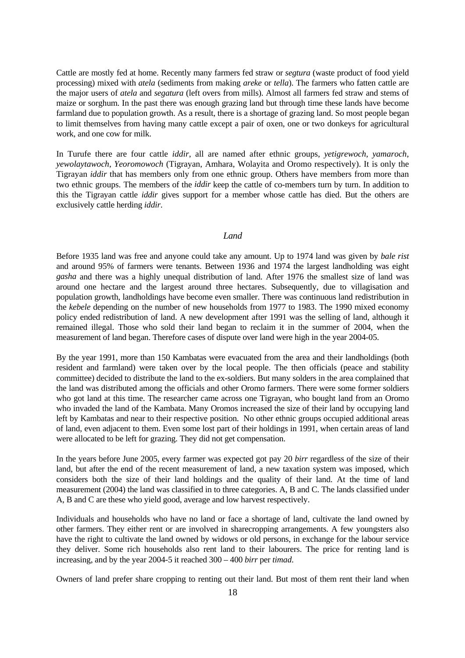<span id="page-17-0"></span>Cattle are mostly fed at home. Recently many farmers fed straw or *segtura* (waste product of food yield processing) mixed with *atela* (sediments from making *areke* or *tella*). The farmers who fatten cattle are the major users of *atela* and *segatura* (left overs from mills). Almost all farmers fed straw and stems of maize or sorghum. In the past there was enough grazing land but through time these lands have become farmland due to population growth. As a result, there is a shortage of grazing land. So most people began to limit themselves from having many cattle except a pair of oxen, one or two donkeys for agricultural work, and one cow for milk.

In Turufe there are four cattle *iddir*, all are named after ethnic groups, *yetigrewoch*, *yamaroch*, *yewolaytawoch*, *Yeoromowoch* (Tigrayan, Amhara, Wolayita and Oromo respectively). It is only the Tigrayan *iddir* that has members only from one ethnic group. Others have members from more than two ethnic groups. The members of the *iddir* keep the cattle of co-members turn by turn. In addition to this the Tigrayan cattle *iddir* gives support for a member whose cattle has died. But the others are exclusively cattle herding *iddir*.

#### *Land Land*

Before 1935 land was free and anyone could take any amount. Up to 1974 land was given by *bale rist*  and around 95% of farmers were tenants. Between 1936 and 1974 the largest landholding was eight *gasha* and there was a highly unequal distribution of land. After 1976 the smallest size of land was around one hectare and the largest around three hectares. Subsequently, due to villagisation and population growth, landholdings have become even smaller. There was continuous land redistribution in the *kebele* depending on the number of new households from 1977 to 1983. The 1990 mixed economy policy ended redistribution of land. A new development after 1991 was the selling of land, although it remained illegal. Those who sold their land began to reclaim it in the summer of 2004, when the measurement of land began. Therefore cases of dispute over land were high in the year 2004-05.

By the year 1991, more than 150 Kambatas were evacuated from the area and their landholdings (both resident and farmland) were taken over by the local people. The then officials (peace and stability committee) decided to distribute the land to the ex-soldiers. But many solders in the area complained that the land was distributed among the officials and other Oromo farmers. There were some former soldiers who got land at this time. The researcher came across one Tigrayan, who bought land from an Oromo who invaded the land of the Kambata. Many Oromos increased the size of their land by occupying land left by Kambatas and near to their respective position. No other ethnic groups occupied additional areas of land, even adjacent to them. Even some lost part of their holdings in 1991, when certain areas of land were allocated to be left for grazing. They did not get compensation.

In the years before June 2005, every farmer was expected got pay 20 *birr* regardless of the size of their land, but after the end of the recent measurement of land, a new taxation system was imposed, which considers both the size of their land holdings and the quality of their land. At the time of land measurement (2004) the land was classified in to three categories. A, B and C. The lands classified under A, B and C are these who yield good, average and low harvest respectively.

Individuals and households who have no land or face a shortage of land, cultivate the land owned by other farmers. They either rent or are involved in sharecropping arrangements. A few youngsters also have the right to cultivate the land owned by widows or old persons, in exchange for the labour service they deliver. Some rich households also rent land to their labourers. The price for renting land is increasing, and by the year 2004-5 it reached 300 – 400 *birr* per *timad*.

Owners of land prefer share cropping to renting out their land. But most of them rent their land when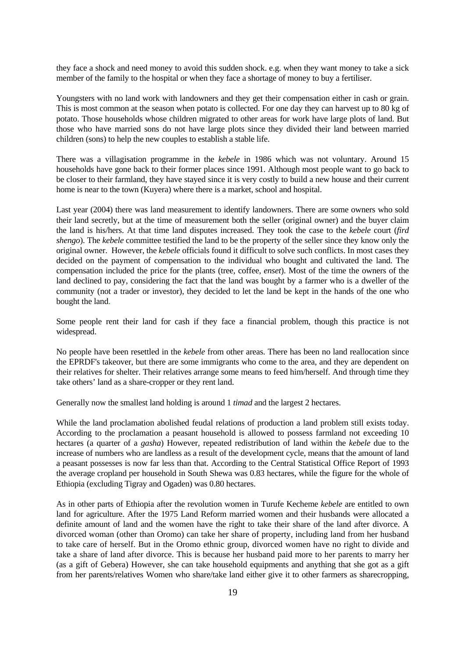they face a shock and need money to avoid this sudden shock. e.g. when they want money to take a sick member of the family to the hospital or when they face a shortage of money to buy a fertiliser.

Youngsters with no land work with landowners and they get their compensation either in cash or grain. This is most common at the season when potato is collected. For one day they can harvest up to 80 kg of potato. Those households whose children migrated to other areas for work have large plots of land. But those who have married sons do not have large plots since they divided their land between married children (sons) to help the new couples to establish a stable life.

There was a villagisation programme in the *kebele* in 1986 which was not voluntary. Around 15 households have gone back to their former places since 1991. Although most people want to go back to be closer to their farmland, they have stayed since it is very costly to build a new house and their current home is near to the town (Kuyera) where there is a market, school and hospital.

Last year (2004) there was land measurement to identify landowners. There are some owners who sold their land secretly, but at the time of measurement both the seller (original owner) and the buyer claim the land is his/hers. At that time land disputes increased. They took the case to the *kebele* court (*fird shengo*). The *kebele* committee testified the land to be the property of the seller since they know only the original owner. However, the *kebele* officials found it difficult to solve such conflicts. In most cases they decided on the payment of compensation to the individual who bought and cultivated the land. The compensation included the price for the plants (tree, coffee, *enset*). Most of the time the owners of the land declined to pay, considering the fact that the land was bought by a farmer who is a dweller of the community (not a trader or investor), they decided to let the land be kept in the hands of the one who bought the land.

Some people rent their land for cash if they face a financial problem, though this practice is not widespread.

No people have been resettled in the *kebele* from other areas. There has been no land reallocation since the EPRDF's takeover, but there are some immigrants who come to the area, and they are dependent on their relatives for shelter. Their relatives arrange some means to feed him/herself. And through time they take others' land as a share-cropper or they rent land.

Generally now the smallest land holding is around 1 *timad* and the largest 2 hectares.

While the land proclamation abolished feudal relations of production a land problem still exists today. According to the proclamation a peasant household is allowed to possess farmland not exceeding 10 hectares (a quarter of a *gasha*) However, repeated redistribution of land within the *kebele* due to the increase of numbers who are landless as a result of the development cycle, means that the amount of land a peasant possesses is now far less than that. According to the Central Statistical Office Report of 1993 the average cropland per household in South Shewa was 0.83 hectares, while the figure for the whole of Ethiopia (excluding Tigray and Ogaden) was 0.80 hectares.

As in other parts of Ethiopia after the revolution women in Turufe Kecheme *kebele* are entitled to own land for agriculture. After the 1975 Land Reform married women and their husbands were allocated a definite amount of land and the women have the right to take their share of the land after divorce. A divorced woman (other than Oromo) can take her share of property, including land from her husband to take care of herself. But in the Oromo ethnic group, divorced women have no right to divide and take a share of land after divorce. This is because her husband paid more to her parents to marry her (as a gift of Gebera) However, she can take household equipments and anything that she got as a gift from her parents/relatives Women who share/take land either give it to other farmers as sharecropping,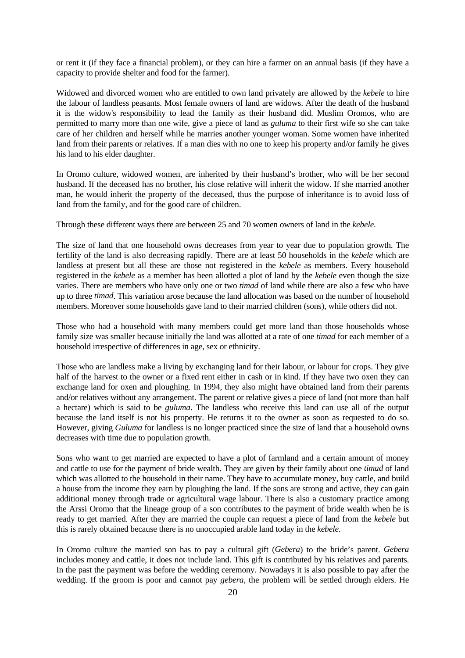or rent it (if they face a financial problem), or they can hire a farmer on an annual basis (if they have a capacity to provide shelter and food for the farmer).

Widowed and divorced women who are entitled to own land privately are allowed by the *kebele* to hire the labour of landless peasants. Most female owners of land are widows. After the death of the husband it is the widow's responsibility to lead the family as their husband did. Muslim Oromos, who are permitted to marry more than one wife, give a piece of land as *guluma* to their first wife so she can take care of her children and herself while he marries another younger woman. Some women have inherited land from their parents or relatives. If a man dies with no one to keep his property and/or family he gives his land to his elder daughter.

In Oromo culture, widowed women, are inherited by their husband's brother, who will be her second husband. If the deceased has no brother, his close relative will inherit the widow. If she married another man, he would inherit the property of the deceased, thus the purpose of inheritance is to avoid loss of land from the family, and for the good care of children.

Through these different ways there are between 25 and 70 women owners of land in the *kebele*.

The size of land that one household owns decreases from year to year due to population growth. The fertility of the land is also decreasing rapidly. There are at least 50 households in the *kebele* which are landless at present but all these are those not registered in the *kebele* as members. Every household registered in the *kebele* as a member has been allotted a plot of land by the *kebele* even though the size varies. There are members who have only one or two *timad* of land while there are also a few who have up to three *timad*. This variation arose because the land allocation was based on the number of household members. Moreover some households gave land to their married children (sons), while others did not.

Those who had a household with many members could get more land than those households whose family size was smaller because initially the land was allotted at a rate of one *timad* for each member of a household irrespective of differences in age, sex or ethnicity.

Those who are landless make a living by exchanging land for their labour, or labour for crops. They give half of the harvest to the owner or a fixed rent either in cash or in kind. If they have two oxen they can exchange land for oxen and ploughing. In 1994, they also might have obtained land from their parents and/or relatives without any arrangement. The parent or relative gives a piece of land (not more than half a hectare) which is said to be *guluma*. The landless who receive this land can use all of the output because the land itself is not his property. He returns it to the owner as soon as requested to do so. However, giving *Guluma* for landless is no longer practiced since the size of land that a household owns decreases with time due to population growth.

Sons who want to get married are expected to have a plot of farmland and a certain amount of money and cattle to use for the payment of bride wealth. They are given by their family about one *timad* of land which was allotted to the household in their name. They have to accumulate money, buy cattle, and build a house from the income they earn by ploughing the land. If the sons are strong and active, they can gain additional money through trade or agricultural wage labour. There is also a customary practice among the Arssi Oromo that the lineage group of a son contributes to the payment of bride wealth when he is ready to get married. After they are married the couple can request a piece of land from the *kebele* but this is rarely obtained because there is no unoccupied arable land today in the *kebele*.

In Oromo culture the married son has to pay a cultural gift (*Gebera*) to the bride's parent. *Gebera*  includes money and cattle, it does not include land. This gift is contributed by his relatives and parents. In the past the payment was before the wedding ceremony. Nowadays it is also possible to pay after the wedding. If the groom is poor and cannot pay *gebera*, the problem will be settled through elders. He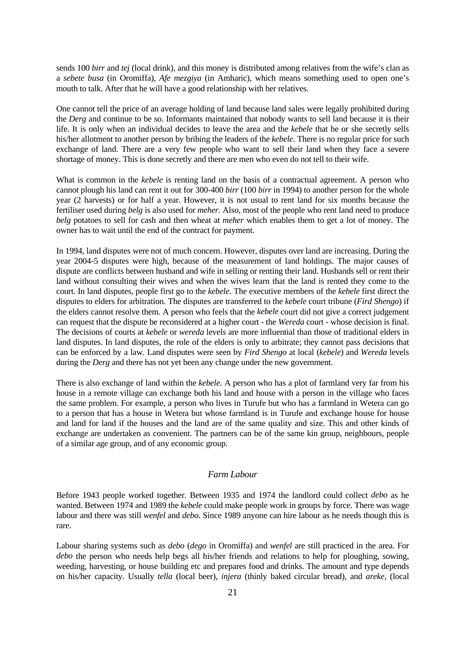<span id="page-20-0"></span>sends 100 *birr* and *tej* (local drink), and this money is distributed among relatives from the wife's clan as a *sebete busa* (in Oromiffa), *Afe mezgiya* (in Amharic), which means something used to open one's mouth to talk. After that he will have a good relationship with her relatives.

One cannot tell the price of an average holding of land because land sales were legally prohibited during the *Derg* and continue to be so. Informants maintained that nobody wants to sell land because it is their life. It is only when an individual decides to leave the area and the *kebele* that he or she secretly sells his/her allotment to another person by bribing the leaders of the *kebele*. There is no regular price for such exchange of land. There are a very few people who want to sell their land when they face a severe shortage of money. This is done secretly and there are men who even do not tell to their wife.

What is common in the *kebele* is renting land on the basis of a contractual agreement. A person who cannot plough his land can rent it out for 300-400 *birr* (100 *birr* in 1994) to another person for the whole year (2 harvests) or for half a year. However, it is not usual to rent land for six months because the fertiliser used during *belg* is also used for *meher*. Also, most of the people who rent land need to produce *belg* potatoes to sell for cash and then wheat at *meher* which enables them to get a lot of money. The owner has to wait until the end of the contract for payment.

In 1994, land disputes were not of much concern. However, disputes over land are increasing. During the year 2004-5 disputes were high, because of the measurement of land holdings. The major causes of dispute are conflicts between husband and wife in selling or renting their land. Husbands sell or rent their land without consulting their wives and when the wives learn that the land is rented they come to the court. In land disputes, people first go to the *kebele*. The executive members of the *kebele* first direct the disputes to elders for arbitration. The disputes are transferred to the *kebele* court tribune (*Fird Shengo*) if the elders cannot resolve them. A person who feels that the *kebele* court did not give a correct judgement can request that the dispute be reconsidered at a higher court - the *Wereda* court - whose decision is final. The decisions of courts at *kebele* or *wereda* levels are more influential than those of traditional elders in land disputes. In land disputes, the role of the elders is only to arbitrate; they cannot pass decisions that can be enforced by a law. Land disputes were seen by *Fird Shengo* at local (*kebele*) and *Wereda* levels during the *Derg* and there has not yet been any change under the new government.

There is also exchange of land within the *kebele*. A person who has a plot of farmland very far from his house in a remote village can exchange both his land and house with a person in the village who faces the same problem. For example, a person who lives in Turufe but who has a farmland in Wetera can go to a person that has a house in Wetera but whose farmland is in Turufe and exchange house for house and land for land if the houses and the land are of the same quality and size. This and other kinds of exchange are undertaken as convenient. The partners can be of the same kin group, neighbours, people of a similar age group, and of any economic group.

#### *Farm Labour*

Before 1943 people worked together. Between 1935 and 1974 the landlord could collect *debo* as he wanted. Between 1974 and 1989 the *kebele* could make people work in groups by force. There was wage labour and there was still *wenfel* and *debo*. Since 1989 anyone can hire labour as he needs though this is rare.

Labour sharing systems such as *debo* (*dego* in Oromiffa) and *wenfel* are still practiced in the area. For *debo* the person who needs help begs all his/her friends and relations to help for ploughing, sowing, weeding, harvesting, or house building etc and prepares food and drinks. The amount and type depends on his/her capacity. Usually *tella* (local beer), *injera* (thinly baked circular bread), and *areke,* (local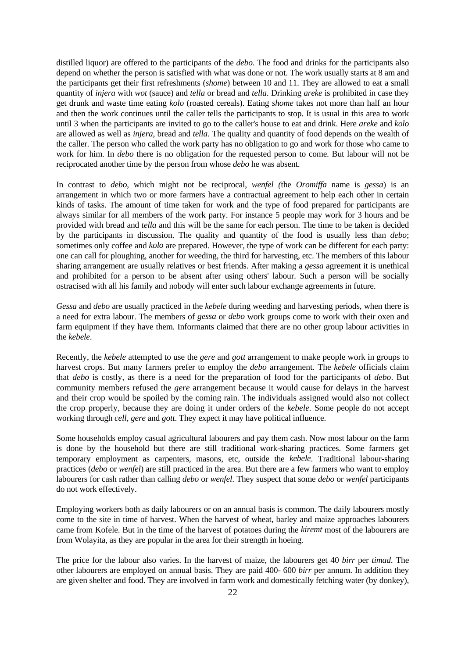distilled liquor) are offered to the participants of the *debo*. The food and drinks for the participants also depend on whether the person is satisfied with what was done or not. The work usually starts at 8 am and the participants get their first refreshments (*shome*) between 10 and 11. They are allowed to eat a small quantity of *injera* with *wot* (sauce) and *tella* or bread and *tella*. Drinking *areke* is prohibited in case they get drunk and waste time eating *kolo* (roasted cereals). Eating *shome* takes not more than half an hour and then the work continues until the caller tells the participants to stop. It is usual in this area to work until 3 when the participants are invited to go to the caller's house to eat and drink. Here *areke* and *kolo* are allowed as well as *injera*, bread and *tella*. The quality and quantity of food depends on the wealth of the caller. The person who called the work party has no obligation to go and work for those who came to work for him. In *debo* there is no obligation for the requested person to come. But labour will not be reciprocated another time by the person from whose *debo* he was absent.

In contrast to *debo*, which might not be reciprocal, *wenfel (*the *Oromiffa* name is *gessa*) is an arrangement in which two or more farmers have a contractual agreement to help each other in certain kinds of tasks. The amount of time taken for work and the type of food prepared for participants are always similar for all members of the work party. For instance 5 people may work for 3 hours and be provided with bread and *tella* and this will be the same for each person. The time to be taken is decided by the participants in discussion. The quality and quantity of the food is usually less than *debo*; sometimes only coffee and *kolo* are prepared. However, the type of work can be different for each party: one can call for ploughing, another for weeding, the third for harvesting, etc. The members of this labour sharing arrangement are usually relatives or best friends. After making a *gessa* agreement it is unethical and prohibited for a person to be absent after using others' labour. Such a person will be socially ostracised with all his family and nobody will enter such labour exchange agreements in future.

*Gessa* and *debo* are usually practiced in the *kebele* during weeding and harvesting periods, when there is a need for extra labour. The members of *gessa* or *debo* work groups come to work with their oxen and farm equipment if they have them. Informants claimed that there are no other group labour activities in the *kebele*.

Recently, the *kebele* attempted to use the *gere* and *gott* arrangement to make people work in groups to harvest crops. But many farmers prefer to employ the *debo* arrangement. The *kebele* officials claim that *debo* is costly, as there is a need for the preparation of food for the participants of *debo*. But community members refused the *gere* arrangement because it would cause for delays in the harvest and their crop would be spoiled by the coming rain. The individuals assigned would also not collect the crop properly, because they are doing it under orders of the *kebele*. Some people do not accept working through *cell*, *gere* and *gott*. They expect it may have political influence.

Some households employ casual agricultural labourers and pay them cash. Now most labour on the farm is done by the household but there are still traditional work-sharing practices. Some farmers get temporary employment as carpenters, masons, etc, outside the *kebele*. Traditional labour-sharing practices (*debo* or *wenfel*) are still practiced in the area. But there are a few farmers who want to employ labourers for cash rather than calling *debo* or *wenfel*. They suspect that some *debo* or *wenfel* participants do not work effectively.

Employing workers both as daily labourers or on an annual basis is common. The daily labourers mostly come to the site in time of harvest. When the harvest of wheat, barley and maize approaches labourers came from Kofele. But in the time of the harvest of potatoes during the *kiremt* most of the labourers are from Wolayita, as they are popular in the area for their strength in hoeing.

The price for the labour also varies. In the harvest of maize, the labourers get 40 *birr* per *timad*. The other labourers are employed on annual basis. They are paid 400- 600 *birr* per annum. In addition they are given shelter and food. They are involved in farm work and domestically fetching water (by donkey),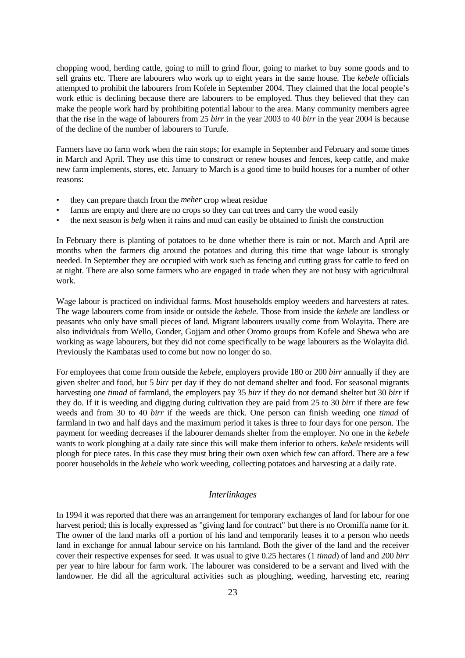<span id="page-22-0"></span>chopping wood, herding cattle, going to mill to grind flour, going to market to buy some goods and to sell grains etc. There are labourers who work up to eight years in the same house. The *kebele* officials attempted to prohibit the labourers from Kofele in September 2004. They claimed that the local people's work ethic is declining because there are labourers to be employed. Thus they believed that they can make the people work hard by prohibiting potential labour to the area. Many community members agree that the rise in the wage of labourers from 25 *birr* in the year 2003 to 40 *birr* in the year 2004 is because of the decline of the number of labourers to Turufe.

Farmers have no farm work when the rain stops; for example in September and February and some times in March and April. They use this time to construct or renew houses and fences, keep cattle, and make new farm implements, stores, etc. January to March is a good time to build houses for a number of other reasons:

- they can prepare thatch from the *meher* crop wheat residue
- farms are empty and there are no crops so they can cut trees and carry the wood easily
- the next season is *belg* when it rains and mud can easily be obtained to finish the construction

In February there is planting of potatoes to be done whether there is rain or not. March and April are months when the farmers dig around the potatoes and during this time that wage labour is strongly needed. In September they are occupied with work such as fencing and cutting grass for cattle to feed on at night. There are also some farmers who are engaged in trade when they are not busy with agricultural work.

Wage labour is practiced on individual farms. Most households employ weeders and harvesters at rates. The wage labourers come from inside or outside the *kebele*. Those from inside the *kebele* are landless or peasants who only have small pieces of land. Migrant labourers usually come from Wolayita. There are also individuals from Wello, Gonder, Gojjam and other Oromo groups from Kofele and Shewa who are working as wage labourers, but they did not come specifically to be wage labourers as the Wolayita did. Previously the Kambatas used to come but now no longer do so.

For employees that come from outside the *kebele*, employers provide 180 or 200 *birr* annually if they are given shelter and food, but 5 *birr* per day if they do not demand shelter and food. For seasonal migrants harvesting one *timad* of farmland, the employers pay 35 *birr* if they do not demand shelter but 30 *birr* if they do. If it is weeding and digging during cultivation they are paid from 25 to 30 *birr* if there are few weeds and from 30 to 40 *birr* if the weeds are thick. One person can finish weeding one *timad* of farmland in two and half days and the maximum period it takes is three to four days for one person. The payment for weeding decreases if the labourer demands shelter from the employer. No one in the *kebele* wants to work ploughing at a daily rate since this will make them inferior to others. *kebele* residents will plough for piece rates. In this case they must bring their own oxen which few can afford. There are a few poorer households in the *kebele* who work weeding, collecting potatoes and harvesting at a daily rate.

#### *Interlinkages*

In 1994 it was reported that there was an arrangement for temporary exchanges of land for labour for one harvest period; this is locally expressed as "giving land for contract" but there is no Oromiffa name for it. The owner of the land marks off a portion of his land and temporarily leases it to a person who needs land in exchange for annual labour service on his farmland. Both the giver of the land and the receiver cover their respective expenses for seed. It was usual to give 0.25 hectares (1 *timad*) of land and 200 *birr* per year to hire labour for farm work. The labourer was considered to be a servant and lived with the landowner. He did all the agricultural activities such as ploughing, weeding, harvesting etc, rearing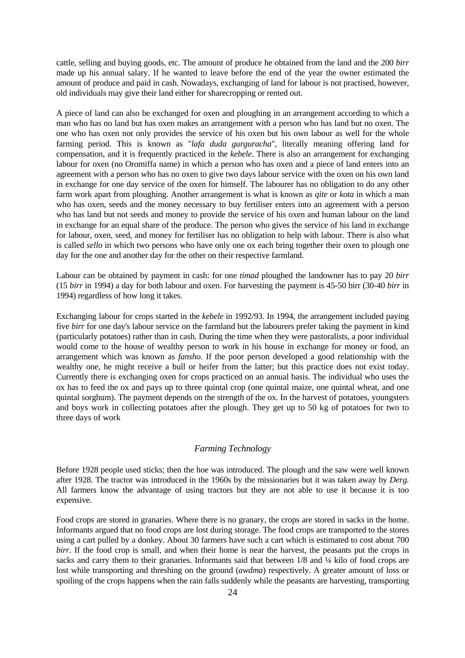<span id="page-23-0"></span>cattle, selling and buying goods, etc. The amount of produce he obtained from the land and the 200 *birr* made up his annual salary. If he wanted to leave before the end of the year the owner estimated the amount of produce and paid in cash. Nowadays, exchanging of land for labour is not practised, however, old individuals may give their land either for sharecropping or rented out.

A piece of land can also be exchanged for oxen and ploughing in an arrangement according to which a man who has no land but has oxen makes an arrangement with a person who has land but no oxen. The one who has oxen not only provides the service of his oxen but his own labour as well for the whole farming period. This is known as "*lafa duda gurguracha*", literally meaning offering land for compensation, and it is frequently practiced in the *kebele*. There is also an arrangement for exchanging labour for oxen (no Oromiffa name) in which a person who has oxen and a piece of land enters into an agreement with a person who has no oxen to give two days labour service with the oxen on his own land in exchange for one day service of the oxen for himself. The labourer has no obligation to do any other farm work apart from ploughing. Another arrangement is what is known as *qite* or *kota* in which a man who has oxen, seeds and the money necessary to buy fertiliser enters into an agreement with a person who has land but not seeds and money to provide the service of his oxen and human labour on the land in exchange for an equal share of the produce. The person who gives the service of his land in exchange for labour, oxen, seed, and money for fertiliser has no obligation to help with labour. There is also what is called *sello* in which two persons who have only one ox each bring together their oxen to plough one day for the one and another day for the other on their respective farmland.

Labour can be obtained by payment in cash: for one *timad* ploughed the landowner has to pay 20 *birr*  (15 *birr* in 1994) a day for both labour and oxen. For harvesting the payment is 45-50 birr (30-40 *birr* in 1994) regardless of how long it takes.

Exchanging labour for crops started in the *kebele* in 1992/93. In 1994, the arrangement included paying five *birr* for one day's labour service on the farmland but the labourers prefer taking the payment in kind (particularly potatoes) rather than in cash. During the time when they were pastoralists, a poor individual would come to the house of wealthy person to work in his house in exchange for money or food, an arrangement which was known as *fansho*. If the poor person developed a good relationship with the wealthy one, he might receive a bull or heifer from the latter; but this practice does not exist today. Currently there is exchanging oxen for crops practiced on an annual basis. The individual who uses the ox has to feed the ox and pays up to three quintal crop (one quintal maize, one quintal wheat, and one quintal sorghum). The payment depends on the strength of the ox. In the harvest of potatoes, youngsters and boys work in collecting potatoes after the plough. They get up to 50 kg of potatoes for two to three days of work

#### *Farming Technology*

Before 1928 people used sticks; then the hoe was introduced. The plough and the saw were well known after 1928. The tractor was introduced in the 1960s by the missionaries but it was taken away by *Derg.*  All farmers know the advantage of using tractors but they are not able to use it because it is too expensive.

Food crops are stored in granaries. Where there is no granary, the crops are stored in sacks in the home. Informants argued that no food crops are lost during storage. The food crops are transported to the stores using a cart pulled by a donkey. About 30 farmers have such a cart which is estimated to cost about 700 *birr*. If the food crop is small, and when their home is near the harvest, the peasants put the crops in sacks and carry them to their granaries. Informants said that between 1/8 and 1/4 kilo of food crops are lost while transporting and threshing on the ground (*awdma*) respectively. A greater amount of loss or spoiling of the crops happens when the rain falls suddenly while the peasants are harvesting, transporting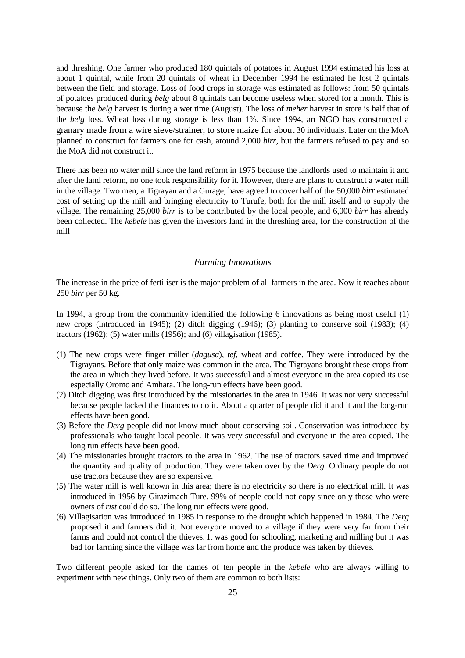<span id="page-24-0"></span>and threshing. One farmer who produced 180 quintals of potatoes in August 1994 estimated his loss at about 1 quintal, while from 20 quintals of wheat in December 1994 he estimated he lost 2 quintals between the field and storage. Loss of food crops in storage was estimated as follows: from 50 quintals of potatoes produced during *belg* about 8 quintals can become useless when stored for a month. This is because the *belg* harvest is during a wet time (August). The loss of *meher* harvest in store is half that of the *belg* loss. Wheat loss during storage is less than 1%. Since 1994, an NGO has constructed a granary made from a wire sieve/strainer, to store maize for about 30 individuals. Later on the MoA planned to construct for farmers one for cash, around 2,000 *birr*, but the farmers refused to pay and so the MoA did not construct it.

There has been no water mill since the land reform in 1975 because the landlords used to maintain it and after the land reform, no one took responsibility for it. However, there are plans to construct a water mill in the village. Two men, a Tigrayan and a Gurage, have agreed to cover half of the 50,000 *birr* estimated cost of setting up the mill and bringing electricity to Turufe, both for the mill itself and to supply the village. The remaining 25,000 *birr* is to be contributed by the local people, and 6,000 *birr* has already been collected. The *kebele* has given the investors land in the threshing area, for the construction of the mill

#### *Farming Innovations*

The increase in the price of fertiliser is the major problem of all farmers in the area. Now it reaches about 250 *birr* per 50 kg.

In 1994, a group from the community identified the following 6 innovations as being most useful (1) new crops (introduced in 1945); (2) ditch digging (1946); (3) planting to conserve soil (1983); (4) tractors (1962); (5) water mills (1956); and (6) villagisation (1985).

- (1) The new crops were finger miller (*dagusa*), *tef*, wheat and coffee. They were introduced by the Tigrayans. Before that only maize was common in the area. The Tigrayans brought these crops from the area in which they lived before. It was successful and almost everyone in the area copied its use especially Oromo and Amhara. The long-run effects have been good.
- (2) Ditch digging was first introduced by the missionaries in the area in 1946. It was not very successful because people lacked the finances to do it. About a quarter of people did it and it and the long-run effects have been good.
- (3) Before the *Derg* people did not know much about conserving soil. Conservation was introduced by professionals who taught local people. It was very successful and everyone in the area copied. The long run effects have been good.
- (4) The missionaries brought tractors to the area in 1962. The use of tractors saved time and improved the quantity and quality of production. They were taken over by the *Derg*. Ordinary people do not use tractors because they are so expensive.
- (5) The water mill is well known in this area; there is no electricity so there is no electrical mill. It was introduced in 1956 by Girazimach Ture. 99% of people could not copy since only those who were owners of *rist* could do so. The long run effects were good.
- (6) Villagisation was introduced in 1985 in response to the drought which happened in 1984. The *Derg* proposed it and farmers did it. Not everyone moved to a village if they were very far from their farms and could not control the thieves. It was good for schooling, marketing and milling but it was bad for farming since the village was far from home and the produce was taken by thieves.

Two different people asked for the names of ten people in the *kebele* who are always willing to experiment with new things. Only two of them are common to both lists: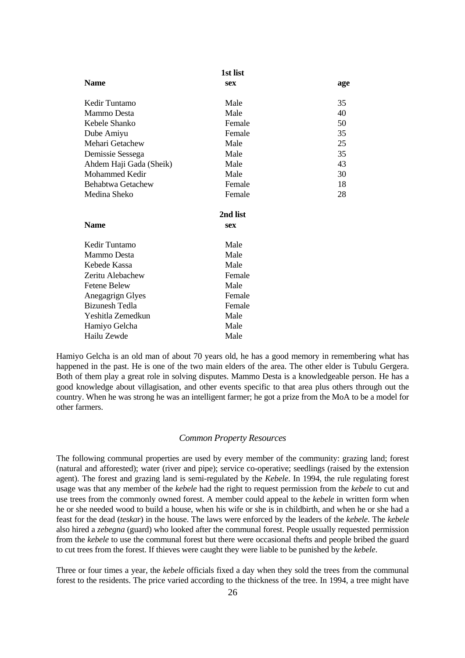<span id="page-25-0"></span>

|                         | 1st list   |     |
|-------------------------|------------|-----|
| <b>Name</b>             | <b>sex</b> | age |
| Kedir Tuntamo           | Male       | 35  |
| Mammo Desta             | Male       | 40  |
| Kebele Shanko           | Female     | 50  |
| Dube Amiyu              | Female     | 35  |
| Mehari Getachew         | Male       | 25  |
| Demissie Sessega        | Male       | 35  |
| Ahdem Haji Gada (Sheik) | Male       | 43  |
| Mohammed Kedir          | Male       | 30  |
| Behabtwa Getachew       | Female     | 18  |
| Medina Sheko            | Female     | 28  |
|                         | 2nd list   |     |
| <b>Name</b>             | <b>sex</b> |     |
| Kedir Tuntamo           | Male       |     |
| Mammo Desta             | Male       |     |
| Kebede Kassa            | Male       |     |
| Zeritu Alebachew        | Female     |     |
| <b>Fetene Belew</b>     | Male       |     |
| Anegagrign Glyes        | Female     |     |
| <b>Bizunesh Tedla</b>   | Female     |     |
| Yeshitla Zemedkun       | Male       |     |
| Hamiyo Gelcha           | Male       |     |
| Hailu Zewde             | Male       |     |
|                         |            |     |

Hamiyo Gelcha is an old man of about 70 years old, he has a good memory in remembering what has happened in the past. He is one of the two main elders of the area. The other elder is Tubulu Gergera. Both of them play a great role in solving disputes. Mammo Desta is a knowledgeable person. He has a good knowledge about villagisation, and other events specific to that area plus others through out the country. When he was strong he was an intelligent farmer; he got a prize from the MoA to be a model for other farmers.

#### *Common Property Resources*

The following communal properties are used by every member of the community: grazing land; forest (natural and afforested); water (river and pipe); service co-operative; seedlings (raised by the extension agent). The forest and grazing land is semi-regulated by the *Kebele*. In 1994, the rule regulating forest usage was that any member of the *kebele* had the right to request permission from the *kebele* to cut and use trees from the commonly owned forest. A member could appeal to the *kebele* in written form when he or she needed wood to build a house, when his wife or she is in childbirth, and when he or she had a feast for the dead (*teskar*) in the house. The laws were enforced by the leaders of the *kebele*. The *kebele* also hired a *zebegna* (guard) who looked after the communal forest. People usually requested permission from the *kebele* to use the communal forest but there were occasional thefts and people bribed the guard to cut trees from the forest. If thieves were caught they were liable to be punished by the *kebele*.

Three or four times a year, the *kebele* officials fixed a day when they sold the trees from the communal forest to the residents. The price varied according to the thickness of the tree. In 1994, a tree might have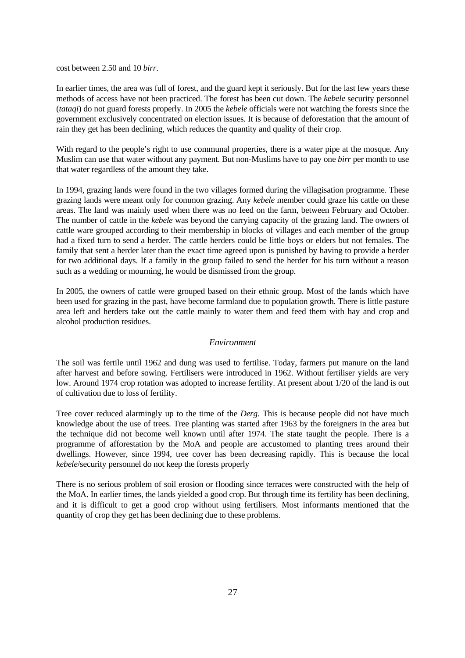<span id="page-26-0"></span>cost between 2.50 and 10 *birr*.

In earlier times, the area was full of forest, and the guard kept it seriously. But for the last few years these methods of access have not been practiced. The forest has been cut down. The *kebele* security personnel (*tataqi*) do not guard forests properly. In 2005 the *kebele* officials were not watching the forests since the government exclusively concentrated on election issues. It is because of deforestation that the amount of rain they get has been declining, which reduces the quantity and quality of their crop.

With regard to the people's right to use communal properties, there is a water pipe at the mosque. Any Muslim can use that water without any payment. But non-Muslims have to pay one *birr* per month to use that water regardless of the amount they take.

In 1994, grazing lands were found in the two villages formed during the villagisation programme. These grazing lands were meant only for common grazing. Any *kebele* member could graze his cattle on these areas. The land was mainly used when there was no feed on the farm, between February and October. The number of cattle in the *kebele* was beyond the carrying capacity of the grazing land. The owners of cattle ware grouped according to their membership in blocks of villages and each member of the group had a fixed turn to send a herder. The cattle herders could be little boys or elders but not females. The family that sent a herder later than the exact time agreed upon is punished by having to provide a herder for two additional days. If a family in the group failed to send the herder for his turn without a reason such as a wedding or mourning, he would be dismissed from the group.

In 2005, the owners of cattle were grouped based on their ethnic group. Most of the lands which have been used for grazing in the past, have become farmland due to population growth. There is little pasture area left and herders take out the cattle mainly to water them and feed them with hay and crop and alcohol production residues.

#### *Environment*

The soil was fertile until 1962 and dung was used to fertilise. Today, farmers put manure on the land after harvest and before sowing. Fertilisers were introduced in 1962. Without fertiliser yields are very low. Around 1974 crop rotation was adopted to increase fertility. At present about 1/20 of the land is out of cultivation due to loss of fertility.

Tree cover reduced alarmingly up to the time of the *Derg*. This is because people did not have much knowledge about the use of trees. Tree planting was started after 1963 by the foreigners in the area but the technique did not become well known until after 1974. The state taught the people. There is a programme of afforestation by the MoA and people are accustomed to planting trees around their dwellings. However, since 1994, tree cover has been decreasing rapidly. This is because the local *kebele*/security personnel do not keep the forests properly

There is no serious problem of soil erosion or flooding since terraces were constructed with the help of the MoA. In earlier times, the lands yielded a good crop. But through time its fertility has been declining, and it is difficult to get a good crop without using fertilisers. Most informants mentioned that the quantity of crop they get has been declining due to these problems.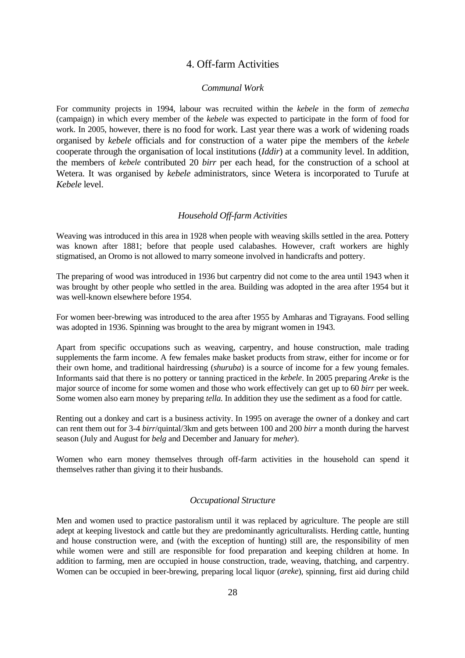#### 4. Off-farm Activities

#### *Communal Work*

<span id="page-27-0"></span>For community projects in 1994, labour was recruited within the *kebele* in the form of *zemecha*  (campaign) in which every member of the *kebele* was expected to participate in the form of food for work. In 2005, however, there is no food for work. Last year there was a work of widening roads organised by *kebele* officials and for construction of a water pipe the members of the *kebele* cooperate through the organisation of local institutions (*Iddir*) at a community level. In addition, the members of *kebele* contributed 20 *birr* per each head, for the construction of a school at Wetera. It was organised by *kebele* administrators, since Wetera is incorporated to Turufe at *Kebele* level.

#### *Household Off-farm Activities*

Weaving was introduced in this area in 1928 when people with weaving skills settled in the area. Pottery was known after 1881; before that people used calabashes. However, craft workers are highly stigmatised, an Oromo is not allowed to marry someone involved in handicrafts and pottery.

The preparing of wood was introduced in 1936 but carpentry did not come to the area until 1943 when it was brought by other people who settled in the area. Building was adopted in the area after 1954 but it was well-known elsewhere before 1954.

For women beer-brewing was introduced to the area after 1955 by Amharas and Tigrayans. Food selling was adopted in 1936. Spinning was brought to the area by migrant women in 1943.

Apart from specific occupations such as weaving, carpentry, and house construction, male trading supplements the farm income. A few females make basket products from straw, either for income or for their own home, and traditional hairdressing (*shuruba*) is a source of income for a few young females. Informants said that there is no pottery or tanning practiced in the *kebele*. In 2005 preparing *Areke* is the major source of income for some women and those who work effectively can get up to 60 *birr* per week. Some women also earn money by preparing *tella.* In addition they use the sediment as a food for cattle.

Renting out a donkey and cart is a business activity. In 1995 on average the owner of a donkey and cart can rent them out for 3-4 *birr*/quintal/3km and gets between 100 and 200 *birr* a month during the harvest season (July and August for *belg* and December and January for *meher*).

Women who earn money themselves through off-farm activities in the household can spend it themselves rather than giving it to their husbands.

#### *Occupational Structure*

Men and women used to practice pastoralism until it was replaced by agriculture. The people are still adept at keeping livestock and cattle but they are predominantly agriculturalists. Herding cattle, hunting and house construction were, and (with the exception of hunting) still are, the responsibility of men while women were and still are responsible for food preparation and keeping children at home. In addition to farming, men are occupied in house construction, trade, weaving, thatching, and carpentry. Women can be occupied in beer-brewing, preparing local liquor (*areke*), spinning, first aid during child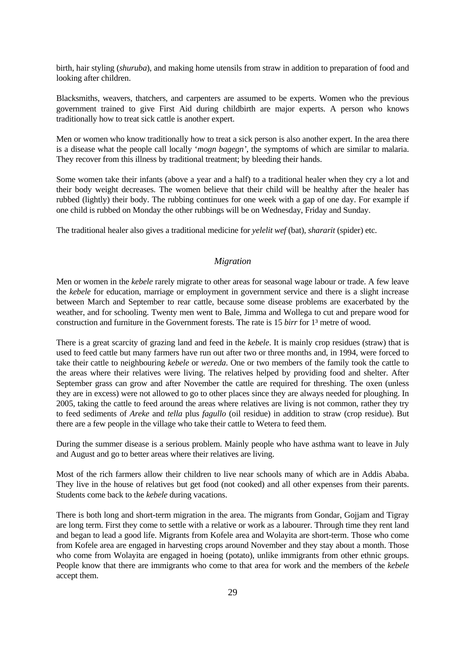<span id="page-28-0"></span>birth, hair styling (*shuruba*), and making home utensils from straw in addition to preparation of food and looking after children.

Blacksmiths, weavers, thatchers, and carpenters are assumed to be experts. Women who the previous government trained to give First Aid during childbirth are major experts. A person who knows traditionally how to treat sick cattle is another expert.

Men or women who know traditionally how to treat a sick person is also another expert. In the area there is a disease what the people call locally '*mogn bagegn'*, the symptoms of which are similar to malaria. They recover from this illness by traditional treatment; by bleeding their hands.

Some women take their infants (above a year and a half) to a traditional healer when they cry a lot and their body weight decreases. The women believe that their child will be healthy after the healer has rubbed (lightly) their body. The rubbing continues for one week with a gap of one day. For example if one child is rubbed on Monday the other rubbings will be on Wednesday, Friday and Sunday.

The traditional healer also gives a traditional medicine for *yelelit wef* (bat), *shararit* (spider) etc.

#### *Migration*

Men or women in the *kebele* rarely migrate to other areas for seasonal wage labour or trade. A few leave the *kebele* for education, marriage or employment in government service and there is a slight increase between March and September to rear cattle, because some disease problems are exacerbated by the weather, and for schooling. Twenty men went to Bale, Jimma and Wollega to cut and prepare wood for construction and furniture in the Government forests. The rate is 15 *birr* for 1³ metre of wood.

There is a great scarcity of grazing land and feed in the *kebele*. It is mainly crop residues (straw) that is used to feed cattle but many farmers have run out after two or three months and, in 1994, were forced to take their cattle to neighbouring *kebele* or *wereda*. One or two members of the family took the cattle to the areas where their relatives were living. The relatives helped by providing food and shelter. After September grass can grow and after November the cattle are required for threshing. The oxen (unless they are in excess) were not allowed to go to other places since they are always needed for ploughing. In 2005, taking the cattle to feed around the areas where relatives are living is not common, rather they try to feed sediments of *Areke* and *tella* plus *fagullo* (oil residue) in addition to straw (crop residue). But there are a few people in the village who take their cattle to Wetera to feed them.

During the summer disease is a serious problem. Mainly people who have asthma want to leave in July and August and go to better areas where their relatives are living.

Most of the rich farmers allow their children to live near schools many of which are in Addis Ababa. They live in the house of relatives but get food (not cooked) and all other expenses from their parents. Students come back to the *kebele* during vacations.

There is both long and short-term migration in the area. The migrants from Gondar, Gojjam and Tigray are long term. First they come to settle with a relative or work as a labourer. Through time they rent land and began to lead a good life. Migrants from Kofele area and Wolayita are short-term. Those who come from Kofele area are engaged in harvesting crops around November and they stay about a month. Those who come from Wolayita are engaged in hoeing (potato), unlike immigrants from other ethnic groups. People know that there are immigrants who come to that area for work and the members of the *kebele* accept them.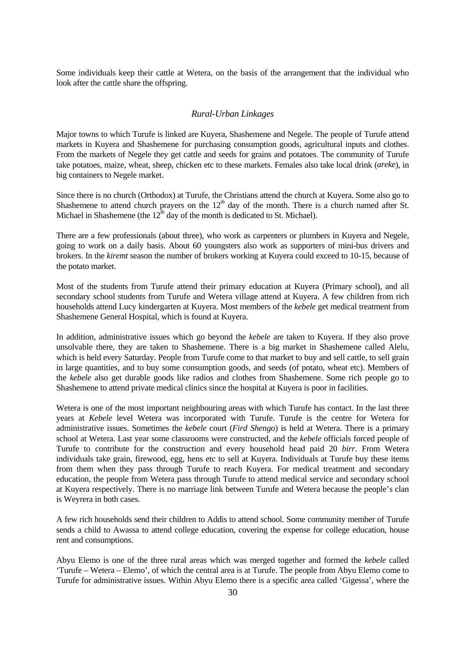<span id="page-29-0"></span>Some individuals keep their cattle at Wetera, on the basis of the arrangement that the individual who look after the cattle share the offspring.

#### *Rural-Urban Linkages*

Major towns to which Turufe is linked are Kuyera, Shashemene and Negele. The people of Turufe attend markets in Kuyera and Shashemene for purchasing consumption goods, agricultural inputs and clothes. From the markets of Negele they get cattle and seeds for grains and potatoes. The community of Turufe take potatoes, maize, wheat, sheep, chicken etc to these markets. Females also take local drink (*areke*), in big containers to Negele market.

Since there is no church (Orthodox) at Turufe, the Christians attend the church at Kuyera. Some also go to Shashemene to attend church prayers on the  $12<sup>th</sup>$  day of the month. There is a church named after St. Michael in Shashemene (the  $12<sup>th</sup>$  day of the month is dedicated to St. Michael).

There are a few professionals (about three), who work as carpenters or plumbers in Kuyera and Negele, going to work on a daily basis. About 60 youngsters also work as supporters of mini-bus drivers and brokers. In the *kiremt* season the number of brokers working at Kuyera could exceed to 10-15, because of the potato market.

Most of the students from Turufe attend their primary education at Kuyera (Primary school), and all secondary school students from Turufe and Wetera village attend at Kuyera. A few children from rich households attend Lucy kindergarten at Kuyera. Most members of the *kebele* get medical treatment from Shashemene General Hospital, which is found at Kuyera.

In addition, administrative issues which go beyond the *kebele* are taken to Kuyera. If they also prove unsolvable there, they are taken to Shashemene. There is a big market in Shashemene called Alelu, which is held every Saturday. People from Turufe come to that market to buy and sell cattle, to sell grain in large quantities, and to buy some consumption goods, and seeds (of potato, wheat etc). Members of the *kebele* also get durable goods like radios and clothes from Shashemene. Some rich people go to Shashemene to attend private medical clinics since the hospital at Kuyera is poor in facilities.

Wetera is one of the most important neighbouring areas with which Turufe has contact. In the last three years at *Kebele* level Wetera was incorporated with Turufe. Turufe is the centre for Wetera for administrative issues. Sometimes the *kebele* court (*Fird Shengo*) is held at Wetera. There is a primary school at Wetera. Last year some classrooms were constructed, and the *kebele* officials forced people of Turufe to contribute for the construction and every household head paid 20 *birr*. From Wetera individuals take grain, firewood, egg, hens etc to sell at Kuyera. Individuals at Turufe buy these items from them when they pass through Turufe to reach Kuyera. For medical treatment and secondary education, the people from Wetera pass through Turufe to attend medical service and secondary school at Kuyera respectively. There is no marriage link between Turufe and Wetera because the people's clan is Weyrera in both cases.

A few rich households send their children to Addis to attend school. Some community member of Turufe sends a child to Awassa to attend college education, covering the expense for college education, house rent and consumptions.

Abyu Elemo is one of the three rural areas which was merged together and formed the *kebele* called 'Turufe – Wetera – Elemo', of which the central area is at Turufe. The people from Abyu Elemo come to Turufe for administrative issues. Within Abyu Elemo there is a specific area called 'Gigessa', where the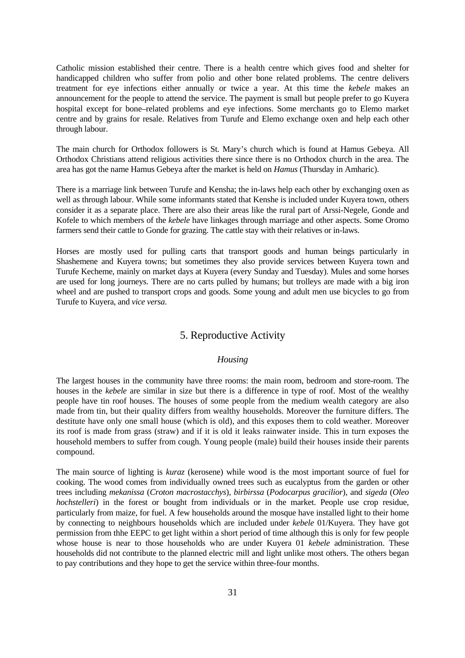<span id="page-30-0"></span>Catholic mission established their centre. There is a health centre which gives food and shelter for handicapped children who suffer from polio and other bone related problems. The centre delivers treatment for eye infections either annually or twice a year. At this time the *kebele* makes an announcement for the people to attend the service. The payment is small but people prefer to go Kuyera hospital except for bone–related problems and eye infections. Some merchants go to Elemo market centre and by grains for resale. Relatives from Turufe and Elemo exchange oxen and help each other through labour.

The main church for Orthodox followers is St. Mary's church which is found at Hamus Gebeya. All Orthodox Christians attend religious activities there since there is no Orthodox church in the area. The area has got the name Hamus Gebeya after the market is held on *Hamus* (Thursday in Amharic).

There is a marriage link between Turufe and Kensha; the in-laws help each other by exchanging oxen as well as through labour. While some informants stated that Kenshe is included under Kuyera town, others consider it as a separate place. There are also their areas like the rural part of Arssi-Negele, Gonde and Kofele to which members of the *kebele* have linkages through marriage and other aspects. Some Oromo farmers send their cattle to Gonde for grazing. The cattle stay with their relatives or in-laws.

Horses are mostly used for pulling carts that transport goods and human beings particularly in Shashemene and Kuyera towns; but sometimes they also provide services between Kuyera town and Turufe Kecheme, mainly on market days at Kuyera (every Sunday and Tuesday). Mules and some horses are used for long journeys. There are no carts pulled by humans; but trolleys are made with a big iron wheel and are pushed to transport crops and goods. Some young and adult men use bicycles to go from Turufe to Kuyera, and *vice versa*.

#### 5. Reproductive Activity

#### *Housing*

The largest houses in the community have three rooms: the main room, bedroom and store-room. The houses in the *kebele* are similar in size but there is a difference in type of roof. Most of the wealthy people have tin roof houses. The houses of some people from the medium wealth category are also made from tin, but their quality differs from wealthy households. Moreover the furniture differs. The destitute have only one small house (which is old), and this exposes them to cold weather. Moreover its roof is made from grass (straw) and if it is old it leaks rainwater inside. This in turn exposes the household members to suffer from cough. Young people (male) build their houses inside their parents compound.

The main source of lighting is *kuraz* (kerosene) while wood is the most important source of fuel for cooking. The wood comes from individually owned trees such as eucalyptus from the garden or other trees including *mekanissa* (*Croton macrostacchys*), *birbirssa* (*Podocarpus gracilior*), and *sigeda* (*Oleo hochstelleri*) in the forest or bought from individuals or in the market. People use crop residue, particularly from maize, for fuel. A few households around the mosque have installed light to their home by connecting to neighbours households which are included under *kebele* 01/Kuyera. They have got permission from thhe EEPC to get light within a short period of time although this is only for few people whose house is near to those households who are under Kuyera 01 *kebele* administration. These households did not contribute to the planned electric mill and light unlike most others. The others began to pay contributions and they hope to get the service within three-four months.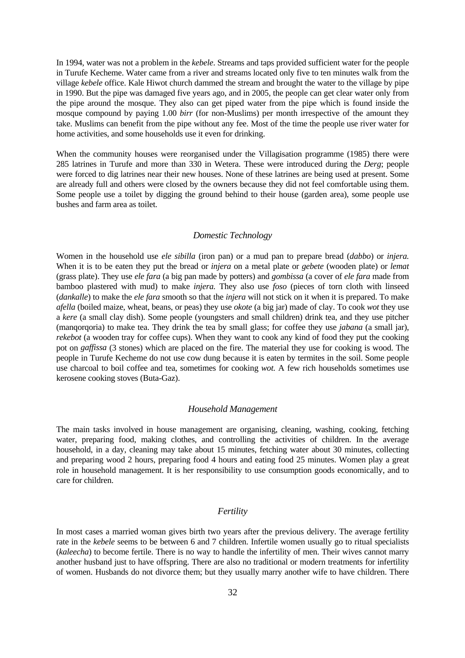<span id="page-31-0"></span>In 1994, water was not a problem in the *kebele*. Streams and taps provided sufficient water for the people in Turufe Kecheme. Water came from a river and streams located only five to ten minutes walk from the village *kebele* office. Kale Hiwot church dammed the stream and brought the water to the village by pipe in 1990. But the pipe was damaged five years ago, and in 2005, the people can get clear water only from the pipe around the mosque. They also can get piped water from the pipe which is found inside the mosque compound by paying 1.00 *birr* (for non-Muslims) per month irrespective of the amount they take. Muslims can benefit from the pipe without any fee. Most of the time the people use river water for home activities, and some households use it even for drinking.

When the community houses were reorganised under the Villagisation programme (1985) there were 285 latrines in Turufe and more than 330 in Wetera. These were introduced during the *Derg*; people were forced to dig latrines near their new houses. None of these latrines are being used at present. Some are already full and others were closed by the owners because they did not feel comfortable using them. Some people use a toilet by digging the ground behind to their house (garden area), some people use bushes and farm area as toilet.

#### *Domestic Technology*

Women in the household use *ele sibilla* (iron pan) or a mud pan to prepare bread (*dabbo*) or *injera.*  When it is to be eaten they put the bread or *injera* on a metal plate or *gebete* (wooden plate) or *lemat*  (grass plate). They use *ele fara* (a big pan made by potters) and *gombissa* (a cover of *ele fara* made from bamboo plastered with mud) to make *injera.* They also use *foso* (pieces of torn cloth with linseed (*dankalle*) to make the *ele fara* smooth so that the *injera* will not stick on it when it is prepared. To make *afella* (boiled maize, wheat, beans, or peas) they use *okote* (a big jar) made of clay. To cook *wot* they use a *kere* (a small clay dish). Some people (youngsters and small children) drink tea, and they use pitcher (manqorqoria) to make tea. They drink the tea by small glass; for coffee they use *jabana* (a small jar), *rekebot* (a wooden tray for coffee cups). When they want to cook any kind of food they put the cooking pot on *gaffissa* (3 stones) which are placed on the fire. The material they use for cooking is wood. The people in Turufe Kecheme do not use cow dung because it is eaten by termites in the soil. Some people use charcoal to boil coffee and tea, sometimes for cooking *wot.* A few rich households sometimes use kerosene cooking stoves (Buta-Gaz).

#### *Household Management*

The main tasks involved in house management are organising, cleaning, washing, cooking, fetching water, preparing food, making clothes, and controlling the activities of children. In the average household, in a day, cleaning may take about 15 minutes, fetching water about 30 minutes, collecting and preparing wood 2 hours, preparing food 4 hours and eating food 25 minutes. Women play a great role in household management. It is her responsibility to use consumption goods economically, and to care for children.

#### *Fertility*

In most cases a married woman gives birth two years after the previous delivery. The average fertility rate in the *kebele* seems to be between 6 and 7 children. Infertile women usually go to ritual specialists (*kaleecha*) to become fertile. There is no way to handle the infertility of men. Their wives cannot marry another husband just to have offspring. There are also no traditional or modern treatments for infertility of women. Husbands do not divorce them; but they usually marry another wife to have children. There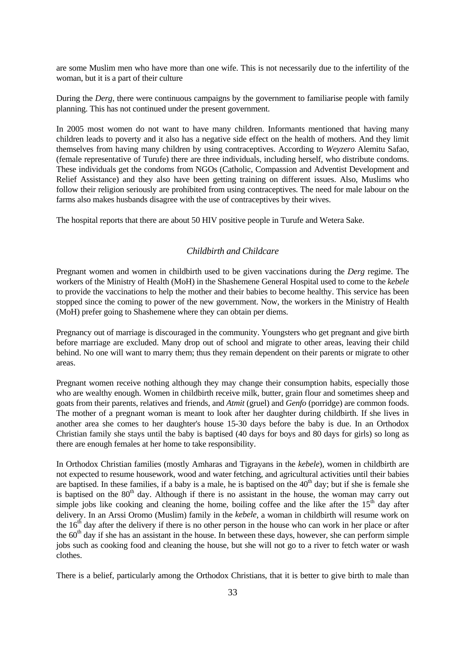<span id="page-32-0"></span>are some Muslim men who have more than one wife. This is not necessarily due to the infertility of the woman, but it is a part of their culture

During the *Derg*, there were continuous campaigns by the government to familiarise people with family planning. This has not continued under the present government.

In 2005 most women do not want to have many children. Informants mentioned that having many children leads to poverty and it also has a negative side effect on the health of mothers. And they limit themselves from having many children by using contraceptives. According to *Weyzero* Alemitu Safao, (female representative of Turufe) there are three individuals, including herself, who distribute condoms. These individuals get the condoms from NGOs (Catholic, Compassion and Adventist Development and Relief Assistance) and they also have been getting training on different issues. Also, Muslims who follow their religion seriously are prohibited from using contraceptives. The need for male labour on the farms also makes husbands disagree with the use of contraceptives by their wives.

The hospital reports that there are about 50 HIV positive people in Turufe and Wetera Sake.

#### *Childbirth and Childcare*

Pregnant women and women in childbirth used to be given vaccinations during the *Derg* regime. The workers of the Ministry of Health (MoH) in the Shashemene General Hospital used to come to the *kebele* to provide the vaccinations to help the mother and their babies to become healthy. This service has been stopped since the coming to power of the new government. Now, the workers in the Ministry of Health (MoH) prefer going to Shashemene where they can obtain per diems.

Pregnancy out of marriage is discouraged in the community. Youngsters who get pregnant and give birth before marriage are excluded. Many drop out of school and migrate to other areas, leaving their child behind. No one will want to marry them; thus they remain dependent on their parents or migrate to other areas.

Pregnant women receive nothing although they may change their consumption habits, especially those who are wealthy enough. Women in childbirth receive milk, butter, grain flour and sometimes sheep and goats from their parents, relatives and friends, and *Atmit* (gruel) and *Genfo* (porridge) are common foods. The mother of a pregnant woman is meant to look after her daughter during childbirth. If she lives in another area she comes to her daughter's house 15-30 days before the baby is due. In an Orthodox Christian family she stays until the baby is baptised (40 days for boys and 80 days for girls) so long as there are enough females at her home to take responsibility.

In Orthodox Christian families (mostly Amharas and Tigrayans in the *kebele*), women in childbirth are not expected to resume housework, wood and water fetching, and agricultural activities until their babies are baptised. In these families, if a baby is a male, he is baptised on the  $40<sup>th</sup>$  day; but if she is female she is baptised on the  $80<sup>th</sup>$  day. Although if there is no assistant in the house, the woman may carry out simple jobs like cooking and cleaning the home, boiling coffee and the like after the  $15<sup>th</sup>$  day after delivery. In an Arssi Oromo (Muslim) family in the *kebele*, a woman in childbirth will resume work on the  $16<sup>th</sup>$  day after the delivery if there is no other person in the house who can work in her place or after the  $60<sup>th</sup>$  day if she has an assistant in the house. In between these days, however, she can perform simple jobs such as cooking food and cleaning the house, but she will not go to a river to fetch water or wash clothes.

There is a belief, particularly among the Orthodox Christians, that it is better to give birth to male than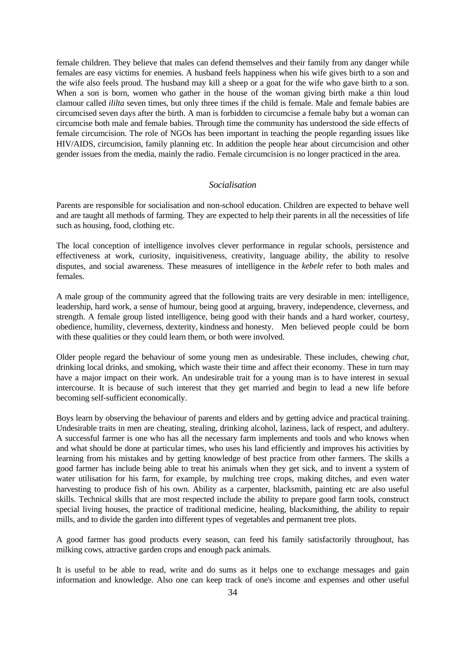<span id="page-33-0"></span>female children. They believe that males can defend themselves and their family from any danger while females are easy victims for enemies. A husband feels happiness when his wife gives birth to a son and the wife also feels proud. The husband may kill a sheep or a goat for the wife who gave birth to a son. When a son is born, women who gather in the house of the woman giving birth make a thin loud clamour called *ililta* seven times, but only three times if the child is female. Male and female babies are circumcised seven days after the birth. A man is forbidden to circumcise a female baby but a woman can circumcise both male and female babies. Through time the community has understood the side effects of female circumcision. The role of NGOs has been important in teaching the people regarding issues like HIV/AIDS, circumcision, family planning etc. In addition the people hear about circumcision and other gender issues from the media, mainly the radio. Female circumcision is no longer practiced in the area.

#### *Socialisation*

Parents are responsible for socialisation and non-school education. Children are expected to behave well and are taught all methods of farming. They are expected to help their parents in all the necessities of life such as housing, food, clothing etc.

The local conception of intelligence involves clever performance in regular schools, persistence and effectiveness at work, curiosity, inquisitiveness, creativity, language ability, the ability to resolve disputes, and social awareness. These measures of intelligence in the *kebele* refer to both males and females.

A male group of the community agreed that the following traits are very desirable in men: intelligence, leadership, hard work, a sense of humour, being good at arguing, bravery, independence, cleverness, and strength. A female group listed intelligence, being good with their hands and a hard worker, courtesy, obedience, humility, cleverness, dexterity, kindness and honesty. Men believed people could be born with these qualities or they could learn them, or both were involved.

Older people regard the behaviour of some young men as undesirable. These includes, chewing *chat*, drinking local drinks, and smoking, which waste their time and affect their economy. These in turn may have a major impact on their work. An undesirable trait for a young man is to have interest in sexual intercourse. It is because of such interest that they get married and begin to lead a new life before becoming self-sufficient economically.

Boys learn by observing the behaviour of parents and elders and by getting advice and practical training. Undesirable traits in men are cheating, stealing, drinking alcohol, laziness, lack of respect, and adultery. A successful farmer is one who has all the necessary farm implements and tools and who knows when and what should be done at particular times, who uses his land efficiently and improves his activities by learning from his mistakes and by getting knowledge of best practice from other farmers. The skills a good farmer has include being able to treat his animals when they get sick, and to invent a system of water utilisation for his farm, for example, by mulching tree crops, making ditches, and even water harvesting to produce fish of his own. Ability as a carpenter, blacksmith, painting etc are also useful skills. Technical skills that are most respected include the ability to prepare good farm tools, construct special living houses, the practice of traditional medicine, healing, blacksmithing, the ability to repair mills, and to divide the garden into different types of vegetables and permanent tree plots.

A good farmer has good products every season, can feed his family satisfactorily throughout, has milking cows, attractive garden crops and enough pack animals.

It is useful to be able to read, write and do sums as it helps one to exchange messages and gain information and knowledge. Also one can keep track of one's income and expenses and other useful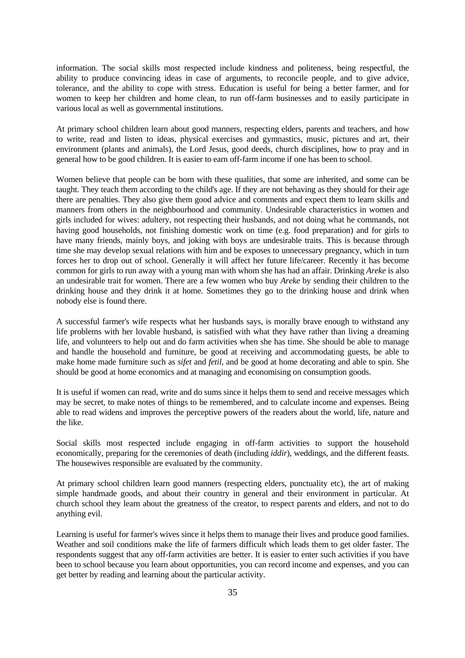information. The social skills most respected include kindness and politeness, being respectful, the ability to produce convincing ideas in case of arguments, to reconcile people, and to give advice, tolerance, and the ability to cope with stress. Education is useful for being a better farmer, and for women to keep her children and home clean, to run off-farm businesses and to easily participate in various local as well as governmental institutions.

At primary school children learn about good manners, respecting elders, parents and teachers, and how to write, read and listen to ideas, physical exercises and gymnastics, music, pictures and art, their environment (plants and animals), the Lord Jesus, good deeds, church disciplines, how to pray and in general how to be good children. It is easier to earn off-farm income if one has been to school.

Women believe that people can be born with these qualities, that some are inherited, and some can be taught. They teach them according to the child's age. If they are not behaving as they should for their age there are penalties. They also give them good advice and comments and expect them to learn skills and manners from others in the neighbourhood and community. Undesirable characteristics in women and girls included for wives: adultery, not respecting their husbands, and not doing what he commands, not having good households, not finishing domestic work on time (e.g. food preparation) and for girls to have many friends, mainly boys, and joking with boys are undesirable traits. This is because through time she may develop sexual relations with him and be exposes to unnecessary pregnancy, which in turn forces her to drop out of school. Generally it will affect her future life/career. Recently it has become common for girls to run away with a young man with whom she has had an affair. Drinking *Areke* is also an undesirable trait for women. There are a few women who buy *Areke* by sending their children to the drinking house and they drink it at home. Sometimes they go to the drinking house and drink when nobody else is found there.

A successful farmer's wife respects what her husbands says, is morally brave enough to withstand any life problems with her lovable husband, is satisfied with what they have rather than living a dreaming life, and volunteers to help out and do farm activities when she has time. She should be able to manage and handle the household and furniture, be good at receiving and accommodating guests, be able to make home made furniture such as *sifet* and *fetil*, and be good at home decorating and able to spin. She should be good at home economics and at managing and economising on consumption goods.

It is useful if women can read, write and do sums since it helps them to send and receive messages which may be secret, to make notes of things to be remembered, and to calculate income and expenses. Being able to read widens and improves the perceptive powers of the readers about the world, life, nature and the like.

Social skills most respected include engaging in off-farm activities to support the household economically, preparing for the ceremonies of death (including *iddir*), weddings, and the different feasts. The housewives responsible are evaluated by the community.

At primary school children learn good manners (respecting elders, punctuality etc), the art of making simple handmade goods, and about their country in general and their environment in particular. At church school they learn about the greatness of the creator, to respect parents and elders, and not to do anything evil.

Learning is useful for farmer's wives since it helps them to manage their lives and produce good families. Weather and soil conditions make the life of farmers difficult which leads them to get older faster. The respondents suggest that any off-farm activities are better. It is easier to enter such activities if you have been to school because you learn about opportunities, you can record income and expenses, and you can get better by reading and learning about the particular activity.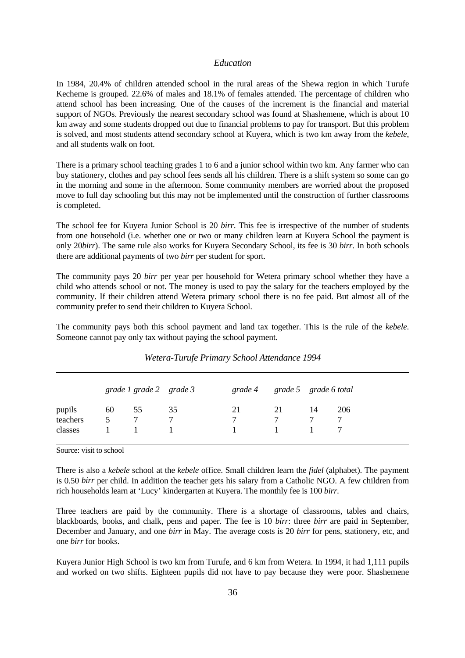#### *Education*

<span id="page-35-0"></span>In 1984, 20.4% of children attended school in the rural areas of the Shewa region in which Turufe Kecheme is grouped. 22.6% of males and 18.1% of females attended. The percentage of children who attend school has been increasing. One of the causes of the increment is the financial and material support of NGOs. Previously the nearest secondary school was found at Shashemene, which is about 10 km away and some students dropped out due to financial problems to pay for transport. But this problem is solved, and most students attend secondary school at Kuyera, which is two km away from the *kebele*, and all students walk on foot.

There is a primary school teaching grades 1 to 6 and a junior school within two km. Any farmer who can buy stationery, clothes and pay school fees sends all his children. There is a shift system so some can go in the morning and some in the afternoon. Some community members are worried about the proposed move to full day schooling but this may not be implemented until the construction of further classrooms is completed.

The school fee for Kuyera Junior School is 20 *birr*. This fee is irrespective of the number of students from one household (i.e. whether one or two or many children learn at Kuyera School the payment is only 20*birr*). The same rule also works for Kuyera Secondary School, its fee is 30 *birr*. In both schools there are additional payments of two *birr* per student for sport.

The community pays 20 *birr* per year per household for Wetera primary school whether they have a child who attends school or not. The money is used to pay the salary for the teachers employed by the community. If their children attend Wetera primary school there is no fee paid. But almost all of the community prefer to send their children to Kuyera School.

The community pays both this school payment and land tax together. This is the rule of the *kebele*. Someone cannot pay only tax without paying the school payment.

|          | grade 1 grade 2 grade 3 |        |        |    |          | grade 4 grade 5 grade 6 total |        |
|----------|-------------------------|--------|--------|----|----------|-------------------------------|--------|
| pupils   | 60                      | 55     | 35     | 21 | 21       | 14                            | 206    |
| teachers | 5                       | $\tau$ | $\tau$ |    | $\tau$   | $\tau$                        | $\tau$ |
| classes  |                         |        |        |    | $\sim$ 1 |                               |        |

*Wetera-Turufe Primary School Attendance 1994*

Source: visit to school

There is also a *kebele* school at the *kebele* office. Small children learn the *fidel* (alphabet). The payment is 0.50 *birr* per child. In addition the teacher gets his salary from a Catholic NGO. A few children from rich households learn at 'Lucy' kindergarten at Kuyera. The monthly fee is 100 *birr.* 

Three teachers are paid by the community. There is a shortage of classrooms, tables and chairs, blackboards, books, and chalk, pens and paper. The fee is 10 *birr*: three *birr* are paid in September, December and January, and one *birr* in May. The average costs is 20 *birr* for pens, stationery, etc, and one *birr* for books.

Kuyera Junior High School is two km from Turufe, and 6 km from Wetera. In 1994, it had 1,111 pupils and worked on two shifts. Eighteen pupils did not have to pay because they were poor. Shashemene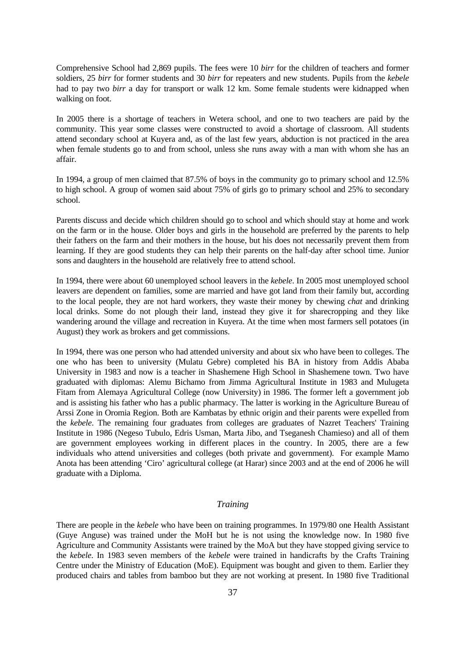Comprehensive School had 2,869 pupils. The fees were 10 *birr* for the children of teachers and former soldiers, 25 *birr* for former students and 30 *birr* for repeaters and new students. Pupils from the *kebele* had to pay two *birr* a day for transport or walk 12 km. Some female students were kidnapped when walking on foot.

In 2005 there is a shortage of teachers in Wetera school, and one to two teachers are paid by the community. This year some classes were constructed to avoid a shortage of classroom. All students attend secondary school at Kuyera and, as of the last few years, abduction is not practiced in the area when female students go to and from school, unless she runs away with a man with whom she has an affair.

In 1994, a group of men claimed that 87.5% of boys in the community go to primary school and 12.5% to high school. A group of women said about 75% of girls go to primary school and 25% to secondary school.

Parents discuss and decide which children should go to school and which should stay at home and work on the farm or in the house. Older boys and girls in the household are preferred by the parents to help their fathers on the farm and their mothers in the house, but his does not necessarily prevent them from learning. If they are good students they can help their parents on the half-day after school time. Junior sons and daughters in the household are relatively free to attend school.

In 1994, there were about 60 unemployed school leavers in the *kebele*. In 2005 most unemployed school leavers are dependent on families, some are married and have got land from their family but, according to the local people, they are not hard workers, they waste their money by chewing *chat* and drinking local drinks. Some do not plough their land, instead they give it for sharecropping and they like wandering around the village and recreation in Kuyera. At the time when most farmers sell potatoes (in August) they work as brokers and get commissions.

In 1994, there was one person who had attended university and about six who have been to colleges. The one who has been to university (Mulatu Gebre) completed his BA in history from Addis Ababa University in 1983 and now is a teacher in Shashemene High School in Shashemene town. Two have graduated with diplomas: Alemu Bichamo from Jimma Agricultural Institute in 1983 and Mulugeta Fitam from Alemaya Agricultural College (now University) in 1986. The former left a government job and is assisting his father who has a public pharmacy. The latter is working in the Agriculture Bureau of Arssi Zone in Oromia Region. Both are Kambatas by ethnic origin and their parents were expelled from the *kebele*. The remaining four graduates from colleges are graduates of Nazret Teachers' Training Institute in 1986 (Negeso Tubulo, Edris Usman, Marta Jibo, and Tseganesh Chamieso) and all of them are government employees working in different places in the country. In 2005, there are a few individuals who attend universities and colleges (both private and government). For example Mamo Anota has been attending 'Ciro' agricultural college (at Harar) since 2003 and at the end of 2006 he will graduate with a Diploma.

### *Training*

There are people in the *kebele* who have been on training programmes. In 1979/80 one Health Assistant (Guye Anguse) was trained under the MoH but he is not using the knowledge now. In 1980 five Agriculture and Community Assistants were trained by the MoA but they have stopped giving service to the *kebele*. In 1983 seven members of the *kebele* were trained in handicrafts by the Crafts Training Centre under the Ministry of Education (MoE). Equipment was bought and given to them. Earlier they produced chairs and tables from bamboo but they are not working at present. In 1980 five Traditional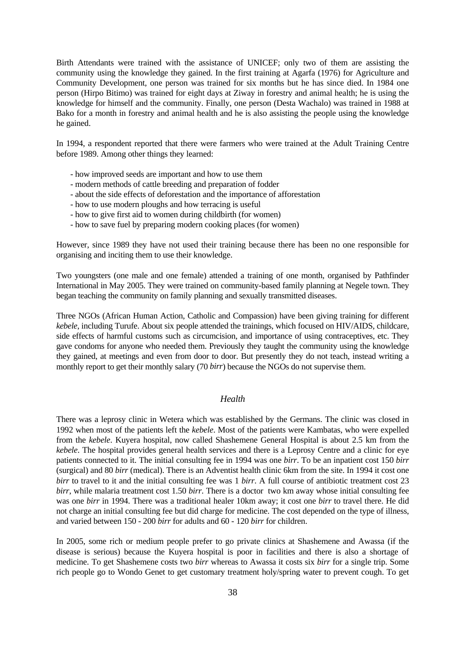Birth Attendants were trained with the assistance of UNICEF; only two of them are assisting the community using the knowledge they gained. In the first training at Agarfa (1976) for Agriculture and Community Development, one person was trained for six months but he has since died. In 1984 one person (Hirpo Bitimo) was trained for eight days at Ziway in forestry and animal health; he is using the knowledge for himself and the community. Finally, one person (Desta Wachalo) was trained in 1988 at Bako for a month in forestry and animal health and he is also assisting the people using the knowledge he gained.

In 1994, a respondent reported that there were farmers who were trained at the Adult Training Centre before 1989. Among other things they learned:

- how improved seeds are important and how to use them
- modern methods of cattle breeding and preparation of fodder
- about the side effects of deforestation and the importance of afforestation
- how to use modern ploughs and how terracing is useful
- how to give first aid to women during childbirth (for women)
- how to save fuel by preparing modern cooking places (for women)

However, since 1989 they have not used their training because there has been no one responsible for organising and inciting them to use their knowledge.

Two youngsters (one male and one female) attended a training of one month, organised by Pathfinder International in May 2005. They were trained on community-based family planning at Negele town. They began teaching the community on family planning and sexually transmitted diseases.

Three NGOs (African Human Action, Catholic and Compassion) have been giving training for different *kebele*, including Turufe. About six people attended the trainings, which focused on HIV/AIDS, childcare, side effects of harmful customs such as circumcision, and importance of using contraceptives, etc. They gave condoms for anyone who needed them. Previously they taught the community using the knowledge they gained, at meetings and even from door to door. But presently they do not teach, instead writing a monthly report to get their monthly salary (70 *birr*) because the NGOs do not supervise them.

## *Health*

There was a leprosy clinic in Wetera which was established by the Germans. The clinic was closed in 1992 when most of the patients left the *kebele*. Most of the patients were Kambatas, who were expelled from the *kebele*. Kuyera hospital, now called Shashemene General Hospital is about 2.5 km from the *kebele*. The hospital provides general health services and there is a Leprosy Centre and a clinic for eye patients connected to it. The initial consulting fee in 1994 was one *birr*. To be an inpatient cost 150 *birr* (surgical) and 80 *birr* (medical). There is an Adventist health clinic 6km from the site. In 1994 it cost one *birr* to travel to it and the initial consulting fee was 1 *birr*. A full course of antibiotic treatment cost 23 *birr*, while malaria treatment cost 1.50 *birr*. There is a doctor two km away whose initial consulting fee was one *birr* in 1994. There was a traditional healer 10km away; it cost one *birr* to travel there. He did not charge an initial consulting fee but did charge for medicine. The cost depended on the type of illness, and varied between 150 - 200 *birr* for adults and 60 - 120 *birr* for children.

In 2005, some rich or medium people prefer to go private clinics at Shashemene and Awassa (if the disease is serious) because the Kuyera hospital is poor in facilities and there is also a shortage of medicine. To get Shashemene costs two *birr* whereas to Awassa it costs six *birr* for a single trip. Some rich people go to Wondo Genet to get customary treatment holy/spring water to prevent cough. To get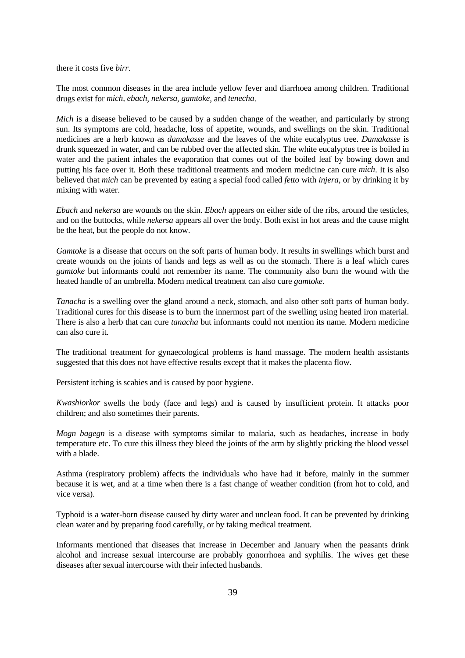there it costs five *birr*.

The most common diseases in the area include yellow fever and diarrhoea among children. Traditional drugs exist for *mich, ebach*, *nekersa*, *gamtoke*, and *tenecha*.

*Mich* is a disease believed to be caused by a sudden change of the weather, and particularly by strong sun. Its symptoms are cold, headache, loss of appetite, wounds, and swellings on the skin. Traditional medicines are a herb known as *damakasse* and the leaves of the white eucalyptus tree. *Damakasse* is drunk squeezed in water, and can be rubbed over the affected skin. The white eucalyptus tree is boiled in water and the patient inhales the evaporation that comes out of the boiled leaf by bowing down and putting his face over it. Both these traditional treatments and modern medicine can cure *mich*. It is also believed that *mich* can be prevented by eating a special food called *fetto* with *injera*, or by drinking it by mixing with water.

*Ebach* and *nekersa* are wounds on the skin. *Ebach* appears on either side of the ribs, around the testicles, and on the buttocks, while *nekersa* appears all over the body. Both exist in hot areas and the cause might be the heat, but the people do not know.

*Gamtoke* is a disease that occurs on the soft parts of human body. It results in swellings which burst and create wounds on the joints of hands and legs as well as on the stomach. There is a leaf which cures *gamtoke* but informants could not remember its name. The community also burn the wound with the heated handle of an umbrella. Modern medical treatment can also cure *gamtoke*.

*Tanacha* is a swelling over the gland around a neck, stomach, and also other soft parts of human body. Traditional cures for this disease is to burn the innermost part of the swelling using heated iron material. There is also a herb that can cure *tanacha* but informants could not mention its name. Modern medicine can also cure it.

The traditional treatment for gynaecological problems is hand massage. The modern health assistants suggested that this does not have effective results except that it makes the placenta flow.

Persistent itching is scabies and is caused by poor hygiene.

*Kwashiorkor* swells the body (face and legs) and is caused by insufficient protein. It attacks poor children; and also sometimes their parents.

*Mogn bagegn* is a disease with symptoms similar to malaria, such as headaches, increase in body temperature etc. To cure this illness they bleed the joints of the arm by slightly pricking the blood vessel with a blade.

Asthma (respiratory problem) affects the individuals who have had it before, mainly in the summer because it is wet, and at a time when there is a fast change of weather condition (from hot to cold, and vice versa).

Typhoid is a water-born disease caused by dirty water and unclean food. It can be prevented by drinking clean water and by preparing food carefully, or by taking medical treatment.

Informants mentioned that diseases that increase in December and January when the peasants drink alcohol and increase sexual intercourse are probably gonorrhoea and syphilis. The wives get these diseases after sexual intercourse with their infected husbands.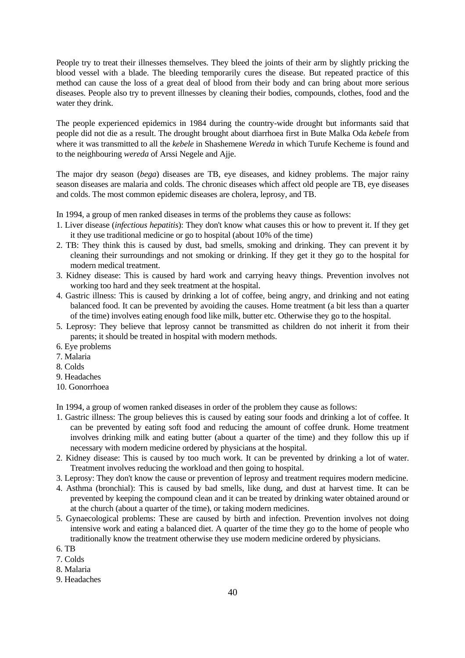People try to treat their illnesses themselves. They bleed the joints of their arm by slightly pricking the blood vessel with a blade. The bleeding temporarily cures the disease. But repeated practice of this method can cause the loss of a great deal of blood from their body and can bring about more serious diseases. People also try to prevent illnesses by cleaning their bodies, compounds, clothes, food and the water they drink.

The people experienced epidemics in 1984 during the country-wide drought but informants said that people did not die as a result. The drought brought about diarrhoea first in Bute Malka Oda *kebele* from where it was transmitted to all the *kebele* in Shashemene *Wereda* in which Turufe Kecheme is found and to the neighbouring *wereda* of Arssi Negele and Ajje.

The major dry season (*bega*) diseases are TB, eye diseases, and kidney problems. The major rainy season diseases are malaria and colds. The chronic diseases which affect old people are TB, eye diseases and colds. The most common epidemic diseases are cholera, leprosy, and TB.

In 1994, a group of men ranked diseases in terms of the problems they cause as follows:

- 1. Liver disease (*infectious hepatitis*): They don't know what causes this or how to prevent it. If they get it they use traditional medicine or go to hospital (about 10% of the time)
- 2. TB: They think this is caused by dust, bad smells, smoking and drinking. They can prevent it by cleaning their surroundings and not smoking or drinking. If they get it they go to the hospital for modern medical treatment.
- 3. Kidney disease: This is caused by hard work and carrying heavy things. Prevention involves not working too hard and they seek treatment at the hospital.
- 4. Gastric illness: This is caused by drinking a lot of coffee, being angry, and drinking and not eating balanced food. It can be prevented by avoiding the causes. Home treatment (a bit less than a quarter of the time) involves eating enough food like milk, butter etc. Otherwise they go to the hospital.
- 5. Leprosy: They believe that leprosy cannot be transmitted as children do not inherit it from their parents; it should be treated in hospital with modern methods.
- 6. Eye problems
- 7. Malaria
- 8. Colds
- 9. Headaches
- 10. Gonorrhoea

In 1994, a group of women ranked diseases in order of the problem they cause as follows:

- 1. Gastric illness: The group believes this is caused by eating sour foods and drinking a lot of coffee. It can be prevented by eating soft food and reducing the amount of coffee drunk. Home treatment involves drinking milk and eating butter (about a quarter of the time) and they follow this up if necessary with modern medicine ordered by physicians at the hospital.
- 2. Kidney disease: This is caused by too much work. It can be prevented by drinking a lot of water. Treatment involves reducing the workload and then going to hospital.
- 3. Leprosy: They don't know the cause or prevention of leprosy and treatment requires modern medicine.
- 4. Asthma (bronchial): This is caused by bad smells, like dung, and dust at harvest time. It can be prevented by keeping the compound clean and it can be treated by drinking water obtained around or at the church (about a quarter of the time), or taking modern medicines.
- 5. Gynaecological problems: These are caused by birth and infection. Prevention involves not doing intensive work and eating a balanced diet. A quarter of the time they go to the home of people who traditionally know the treatment otherwise they use modern medicine ordered by physicians.
- 6. TB
- 7. Colds
- 8. Malaria
- 9. Headaches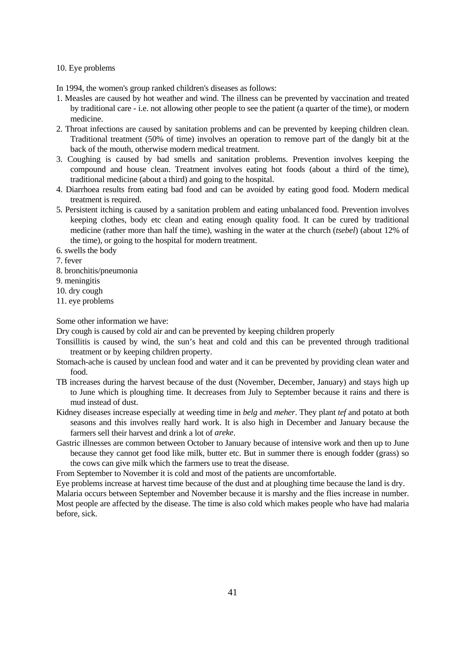### 10. Eye problems

In 1994, the women's group ranked children's diseases as follows:

- 1. Measles are caused by hot weather and wind. The illness can be prevented by vaccination and treated by traditional care - i.e. not allowing other people to see the patient (a quarter of the time), or modern medicine.
- 2. Throat infections are caused by sanitation problems and can be prevented by keeping children clean. Traditional treatment (50% of time) involves an operation to remove part of the dangly bit at the back of the mouth, otherwise modern medical treatment.
- 3. Coughing is caused by bad smells and sanitation problems. Prevention involves keeping the compound and house clean. Treatment involves eating hot foods (about a third of the time), traditional medicine (about a third) and going to the hospital.
- 4. Diarrhoea results from eating bad food and can be avoided by eating good food. Modern medical treatment is required.
- 5. Persistent itching is caused by a sanitation problem and eating unbalanced food. Prevention involves keeping clothes, body etc clean and eating enough quality food. It can be cured by traditional medicine (rather more than half the time), washing in the water at the church (*tsebel*) (about 12% of the time), or going to the hospital for modern treatment.
- 6. swells the body

7. fever

- 8. bronchitis/pneumonia
- 9. meningitis
- 10. dry cough
- 11. eye problems

Some other information we have:

Dry cough is caused by cold air and can be prevented by keeping children properly

- Tonsillitis is caused by wind, the sun's heat and cold and this can be prevented through traditional treatment or by keeping children property.
- Stomach-ache is caused by unclean food and water and it can be prevented by providing clean water and food.
- TB increases during the harvest because of the dust (November, December, January) and stays high up to June which is ploughing time. It decreases from July to September because it rains and there is mud instead of dust.
- Kidney diseases increase especially at weeding time in *belg* and *meher*. They plant *tef* and potato at both seasons and this involves really hard work. It is also high in December and January because the farmers sell their harvest and drink a lot of *areke*.
- Gastric illnesses are common between October to January because of intensive work and then up to June because they cannot get food like milk, butter etc. But in summer there is enough fodder (grass) so the cows can give milk which the farmers use to treat the disease.

From September to November it is cold and most of the patients are uncomfortable.

Eye problems increase at harvest time because of the dust and at ploughing time because the land is dry. Malaria occurs between September and November because it is marshy and the flies increase in number. Most people are affected by the disease. The time is also cold which makes people who have had malaria before, sick.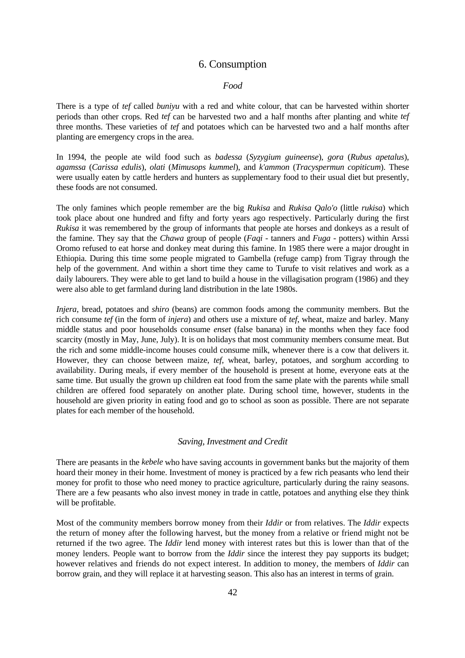# 6. Consumption

### *Food*

There is a type of *tef* called *buniyu* with a red and white colour, that can be harvested within shorter periods than other crops. Red *tef* can be harvested two and a half months after planting and white *tef* three months. These varieties of *tef* and potatoes which can be harvested two and a half months after planting are emergency crops in the area.

In 1994, the people ate wild food such as *badessa* (*Syzygium guineense*), *gora* (*Rubus apetalus*), *agamssa* (*Carissa edulis*), *olati* (*Mimusops kummel*), and *k'ammon* (*Tracyspermun copiticum*). These were usually eaten by cattle herders and hunters as supplementary food to their usual diet but presently, these foods are not consumed.

The only famines which people remember are the big *Rukisa* and *Rukisa Qalo'o* (little *rukisa*) which took place about one hundred and fifty and forty years ago respectively. Particularly during the first *Rukisa* it was remembered by the group of informants that people ate horses and donkeys as a result of the famine. They say that the *Chawa* group of people (*Faqi* - tanners and *Fuga* - potters) within Arssi Oromo refused to eat horse and donkey meat during this famine. In 1985 there were a major drought in Ethiopia. During this time some people migrated to Gambella (refuge camp) from Tigray through the help of the government. And within a short time they came to Turufe to visit relatives and work as a daily labourers. They were able to get land to build a house in the villagisation program (1986) and they were also able to get farmland during land distribution in the late 1980s.

*Injera*, bread, potatoes and *shiro* (beans) are common foods among the community members. But the rich consume *tef* (in the form of *injera*) and others use a mixture of *tef*, wheat, maize and barley. Many middle status and poor households consume *enset* (false banana) in the months when they face food scarcity (mostly in May, June, July). It is on holidays that most community members consume meat. But the rich and some middle-income houses could consume milk, whenever there is a cow that delivers it. However, they can choose between maize, *tef,* wheat, barley, potatoes, and sorghum according to availability. During meals, if every member of the household is present at home, everyone eats at the same time. But usually the grown up children eat food from the same plate with the parents while small children are offered food separately on another plate. During school time, however, students in the household are given priority in eating food and go to school as soon as possible. There are not separate plates for each member of the household.

### *Saving, Investment and Credit*

There are peasants in the *kebele* who have saving accounts in government banks but the majority of them hoard their money in their home. Investment of money is practiced by a few rich peasants who lend their money for profit to those who need money to practice agriculture, particularly during the rainy seasons. There are a few peasants who also invest money in trade in cattle, potatoes and anything else they think will be profitable.

Most of the community members borrow money from their *Iddir* or from relatives. The *Iddir* expects the return of money after the following harvest, but the money from a relative or friend might not be returned if the two agree. The *Iddir* lend money with interest rates but this is lower than that of the money lenders. People want to borrow from the *Iddir* since the interest they pay supports its budget; however relatives and friends do not expect interest. In addition to money, the members of *Iddir* can borrow grain, and they will replace it at harvesting season. This also has an interest in terms of grain.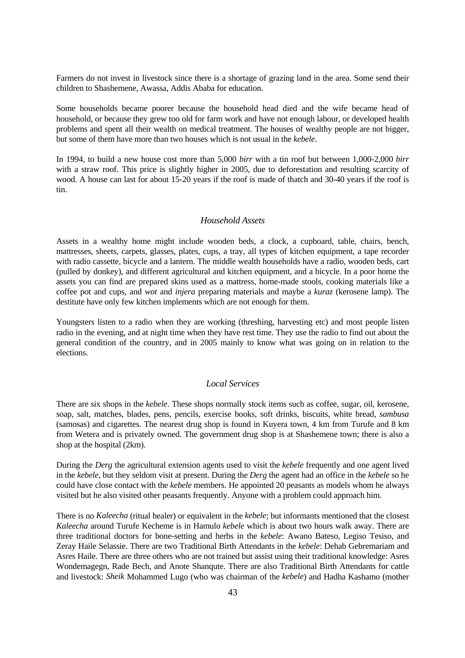Farmers do not invest in livestock since there is a shortage of grazing land in the area. Some send their children to Shashemene, Awassa, Addis Ababa for education.

Some households became poorer because the household head died and the wife became head of household, or because they grew too old for farm work and have not enough labour, or developed health problems and spent all their wealth on medical treatment. The houses of wealthy people are not bigger, but some of them have more than two houses which is not usual in the *kebele*.

In 1994, to build a new house cost more than 5,000 *birr* with a tin roof but between 1,000-2,000 *birr* with a straw roof. This price is slightly higher in 2005, due to deforestation and resulting scarcity of wood. A house can last for about 15-20 years if the roof is made of thatch and 30-40 years if the roof is tin.

# *Household Assets*

Assets in a wealthy home might include wooden beds, a clock, a cupboard, table, chairs, bench, mattresses, sheets, carpets, glasses, plates, cups, a tray, all types of kitchen equipment, a tape recorder with radio cassette, bicycle and a lantern. The middle wealth households have a radio, wooden beds, cart (pulled by donkey), and different agricultural and kitchen equipment, and a bicycle. In a poor home the assets you can find are prepared skins used as a mattress, home-made stools, cooking materials like a coffee pot and cups, and *wot* and *injera* preparing materials and maybe a *kuraz* (kerosene lamp). The destitute have only few kitchen implements which are not enough for them.

Youngsters listen to a radio when they are working (threshing, harvesting etc) and most people listen radio in the evening, and at night time when they have rest time. They use the radio to find out about the general condition of the country, and in 2005 mainly to know what was going on in relation to the elections.

### *Local Services*

There are six shops in the *kebele*. These shops normally stock items such as coffee, sugar, oil, kerosene, soap, salt, matches, blades, pens, pencils, exercise books, soft drinks, biscuits, white bread, *sambusa*  (samosas) and cigarettes. The nearest drug shop is found in Kuyera town, 4 km from Turufe and 8 km from Wetera and is privately owned. The government drug shop is at Shashemene town; there is also a shop at the hospital (2km).

During the *Derg* the agricultural extension agents used to visit the *kebele* frequently and one agent lived in the *kebele,* but they seldom visit at present. During the *Derg* the agent had an office in the *kebele* so he could have close contact with the *kebele* members. He appointed 20 peasants as models whom he always visited but he also visited other peasants frequently. Anyone with a problem could approach him.

There is no *Kaleecha* (ritual healer) or equivalent in the *kebele*; but informants mentioned that the closest *Kaleecha* around Turufe Kecheme is in Hamulo *kebele* which is about two hours walk away. There are three traditional doctors for bone-setting and herbs in the *kebele*: Awano Bateso, Legiso Tesiso, and Zeray Haile Selassie. There are two Traditional Birth Attendants in the *kebele*: Dehab Gebremariam and Asres Haile. There are three others who are not trained but assist using their traditional knowledge: Asres Wondemagegn, Rade Bech, and Anote Shanqute. There are also Traditional Birth Attendants for cattle and livestock: *Sheik* Mohammed Lugo (who was chairman of the *kebele*) and Hadha Kashamo (mother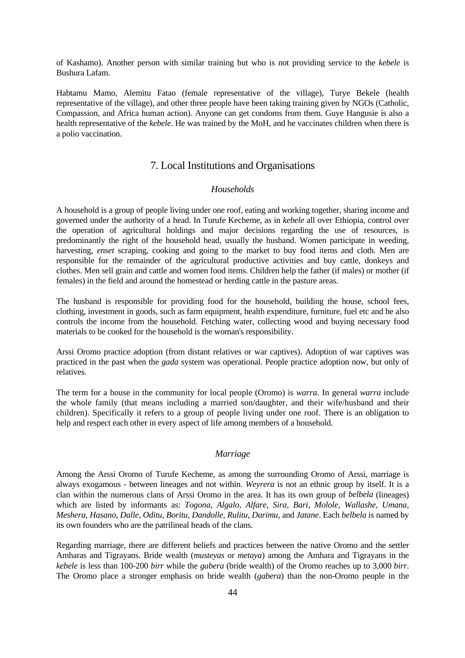of Kashamo). Another person with similar training but who is not providing service to the *kebele* is Bushura Lafam.

Habtamu Mamo, Alemitu Fatao (female representative of the village), Turye Bekele (health representative of the village), and other three people have been taking training given by NGOs (Catholic, Compassion, and Africa human action). Anyone can get condoms from them. Guye Hangusie is also a health representative of the *kebele*. He was trained by the MoH, and he vaccinates children when there is a polio vaccination.

# 7. Local Institutions and Organisations

### *Households*

A household is a group of people living under one roof, eating and working together, sharing income and governed under the authority of a head. In Turufe Kecheme, as in *kebele* all over Ethiopia, control over the operation of agricultural holdings and major decisions regarding the use of resources, is predominantly the right of the household head, usually the husband. Women participate in weeding, harvesting, *enset* scraping, cooking and going to the market to buy food items and cloth. Men are responsible for the remainder of the agricultural productive activities and buy cattle, donkeys and clothes. Men sell grain and cattle and women food items. Children help the father (if males) or mother (if females) in the field and around the homestead or herding cattle in the pasture areas.

The husband is responsible for providing food for the household, building the house, school fees, clothing, investment in goods, such as farm equipment, health expenditure, furniture, fuel etc and he also controls the income from the household. Fetching water, collecting wood and buying necessary food materials to be cooked for the household is the woman's responsibility.

Arssi Oromo practice adoption (from distant relatives or war captives). Adoption of war captives was practiced in the past when the *gada* system was operational. People practice adoption now, but only of relatives.

The term for a house in the community for local people (Oromo) is *warra*. In general *warra* include the whole family (that means including a married son/daughter, and their wife/husband and their children). Specifically it refers to a group of people living under one roof. There is an obligation to help and respect each other in every aspect of life among members of a household.

### *Marriage*

Among the Arssi Oromo of Turufe Kecheme, as among the surrounding Oromo of Arssi, marriage is always exogamous - between lineages and not within. *Weyrera* is not an ethnic group by itself. It is a clan within the numerous clans of Arssi Oromo in the area. It has its own group of *belbela* (lineages) which are listed by informants as: *Togona*, *Algalo*, *Alfare*, *Sira*, *Bari*, *Molole*, *Wallashe*, *Umana*, *Meshera*, *Hasano*, *Dalle*, *Oditu*, *Boritu*, *Dandolle*, *Rulitu*, *Darimu*, and *Jatane*. Each *belbela* is named by its own founders who are the patrilineal heads of the clans.

Regarding marriage, there are different beliefs and practices between the native Oromo and the settler Amharas and Tigrayans. Bride wealth (*musteyas* or *metaya*) among the Amhara and Tigrayans in the *kebele* is less than 100-200 *birr* while the *gabera* (bride wealth) of the Oromo reaches up to 3,000 *birr*. The Oromo place a stronger emphasis on bride wealth (*gabera*) than the non-Oromo people in the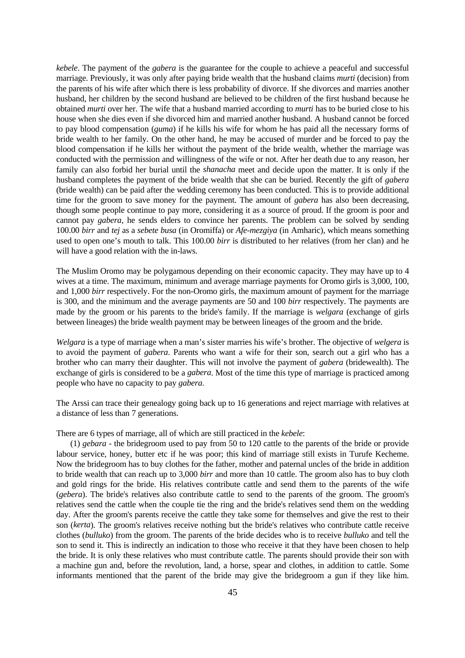*kebele*. The payment of the *gabera* is the guarantee for the couple to achieve a peaceful and successful marriage. Previously, it was only after paying bride wealth that the husband claims *murti* (decision) from the parents of his wife after which there is less probability of divorce. If she divorces and marries another husband, her children by the second husband are believed to be children of the first husband because he obtained *murti* over her. The wife that a husband married according to *murti* has to be buried close to his house when she dies even if she divorced him and married another husband. A husband cannot be forced to pay blood compensation (*guma*) if he kills his wife for whom he has paid all the necessary forms of bride wealth to her family. On the other hand, he may be accused of murder and be forced to pay the blood compensation if he kills her without the payment of the bride wealth, whether the marriage was conducted with the permission and willingness of the wife or not. After her death due to any reason, her family can also forbid her burial until the *shanacha* meet and decide upon the matter. It is only if the husband completes the payment of the bride wealth that she can be buried. Recently the gift of *gabera*  (bride wealth) can be paid after the wedding ceremony has been conducted. This is to provide additional time for the groom to save money for the payment. The amount of *gabera* has also been decreasing, though some people continue to pay more, considering it as a source of proud. If the groom is poor and cannot pay *gabera*, he sends elders to convince her parents. The problem can be solved by sending 100.00 *birr* and *tej* as a *sebete busa* (in Oromiffa) or *Afe-mezgiya* (in Amharic), which means something used to open one's mouth to talk. This 100.00 *birr* is distributed to her relatives (from her clan) and he will have a good relation with the in-laws.

The Muslim Oromo may be polygamous depending on their economic capacity. They may have up to 4 wives at a time. The maximum, minimum and average marriage payments for Oromo girls is 3,000, 100, and 1,000 *birr* respectively. For the non-Oromo girls, the maximum amount of payment for the marriage is 300, and the minimum and the average payments are 50 and 100 *birr* respectively. The payments are made by the groom or his parents to the bride's family. If the marriage is *welgara* (exchange of girls between lineages) the bride wealth payment may be between lineages of the groom and the bride.

*Welgara* is a type of marriage when a man's sister marries his wife's brother. The objective of *welgera* is to avoid the payment of *gabera*. Parents who want a wife for their son, search out a girl who has a brother who can marry their daughter. This will not involve the payment of *gabera* (bridewealth). The exchange of girls is considered to be a *gabera*. Most of the time this type of marriage is practiced among people who have no capacity to pay *gabera*.

The Arssi can trace their genealogy going back up to 16 generations and reject marriage with relatives at a distance of less than 7 generations.

There are 6 types of marriage, all of which are still practiced in the *kebele*:

 (1) *gebara* - the bridegroom used to pay from 50 to 120 cattle to the parents of the bride or provide labour service, honey, butter etc if he was poor; this kind of marriage still exists in Turufe Kecheme. Now the bridegroom has to buy clothes for the father, mother and paternal uncles of the bride in addition to bride wealth that can reach up to 3,000 *birr* and more than 10 cattle. The groom also has to buy cloth and gold rings for the bride. His relatives contribute cattle and send them to the parents of the wife (*gebera*). The bride's relatives also contribute cattle to send to the parents of the groom. The groom's relatives send the cattle when the couple tie the ring and the bride's relatives send them on the wedding day. After the groom's parents receive the cattle they take some for themselves and give the rest to their son (*kerta*). The groom's relatives receive nothing but the bride's relatives who contribute cattle receive clothes (*bulluko*) from the groom. The parents of the bride decides who is to receive *bulluko* and tell the son to send it. This is indirectly an indication to those who receive it that they have been chosen to help the bride. It is only these relatives who must contribute cattle. The parents should provide their son with a machine gun and, before the revolution, land, a horse, spear and clothes, in addition to cattle. Some informants mentioned that the parent of the bride may give the bridegroom a gun if they like him.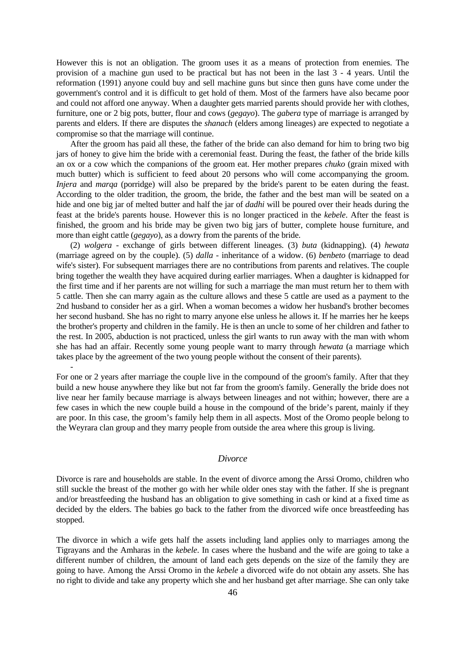However this is not an obligation. The groom uses it as a means of protection from enemies. The provision of a machine gun used to be practical but has not been in the last 3 - 4 years. Until the reformation (1991) anyone could buy and sell machine guns but since then guns have come under the government's control and it is difficult to get hold of them. Most of the farmers have also became poor and could not afford one anyway. When a daughter gets married parents should provide her with clothes, furniture, one or 2 big pots, butter, flour and cows (*gegayo*). The *gabera* type of marriage is arranged by parents and elders. If there are disputes the *shanach* (elders among lineages) are expected to negotiate a compromise so that the marriage will continue.

After the groom has paid all these, the father of the bride can also demand for him to bring two big jars of honey to give him the bride with a ceremonial feast. During the feast, the father of the bride kills an ox or a cow which the companions of the groom eat. Her mother prepares *chuko* (grain mixed with much butter) which is sufficient to feed about 20 persons who will come accompanying the groom. *Injera* and *marqa* (porridge) will also be prepared by the bride's parent to be eaten during the feast. According to the older tradition, the groom, the bride, the father and the best man will be seated on a hide and one big jar of melted butter and half the jar of *dadhi* will be poured over their heads during the feast at the bride's parents house. However this is no longer practiced in the *kebele*. After the feast is finished, the groom and his bride may be given two big jars of butter, complete house furniture, and more than eight cattle (*gegayo*), as a dowry from the parents of the bride.

 (2) *wolgera* - exchange of girls between different lineages. (3) *buta* (kidnapping). (4) *hewata* (marriage agreed on by the couple). (5) *dalla* - inheritance of a widow. (6) *benbeto* (marriage to dead wife's sister). For subsequent marriages there are no contributions from parents and relatives. The couple bring together the wealth they have acquired during earlier marriages. When a daughter is kidnapped for the first time and if her parents are not willing for such a marriage the man must return her to them with 5 cattle. Then she can marry again as the culture allows and these 5 cattle are used as a payment to the 2nd husband to consider her as a girl. When a woman becomes a widow her husband's brother becomes her second husband. She has no right to marry anyone else unless he allows it. If he marries her he keeps the brother's property and children in the family. He is then an uncle to some of her children and father to the rest. In 2005, abduction is not practiced, unless the girl wants to run away with the man with whom she has had an affair. Recently some young people want to marry through *hewata* (a marriage which takes place by the agreement of the two young people without the consent of their parents).

For one or 2 years after marriage the couple live in the compound of the groom's family. After that they build a new house anywhere they like but not far from the groom's family. Generally the bride does not live near her family because marriage is always between lineages and not within; however, there are a few cases in which the new couple build a house in the compound of the bride's parent, mainly if they are poor. In this case, the groom's family help them in all aspects. Most of the Oromo people belong to the Weyrara clan group and they marry people from outside the area where this group is living.

-

### *Divorce*

Divorce is rare and households are stable. In the event of divorce among the Arssi Oromo, children who still suckle the breast of the mother go with her while older ones stay with the father. If she is pregnant and/or breastfeeding the husband has an obligation to give something in cash or kind at a fixed time as decided by the elders. The babies go back to the father from the divorced wife once breastfeeding has stopped.

The divorce in which a wife gets half the assets including land applies only to marriages among the Tigrayans and the Amharas in the *kebele*. In cases where the husband and the wife are going to take a different number of children, the amount of land each gets depends on the size of the family they are going to have. Among the Arssi Oromo in the *kebele* a divorced wife do not obtain any assets. She has no right to divide and take any property which she and her husband get after marriage. She can only take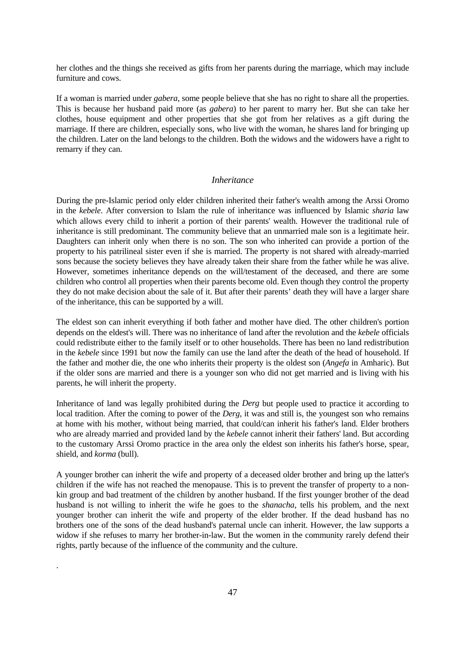her clothes and the things she received as gifts from her parents during the marriage, which may include furniture and cows.

If a woman is married under *gabera*, some people believe that she has no right to share all the properties. This is because her husband paid more (as *gabera*) to her parent to marry her. But she can take her clothes, house equipment and other properties that she got from her relatives as a gift during the marriage. If there are children, especially sons, who live with the woman, he shares land for bringing up the children. Later on the land belongs to the children. Both the widows and the widowers have a right to remarry if they can.

### *Inheritance*

During the pre-Islamic period only elder children inherited their father's wealth among the Arssi Oromo in the *kebele*. After conversion to Islam the rule of inheritance was influenced by Islamic *sharia* law which allows every child to inherit a portion of their parents' wealth. However the traditional rule of inheritance is still predominant. The community believe that an unmarried male son is a legitimate heir. Daughters can inherit only when there is no son. The son who inherited can provide a portion of the property to his patrilineal sister even if she is married. The property is not shared with already-married sons because the society believes they have already taken their share from the father while he was alive. However, sometimes inheritance depends on the will/testament of the deceased, and there are some children who control all properties when their parents become old. Even though they control the property they do not make decision about the sale of it. But after their parents' death they will have a larger share of the inheritance, this can be supported by a will.

The eldest son can inherit everything if both father and mother have died. The other children's portion depends on the eldest's will. There was no inheritance of land after the revolution and the *kebele* officials could redistribute either to the family itself or to other households. There has been no land redistribution in the *kebele* since 1991 but now the family can use the land after the death of the head of household. If the father and mother die, the one who inherits their property is the oldest son (*Angefa* in Amharic). But if the older sons are married and there is a younger son who did not get married and is living with his parents, he will inherit the property.

Inheritance of land was legally prohibited during the *Derg* but people used to practice it according to local tradition. After the coming to power of the *Derg*, it was and still is, the youngest son who remains at home with his mother, without being married, that could/can inherit his father's land. Elder brothers who are already married and provided land by the *kebele* cannot inherit their fathers' land. But according to the customary Arssi Oromo practice in the area only the eldest son inherits his father's horse, spear, shield, and *korma* (bull).

A younger brother can inherit the wife and property of a deceased older brother and bring up the latter's children if the wife has not reached the menopause. This is to prevent the transfer of property to a nonkin group and bad treatment of the children by another husband. If the first younger brother of the dead husband is not willing to inherit the wife he goes to the *shanacha*, tells his problem, and the next younger brother can inherit the wife and property of the elder brother. If the dead husband has no brothers one of the sons of the dead husband's paternal uncle can inherit. However, the law supports a widow if she refuses to marry her brother-in-law. But the women in the community rarely defend their rights, partly because of the influence of the community and the culture.

.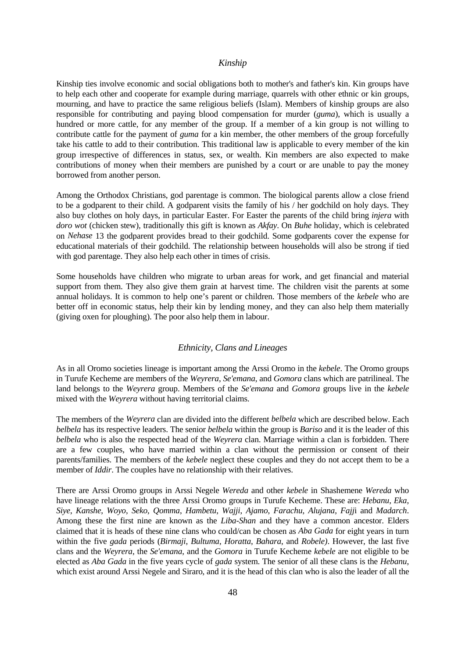#### *Kinship*

Kinship ties involve economic and social obligations both to mother's and father's kin. Kin groups have to help each other and cooperate for example during marriage, quarrels with other ethnic or kin groups, mourning, and have to practice the same religious beliefs (Islam). Members of kinship groups are also responsible for contributing and paying blood compensation for murder (*guma*), which is usually a hundred or more cattle, for any member of the group. If a member of a kin group is not willing to contribute cattle for the payment of *guma* for a kin member, the other members of the group forcefully take his cattle to add to their contribution. This traditional law is applicable to every member of the kin group irrespective of differences in status, sex, or wealth. Kin members are also expected to make contributions of money when their members are punished by a court or are unable to pay the money borrowed from another person.

Among the Orthodox Christians, god parentage is common. The biological parents allow a close friend to be a godparent to their child. A godparent visits the family of his / her godchild on holy days. They also buy clothes on holy days, in particular Easter. For Easter the parents of the child bring *injera* with *doro wot* (chicken stew)*,* traditionally this gift is known as *Akfay*. On *Buhe* holiday, which is celebrated on *Nehase* 13 the godparent provides bread to their godchild. Some godparents cover the expense for educational materials of their godchild. The relationship between households will also be strong if tied with god parentage. They also help each other in times of crisis.

Some households have children who migrate to urban areas for work, and get financial and material support from them. They also give them grain at harvest time. The children visit the parents at some annual holidays. It is common to help one's parent or children. Those members of the *kebele* who are better off in economic status, help their kin by lending money, and they can also help them materially (giving oxen for ploughing). The poor also help them in labour.

# *Ethnicity, Clans and Lineages*

As in all Oromo societies lineage is important among the Arssi Oromo in the *kebele*. The Oromo groups in Turufe Kecheme are members of the *Weyrera*, *Se'emana*, and *Gomora* clans which are patrilineal. The land belongs to the *Weyrera* group. Members of the *Se'emana* and *Gomora* groups live in the *kebele* mixed with the *Weyrera* without having territorial claims.

The members of the *Weyrera* clan are divided into the different *belbela* which are described below. Each *belbela* has its respective leaders. The senior *belbela* within the group is *Bariso* and it is the leader of this *belbela* who is also the respected head of the *Weyrera* clan. Marriage within a clan is forbidden. There are a few couples, who have married within a clan without the permission or consent of their parents/families. The members of the *kebele* neglect these couples and they do not accept them to be a member of *Iddir*. The couples have no relationship with their relatives.

There are Arssi Oromo groups in Arssi Negele *Wereda* and other *kebele* in Shashemene *Wereda* who have lineage relations with the three Arssi Oromo groups in Turufe Kecheme. These are: *Hebanu*, *Eka*, *Siye*, *Kanshe*, *Woyo*, *Seko*, *Qomma*, *Hambetu*, *Wajji*, *Ajamo*, *Farachu*, *Alujana*, *Fajj*i and *Madarch*. Among these the first nine are known as the *Liba-Shan* and they have a common ancestor. Elders claimed that it is heads of these nine clans who could/can be chosen as *Aba Gada* for eight years in turn within the five *gada* periods (*Birmaji*, *Bultuma*, *Horatta*, *Bahara*, and *Robele)*. However, the last five clans and the *Weyrera*, the *Se'emana*, and the *Gomora* in Turufe Kecheme *kebele* are not eligible to be elected as *Aba Gada* in the five years cycle of *gada* system. The senior of all these clans is the *Hebanu*, which exist around Arssi Negele and Siraro, and it is the head of this clan who is also the leader of all the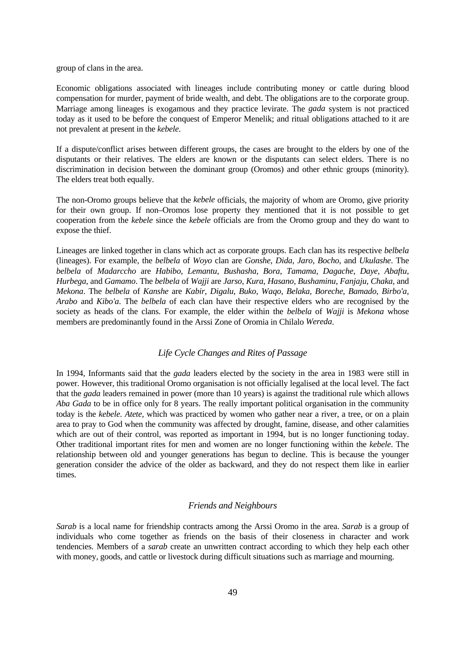group of clans in the area.

Economic obligations associated with lineages include contributing money or cattle during blood compensation for murder, payment of bride wealth, and debt. The obligations are to the corporate group. Marriage among lineages is exogamous and they practice levirate. The *gada* system is not practiced today as it used to be before the conquest of Emperor Menelik; and ritual obligations attached to it are not prevalent at present in the *kebele*.

If a dispute/conflict arises between different groups, the cases are brought to the elders by one of the disputants or their relatives. The elders are known or the disputants can select elders. There is no discrimination in decision between the dominant group (Oromos) and other ethnic groups (minority). The elders treat both equally.

The non-Oromo groups believe that the *kebele* officials, the majority of whom are Oromo, give priority for their own group. If non–Oromos lose property they mentioned that it is not possible to get cooperation from the *kebele* since the *kebele* officials are from the Oromo group and they do want to expose the thief.

Lineages are linked together in clans which act as corporate groups. Each clan has its respective *belbela* (lineages). For example, the *belbela* of *Woyo* clan are *Gonshe*, *Dida*, *Jaro*, *Bocho*, and *Ukulashe*. The *belbela* of *Madarccho* are *Habibo*, *Lemantu*, *Bushasha*, *Bora*, *Tamama*, *Dagache*, *Daye*, *Abaftu*, *Hurbega*, and *Gamamo*. The *belbela* of *Wajji* are *Jarso*, *Kura*, *Hasano*, *Bushaminu*, *Fanjaju*, *Chaka*, and *Mekona*. The *belbela* of *Kanshe* are *Kabir*, *Digalu*, *Buko*, *Waqo*, *Belaka*, *Boreche*, *Bamado*, *Birbo'a*, *Arabo* and *Kibo'a*. The *belbela* of each clan have their respective elders who are recognised by the society as heads of the clans. For example, the elder within the *belbela* of *Wajji* is *Mekona* whose members are predominantly found in the Arssi Zone of Oromia in Chilalo *Wereda*.

#### *Life Cycle Changes and Rites of Passage*

In 1994, Informants said that the *gada* leaders elected by the society in the area in 1983 were still in power. However, this traditional Oromo organisation is not officially legalised at the local level. The fact that the *gada* leaders remained in power (more than 10 years) is against the traditional rule which allows *Aba Gada* to be in office only for 8 years. The really important political organisation in the community today is the *kebele*. *Atete,* which was practiced by women who gather near a river, a tree, or on a plain area to pray to God when the community was affected by drought, famine, disease, and other calamities which are out of their control, was reported as important in 1994, but is no longer functioning today. Other traditional important rites for men and women are no longer functioning within the *kebele*. The relationship between old and younger generations has begun to decline. This is because the younger generation consider the advice of the older as backward, and they do not respect them like in earlier times.

#### *Friends and Neighbours*

*Sarab* is a local name for friendship contracts among the Arssi Oromo in the area. *Sarab* is a group of individuals who come together as friends on the basis of their closeness in character and work tendencies. Members of a *sarab* create an unwritten contract according to which they help each other with money, goods, and cattle or livestock during difficult situations such as marriage and mourning.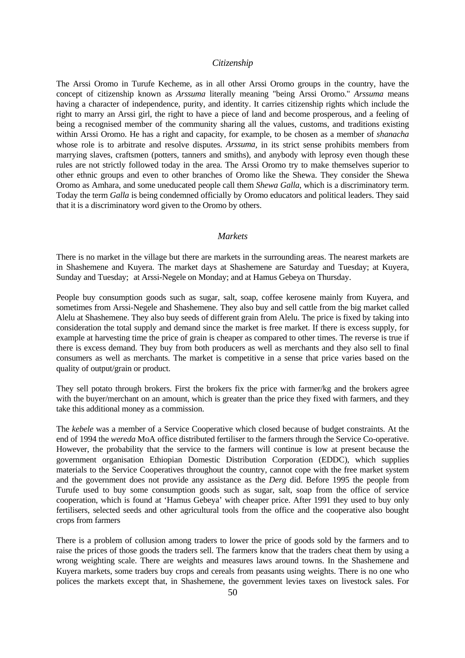#### *Citizenship*

The Arssi Oromo in Turufe Kecheme, as in all other Arssi Oromo groups in the country, have the concept of citizenship known as *Arssuma* literally meaning "being Arssi Oromo." *Arssuma* means having a character of independence, purity, and identity. It carries citizenship rights which include the right to marry an Arssi girl, the right to have a piece of land and become prosperous, and a feeling of being a recognised member of the community sharing all the values, customs, and traditions existing within Arssi Oromo. He has a right and capacity, for example, to be chosen as a member of *shanacha*  whose role is to arbitrate and resolve disputes. *Arssuma*, in its strict sense prohibits members from marrying slaves, craftsmen (potters, tanners and smiths), and anybody with leprosy even though these rules are not strictly followed today in the area. The Arssi Oromo try to make themselves superior to other ethnic groups and even to other branches of Oromo like the Shewa. They consider the Shewa Oromo as Amhara, and some uneducated people call them *Shewa Galla*, which is a discriminatory term. Today the term *Galla* is being condemned officially by Oromo educators and political leaders. They said that it is a discriminatory word given to the Oromo by others.

# *Markets*

There is no market in the village but there are markets in the surrounding areas. The nearest markets are in Shashemene and Kuyera. The market days at Shashemene are Saturday and Tuesday; at Kuyera, Sunday and Tuesday; at Arssi-Negele on Monday; and at Hamus Gebeya on Thursday.

People buy consumption goods such as sugar, salt, soap, coffee kerosene mainly from Kuyera, and sometimes from Arssi-Negele and Shashemene. They also buy and sell cattle from the big market called Alelu at Shashemene. They also buy seeds of different grain from Alelu. The price is fixed by taking into consideration the total supply and demand since the market is free market. If there is excess supply, for example at harvesting time the price of grain is cheaper as compared to other times. The reverse is true if there is excess demand. They buy from both producers as well as merchants and they also sell to final consumers as well as merchants. The market is competitive in a sense that price varies based on the quality of output/grain or product.

They sell potato through brokers. First the brokers fix the price with farmer/kg and the brokers agree with the buyer/merchant on an amount, which is greater than the price they fixed with farmers, and they take this additional money as a commission.

The *kebele* was a member of a Service Cooperative which closed because of budget constraints. At the end of 1994 the *wereda* MoA office distributed fertiliser to the farmers through the Service Co-operative. However, the probability that the service to the farmers will continue is low at present because the government organisation Ethiopian Domestic Distribution Corporation (EDDC), which supplies materials to the Service Cooperatives throughout the country, cannot cope with the free market system and the government does not provide any assistance as the *Derg* did. Before 1995 the people from Turufe used to buy some consumption goods such as sugar, salt, soap from the office of service cooperation, which is found at 'Hamus Gebeya' with cheaper price. After 1991 they used to buy only fertilisers, selected seeds and other agricultural tools from the office and the cooperative also bought crops from farmers

There is a problem of collusion among traders to lower the price of goods sold by the farmers and to raise the prices of those goods the traders sell. The farmers know that the traders cheat them by using a wrong weighting scale. There are weights and measures laws around towns. In the Shashemene and Kuyera markets, some traders buy crops and cereals from peasants using weights. There is no one who polices the markets except that, in Shashemene, the government levies taxes on livestock sales. For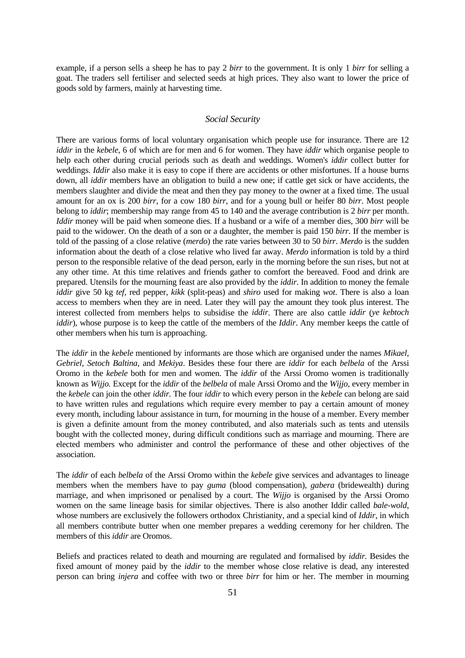example, if a person sells a sheep he has to pay 2 *birr* to the government. It is only 1 *birr* for selling a goat. The traders sell fertiliser and selected seeds at high prices. They also want to lower the price of goods sold by farmers, mainly at harvesting time.

### *Social Security*

There are various forms of local voluntary organisation which people use for insurance. There are 12 *iddir* in the *kebele*, 6 of which are for men and 6 for women. They have *iddir* which organise people to help each other during crucial periods such as death and weddings. Women's *iddir* collect butter for weddings. *Iddir* also make it is easy to cope if there are accidents or other misfortunes. If a house burns down, all *iddir* members have an obligation to build a new one; if cattle get sick or have accidents, the members slaughter and divide the meat and then they pay money to the owner at a fixed time. The usual amount for an ox is 200 *birr*, for a cow 180 *birr*, and for a young bull or heifer 80 *birr*. Most people belong to *iddir*; membership may range from 45 to 140 and the average contribution is 2 *birr* per month. *Iddir* money will be paid when someone dies. If a husband or a wife of a member dies, 300 *birr* will be paid to the widower. On the death of a son or a daughter, the member is paid 150 *birr*. If the member is told of the passing of a close relative (*merdo*) the rate varies between 30 to 50 *birr*. *Merdo* is the sudden information about the death of a close relative who lived far away. *Merdo* information is told by a third person to the responsible relative of the dead person, early in the morning before the sun rises, but not at any other time. At this time relatives and friends gather to comfort the bereaved. Food and drink are prepared. Utensils for the mourning feast are also provided by the *iddir*. In addition to money the female *iddir* give 50 kg *tef*, red pepper, *kikk* (split-peas) and *shiro* used for making *wot*. There is also a loan access to members when they are in need. Later they will pay the amount they took plus interest. The interest collected from members helps to subsidise the *iddir*. There are also cattle *iddir* (*ye kebtoch iddir*), whose purpose is to keep the cattle of the members of the *Iddir*. Any member keeps the cattle of other members when his turn is approaching.

The *iddir* in the *kebele* mentioned by informants are those which are organised under the names *Mikael, Gebriel, Setoch Baltina,* and *Mekiya*. Besides these four there are *iddir* for each *belbela* of the Arssi Oromo in the *kebele* both for men and women. The *iddir* of the Arssi Oromo women is traditionally known as *Wijjo.* Except for the *iddir* of the *belbela* of male Arssi Oromo and the *Wijjo,* every member in the *kebele* can join the other *iddir.* The four *iddir* to which every person in the *kebele* can belong are said to have written rules and regulations which require every member to pay a certain amount of money every month, including labour assistance in turn, for mourning in the house of a member. Every member is given a definite amount from the money contributed, and also materials such as tents and utensils bought with the collected money, during difficult conditions such as marriage and mourning. There are elected members who administer and control the performance of these and other objectives of the association.

The *iddir* of each *belbela* of the Arssi Oromo within the *kebele* give services and advantages to lineage members when the members have to pay *guma* (blood compensation), *gabera* (bridewealth) during marriage, and when imprisoned or penalised by a court. The *Wijjo* is organised by the Arssi Oromo women on the same lineage basis for similar objectives. There is also another Iddir called *bale-wold*, whose numbers are exclusively the followers orthodox Christianity, and a special kind of *Iddir*, in which all members contribute butter when one member prepares a wedding ceremony for her children. The members of this *iddir* are Oromos.

Beliefs and practices related to death and mourning are regulated and formalised by *iddir.* Besides the fixed amount of money paid by the *iddir* to the member whose close relative is dead, any interested person can bring *injera* and coffee with two or three *birr* for him or her. The member in mourning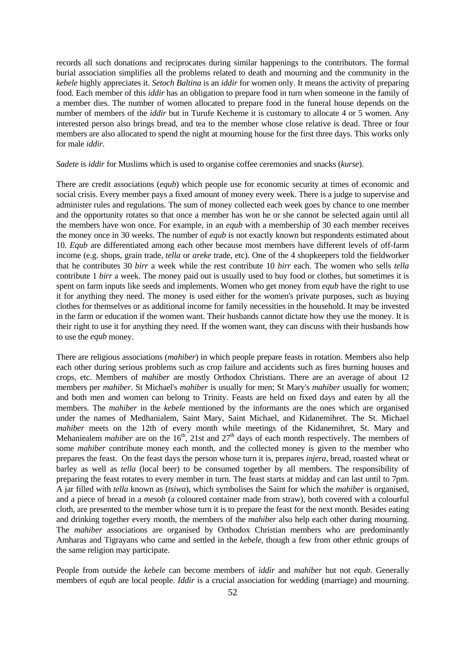records all such donations and reciprocates during similar happenings to the contributors. The formal burial association simplifies all the problems related to death and mourning and the community in the *kebele* highly appreciates it. *Setoch Baltina* is an *iddir* for women only. It means the activity of preparing food. Each member of this *iddir* has an obligation to prepare food in turn when someone in the family of a member dies. The number of women allocated to prepare food in the funeral house depends on the number of members of the *iddir* but in Turufe Kecheme it is customary to allocate 4 or 5 women. Any interested person also brings bread, and tea to the member whose close relative is dead. Three or four members are also allocated to spend the night at mourning house for the first three days. This works only for male *iddir*.

#### *Sadete* is *iddir* for Muslims which is used to organise coffee ceremonies and snacks (*kurse*).

There are credit associations (*equb*) which people use for economic security at times of economic and social crisis. Every member pays a fixed amount of money every week. There is a judge to supervise and administer rules and regulations. The sum of money collected each week goes by chance to one member and the opportunity rotates so that once a member has won he or she cannot be selected again until all the members have won once. For example, in an *equb* with a membership of 30 each member receives the money once in 30 weeks. The number of *equb* is not exactly known but respondents estimated about 10. *Equb* are differentiated among each other because most members have different levels of off-farm income (e.g. shops, grain trade, *tella* or *areke* trade, etc). One of the 4 shopkeepers told the fieldworker that he contributes 30 *birr* a week while the rest contribute 10 *birr* each. The women who sells *tella* contribute 1 *birr* a week. The money paid out is usually used to buy food or clothes, but sometimes it is spent on farm inputs like seeds and implements. Women who get money from *equb* have the right to use it for anything they need. The money is used either for the women's private purposes, such as buying clothes for themselves or as additional income for family necessities in the household. It may be invested in the farm or education if the women want. Their husbands cannot dictate how they use the money. It is their right to use it for anything they need. If the women want, they can discuss with their husbands how to use the *equb* money.

There are religious associations (*mahiber*) in which people prepare feasts in rotation. Members also help each other during serious problems such as crop failure and accidents such as fires burning houses and crops, etc. Members of *mahiber* are mostly Orthodox Christians. There are an average of about 12 members per *mahiber*. St Michael's *mahiber* is usually for men; St Mary's *mahiber* usually for women; and both men and women can belong to Trinity. Feasts are held on fixed days and eaten by all the members. The *mahiber* in the *kebele* mentioned by the informants are the ones which are organised under the names of Medhanialem, Saint Mary, Saint Michael, and Kidanemihret. The St. Michael *mahiber* meets on the 12th of every month while meetings of the Kidanemihret, St. Mary and Mehaniealem *mahiber* are on the 16<sup>th</sup>, 21st and 27<sup>th</sup> days of each month respectively. The members of some *mahiber* contribute money each month, and the collected money is given to the member who prepares the feast. On the feast days the person whose turn it is, prepares *injera,* bread, roasted wheat or barley as well as *tella* (local beer) to be consumed together by all members. The responsibility of preparing the feast rotates to every member in turn. The feast starts at midday and can last until to 7pm. A jar filled with *tella* known as (*tsiwa*), which symbolises the Saint for which the *mahiber* is organised, and a piece of bread in a *mesob* (a coloured container made from straw), both covered with a colourful cloth, are presented to the member whose turn it is to prepare the feast for the next month. Besides eating and drinking together every month, the members of the *mahiber* also help each other during mourning. The *mahiber* associations are organised by Orthodox Christian members who are predominantly Amharas and Tigrayans who came and settled in the *kebele*, though a few from other ethnic groups of the same religion may participate.

People from outside the *kebele* can become members of *iddir* and *mahiber* but not *equb*. Generally members of *equb* are local people. *Iddir* is a crucial association for wedding (marriage) and mourning.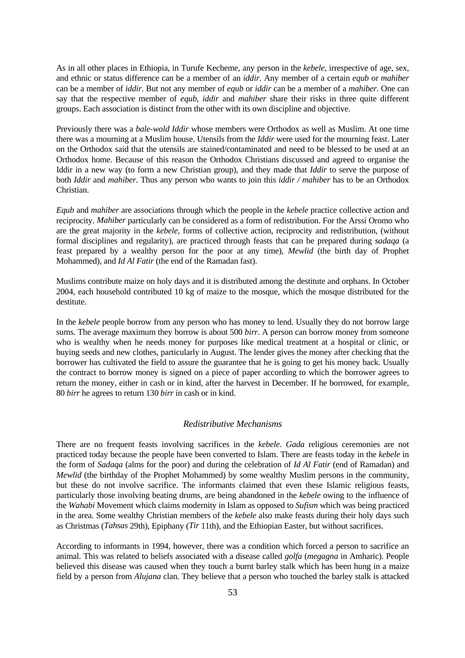As in all other places in Ethiopia, in Turufe Kecheme, any person in the *kebele*, irrespective of age, sex, and ethnic or status difference can be a member of an *iddir*. Any member of a certain *equb* or *mahiber*  can be a member of *iddir*. But not any member of *equb* or *iddir* can be a member of a *mahiber*. One can say that the respective member of *equb*, *iddir* and *mahiber* share their risks in three quite different groups. Each association is distinct from the other with its own discipline and objective.

Previously there was a *bale-wold Iddir* whose members were Orthodox as well as Muslim. At one time there was a mourning at a Muslim house. Utensils from the *Iddir* were used for the mourning feast. Later on the Orthodox said that the utensils are stained/contaminated and need to be blessed to be used at an Orthodox home. Because of this reason the Orthodox Christians discussed and agreed to organise the Iddir in a new way (to form a new Christian group), and they made that *Iddir* to serve the purpose of both *Iddir* and *mahiber*. Thus any person who wants to join this *iddir / mahiber* has to be an Orthodox Christian.

*Equb* and *mahiber* are associations through which the people in the *kebele* practice collective action and reciprocity. *Mahiber* particularly can be considered as a form of redistribution. For the Arssi Oromo who are the great majority in the *kebele*, forms of collective action, reciprocity and redistribution, (without formal disciplines and regularity), are practiced through feasts that can be prepared during *sadaqa* (a feast prepared by a wealthy person for the poor at any time), *Mewlid* (the birth day of Prophet Mohammed), and *Id Al Fatir* (the end of the Ramadan fast).

Muslims contribute maize on holy days and it is distributed among the destitute and orphans. In October 2004, each household contributed 10 kg of maize to the mosque, which the mosque distributed for the destitute.

In the *kebele* people borrow from any person who has money to lend. Usually they do not borrow large sums. The average maximum they borrow is about 500 *birr*. A person can borrow money from someone who is wealthy when he needs money for purposes like medical treatment at a hospital or clinic, or buying seeds and new clothes, particularly in August. The lender gives the money after checking that the borrower has cultivated the field to assure the guarantee that he is going to get his money back. Usually the contract to borrow money is signed on a piece of paper according to which the borrower agrees to return the money, either in cash or in kind, after the harvest in December. If he borrowed, for example, 80 *birr* he agrees to return 130 *birr* in cash or in kind.

### *Redistributive Mechanisms*

There are no frequent feasts involving sacrifices in the *kebele*. *Gada* religious ceremonies are not practiced today because the people have been converted to Islam. There are feasts today in the *kebele* in the form of *Sadaqa* (alms for the poor) and during the celebration of *Id Al Fatir* (end of Ramadan) and *Mewlid* (the birthday of the Prophet Mohammed) by some wealthy Muslim persons in the community, but these do not involve sacrifice. The informants claimed that even these Islamic religious feasts, particularly those involving beating drums, are being abandoned in the *kebele* owing to the influence of the *Wahabi* Movement which claims modernity in Islam as opposed to *Sufism* which was being practiced in the area. Some wealthy Christian members of the *kebele* also make feasts during their holy days such as Christmas (*Tahsas* 29th), Epiphany (*Tir* 11th), and the Ethiopian Easter, but without sacrifices.

According to informants in 1994, however, there was a condition which forced a person to sacrifice an animal. This was related to beliefs associated with a disease called *golfa* (*megagna* in Amharic). People believed this disease was caused when they touch a burnt barley stalk which has been hung in a maize field by a person from *Alujana* clan. They believe that a person who touched the barley stalk is attacked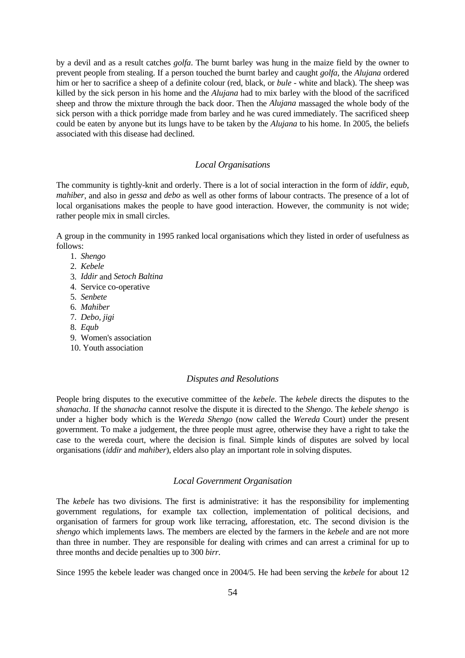by a devil and as a result catches *golfa*. The burnt barley was hung in the maize field by the owner to prevent people from stealing. If a person touched the burnt barley and caught *golfa*, the *Alujana* ordered him or her to sacrifice a sheep of a definite colour (red, black, or *bule* - white and black). The sheep was killed by the sick person in his home and the *Alujana* had to mix barley with the blood of the sacrificed sheep and throw the mixture through the back door. Then the *Alujana* massaged the whole body of the sick person with a thick porridge made from barley and he was cured immediately. The sacrificed sheep could be eaten by anyone but its lungs have to be taken by the *Alujana* to his home. In 2005, the beliefs associated with this disease had declined.

#### *Local Organisations*

The community is tightly-knit and orderly. There is a lot of social interaction in the form of *iddir*, *equb*, *mahiber*, and also in *gessa* and *debo* as well as other forms of labour contracts. The presence of a lot of local organisations makes the people to have good interaction. However, the community is not wide; rather people mix in small circles.

A group in the community in 1995 ranked local organisations which they listed in order of usefulness as follows:

- 1. *Shengo*
- 2. *Kebele*
- 3. *Iddir* and *Setoch Baltina*
- 4. Service co-operative
- 5. *Senbete*
- 6. *Mahiber*
- 7. *Debo, jigi*
- 8. *Equb*
- 9. Women's association
- 10. Youth association

#### *Disputes and Resolutions*

People bring disputes to the executive committee of the *kebele*. The *kebele* directs the disputes to the *shanacha*. If the *shanacha* cannot resolve the dispute it is directed to the *Shengo*. The *kebele shengo* is under a higher body which is the *Wereda Shengo* (now called the *Wereda* Court) under the present government. To make a judgement, the three people must agree, otherwise they have a right to take the case to the wereda court, where the decision is final. Simple kinds of disputes are solved by local organisations (*iddir* and *mahiber*), elders also play an important role in solving disputes.

# *Local Government Organisation*

The *kebele* has two divisions. The first is administrative: it has the responsibility for implementing government regulations, for example tax collection, implementation of political decisions, and organisation of farmers for group work like terracing, afforestation, etc. The second division is the *shengo* which implements laws. The members are elected by the farmers in the *kebele* and are not more than three in number. They are responsible for dealing with crimes and can arrest a criminal for up to three months and decide penalties up to 300 *birr*.

Since 1995 the kebele leader was changed once in 2004/5. He had been serving the *kebele* for about 12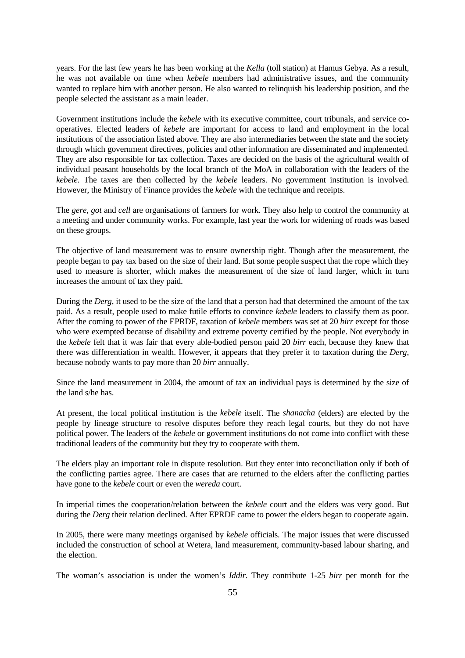years. For the last few years he has been working at the *Kella* (toll station) at Hamus Gebya. As a result, he was not available on time when *kebele* members had administrative issues, and the community wanted to replace him with another person. He also wanted to relinquish his leadership position, and the people selected the assistant as a main leader.

Government institutions include the *kebele* with its executive committee, court tribunals, and service cooperatives. Elected leaders of *kebele* are important for access to land and employment in the local institutions of the association listed above. They are also intermediaries between the state and the society through which government directives, policies and other information are disseminated and implemented. They are also responsible for tax collection. Taxes are decided on the basis of the agricultural wealth of individual peasant households by the local branch of the MoA in collaboration with the leaders of the *kebele*. The taxes are then collected by the *kebele* leaders. No government institution is involved. However, the Ministry of Finance provides the *kebele* with the technique and receipts.

The *gere*, *got* and *cell* are organisations of farmers for work. They also help to control the community at a meeting and under community works. For example, last year the work for widening of roads was based on these groups.

The objective of land measurement was to ensure ownership right. Though after the measurement, the people began to pay tax based on the size of their land. But some people suspect that the rope which they used to measure is shorter, which makes the measurement of the size of land larger, which in turn increases the amount of tax they paid.

During the *Derg*, it used to be the size of the land that a person had that determined the amount of the tax paid. As a result, people used to make futile efforts to convince *kebele* leaders to classify them as poor. After the coming to power of the EPRDF, taxation of *kebele* members was set at 20 *birr* except for those who were exempted because of disability and extreme poverty certified by the people. Not everybody in the *kebele* felt that it was fair that every able-bodied person paid 20 *birr* each, because they knew that there was differentiation in wealth. However, it appears that they prefer it to taxation during the *Derg*, because nobody wants to pay more than 20 *birr* annually.

Since the land measurement in 2004, the amount of tax an individual pays is determined by the size of the land s/he has.

At present, the local political institution is the *kebele* itself. The *shanacha* (elders) are elected by the people by lineage structure to resolve disputes before they reach legal courts, but they do not have political power. The leaders of the *kebele* or government institutions do not come into conflict with these traditional leaders of the community but they try to cooperate with them.

The elders play an important role in dispute resolution. But they enter into reconciliation only if both of the conflicting parties agree. There are cases that are returned to the elders after the conflicting parties have gone to the *kebele* court or even the *wereda* court.

In imperial times the cooperation/relation between the *kebele* court and the elders was very good. But during the *Derg* their relation declined. After EPRDF came to power the elders began to cooperate again.

In 2005, there were many meetings organised by *kebele* officials. The major issues that were discussed included the construction of school at Wetera, land measurement, community-based labour sharing, and the election.

The woman's association is under the women's *Iddir*. They contribute 1-25 *birr* per month for the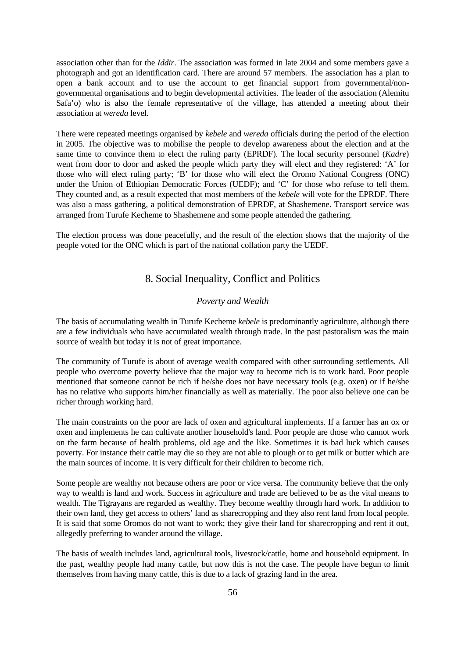association other than for the *Iddir*. The association was formed in late 2004 and some members gave a photograph and got an identification card. There are around 57 members. The association has a plan to open a bank account and to use the account to get financial support from governmental/nongovernmental organisations and to begin developmental activities. The leader of the association (Alemitu Safa'o) who is also the female representative of the village, has attended a meeting about their association at *wereda* level.

There were repeated meetings organised by *kebele* and *wereda* officials during the period of the election in 2005. The objective was to mobilise the people to develop awareness about the election and at the same time to convince them to elect the ruling party (EPRDF). The local security personnel (*Kadre*) went from door to door and asked the people which party they will elect and they registered: 'A' for those who will elect ruling party; 'B' for those who will elect the Oromo National Congress (ONC) under the Union of Ethiopian Democratic Forces (UEDF); and 'C' for those who refuse to tell them. They counted and, as a result expected that most members of the *kebele* will vote for the EPRDF. There was also a mass gathering, a political demonstration of EPRDF, at Shashemene. Transport service was arranged from Turufe Kecheme to Shashemene and some people attended the gathering.

The election process was done peacefully, and the result of the election shows that the majority of the people voted for the ONC which is part of the national collation party the UEDF.

# 8. Social Inequality, Conflict and Politics

### *Poverty and Wealth*

The basis of accumulating wealth in Turufe Kecheme *kebele* is predominantly agriculture, although there are a few individuals who have accumulated wealth through trade. In the past pastoralism was the main source of wealth but today it is not of great importance.

The community of Turufe is about of average wealth compared with other surrounding settlements. All people who overcome poverty believe that the major way to become rich is to work hard. Poor people mentioned that someone cannot be rich if he/she does not have necessary tools (e.g. oxen) or if he/she has no relative who supports him/her financially as well as materially. The poor also believe one can be richer through working hard.

The main constraints on the poor are lack of oxen and agricultural implements. If a farmer has an ox or oxen and implements he can cultivate another household's land. Poor people are those who cannot work on the farm because of health problems, old age and the like. Sometimes it is bad luck which causes poverty. For instance their cattle may die so they are not able to plough or to get milk or butter which are the main sources of income. It is very difficult for their children to become rich.

Some people are wealthy not because others are poor or vice versa. The community believe that the only way to wealth is land and work. Success in agriculture and trade are believed to be as the vital means to wealth. The Tigrayans are regarded as wealthy. They become wealthy through hard work. In addition to their own land, they get access to others' land as sharecropping and they also rent land from local people. It is said that some Oromos do not want to work; they give their land for sharecropping and rent it out, allegedly preferring to wander around the village.

The basis of wealth includes land, agricultural tools, livestock/cattle, home and household equipment. In the past, wealthy people had many cattle, but now this is not the case. The people have begun to limit themselves from having many cattle, this is due to a lack of grazing land in the area.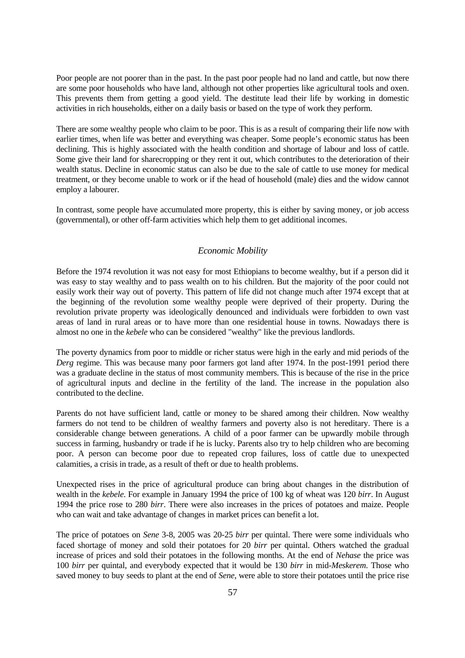Poor people are not poorer than in the past. In the past poor people had no land and cattle, but now there are some poor households who have land, although not other properties like agricultural tools and oxen. This prevents them from getting a good yield. The destitute lead their life by working in domestic activities in rich households, either on a daily basis or based on the type of work they perform.

There are some wealthy people who claim to be poor. This is as a result of comparing their life now with earlier times, when life was better and everything was cheaper. Some people's economic status has been declining. This is highly associated with the health condition and shortage of labour and loss of cattle. Some give their land for sharecropping or they rent it out, which contributes to the deterioration of their wealth status. Decline in economic status can also be due to the sale of cattle to use money for medical treatment, or they become unable to work or if the head of household (male) dies and the widow cannot employ a labourer.

In contrast, some people have accumulated more property, this is either by saving money, or job access (governmental), or other off-farm activities which help them to get additional incomes.

### *Economic Mobility*

Before the 1974 revolution it was not easy for most Ethiopians to become wealthy, but if a person did it was easy to stay wealthy and to pass wealth on to his children. But the majority of the poor could not easily work their way out of poverty. This pattern of life did not change much after 1974 except that at the beginning of the revolution some wealthy people were deprived of their property. During the revolution private property was ideologically denounced and individuals were forbidden to own vast areas of land in rural areas or to have more than one residential house in towns. Nowadays there is almost no one in the *kebele* who can be considered "wealthy" like the previous landlords.

The poverty dynamics from poor to middle or richer status were high in the early and mid periods of the *Derg* regime. This was because many poor farmers got land after 1974. In the post-1991 period there was a graduate decline in the status of most community members. This is because of the rise in the price of agricultural inputs and decline in the fertility of the land. The increase in the population also contributed to the decline.

Parents do not have sufficient land, cattle or money to be shared among their children. Now wealthy farmers do not tend to be children of wealthy farmers and poverty also is not hereditary. There is a considerable change between generations. A child of a poor farmer can be upwardly mobile through success in farming, husbandry or trade if he is lucky. Parents also try to help children who are becoming poor. A person can become poor due to repeated crop failures, loss of cattle due to unexpected calamities, a crisis in trade, as a result of theft or due to health problems.

Unexpected rises in the price of agricultural produce can bring about changes in the distribution of wealth in the *kebele*. For example in January 1994 the price of 100 kg of wheat was 120 *birr*. In August 1994 the price rose to 280 *birr*. There were also increases in the prices of potatoes and maize. People who can wait and take advantage of changes in market prices can benefit a lot.

The price of potatoes on *Sene* 3-8, 2005 was 20-25 *birr* per quintal. There were some individuals who faced shortage of money and sold their potatoes for 20 *birr* per quintal. Others watched the gradual increase of prices and sold their potatoes in the following months. At the end of *Nehase* the price was 100 *birr* per quintal, and everybody expected that it would be 130 *birr* in mid-*Meskerem*. Those who saved money to buy seeds to plant at the end of *Sene*, were able to store their potatoes until the price rise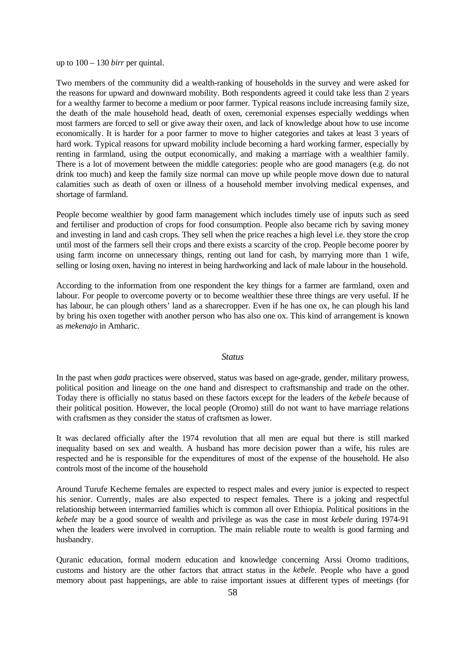up to 100 – 130 *birr* per quintal.

Two members of the community did a wealth-ranking of households in the survey and were asked for the reasons for upward and downward mobility. Both respondents agreed it could take less than 2 years for a wealthy farmer to become a medium or poor farmer. Typical reasons include increasing family size, the death of the male household head, death of oxen, ceremonial expenses especially weddings when most farmers are forced to sell or give away their oxen, and lack of knowledge about how to use income economically. It is harder for a poor farmer to move to higher categories and takes at least 3 years of hard work. Typical reasons for upward mobility include becoming a hard working farmer, especially by renting in farmland, using the output economically, and making a marriage with a wealthier family. There is a lot of movement between the middle categories: people who are good managers (e.g. do not drink too much) and keep the family size normal can move up while people move down due to natural calamities such as death of oxen or illness of a household member involving medical expenses, and shortage of farmland.

People become wealthier by good farm management which includes timely use of inputs such as seed and fertiliser and production of crops for food consumption. People also became rich by saving money and investing in land and cash crops. They sell when the price reaches a high level i.e. they store the crop until most of the farmers sell their crops and there exists a scarcity of the crop. People become poorer by using farm income on unnecessary things, renting out land for cash, by marrying more than 1 wife, selling or losing oxen, having no interest in being hardworking and lack of male labour in the household.

According to the information from one respondent the key things for a farmer are farmland, oxen and labour. For people to overcome poverty or to become wealthier these three things are very useful. If he has labour, he can plough others' land as a sharecropper. Even if he has one ox, he can plough his land by bring his oxen together with another person who has also one ox. This kind of arrangement is known as *mekenajo* in Amharic.

### *Status*

In the past when *gada* practices were observed, status was based on age-grade, gender, military prowess, political position and lineage on the one hand and disrespect to craftsmanship and trade on the other. Today there is officially no status based on these factors except for the leaders of the *kebele* because of their political position. However, the local people (Oromo) still do not want to have marriage relations with craftsmen as they consider the status of craftsmen as lower.

It was declared officially after the 1974 revolution that all men are equal but there is still marked inequality based on sex and wealth. A husband has more decision power than a wife, his rules are respected and he is responsible for the expenditures of most of the expense of the household. He also controls most of the income of the household

Around Turufe Kecheme females are expected to respect males and every junior is expected to respect his senior. Currently, males are also expected to respect females. There is a joking and respectful relationship between intermarried families which is common all over Ethiopia. Political positions in the *kebele* may be a good source of wealth and privilege as was the case in most *kebele* during 1974-91 when the leaders were involved in corruption. The main reliable route to wealth is good farming and husbandry.

Quranic education, formal modern education and knowledge concerning Arssi Oromo traditions, customs and history are the other factors that attract status in the *kebele*. People who have a good memory about past happenings, are able to raise important issues at different types of meetings (for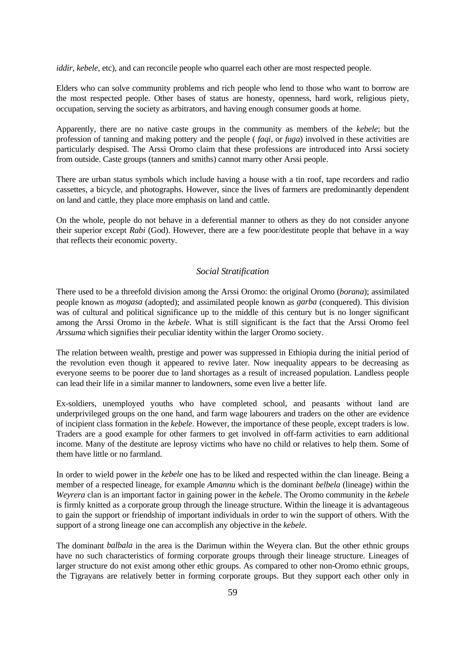*iddir*, *kebele*, etc), and can reconcile people who quarrel each other are most respected people.

Elders who can solve community problems and rich people who lend to those who want to borrow are the most respected people. Other bases of status are honesty, openness, hard work, religious piety, occupation, serving the society as arbitrators, and having enough consumer goods at home.

Apparently, there are no native caste groups in the community as members of the *kebele*; but the profession of tanning and making pottery and the people ( *faqi*, or *fuga*) involved in these activities are particularly despised. The Arssi Oromo claim that these professions are introduced into Arssi society from outside. Caste groups (tanners and smiths) cannot marry other Arssi people.

There are urban status symbols which include having a house with a tin roof, tape recorders and radio cassettes, a bicycle, and photographs. However, since the lives of farmers are predominantly dependent on land and cattle, they place more emphasis on land and cattle.

On the whole, people do not behave in a deferential manner to others as they do not consider anyone their superior except *Rabi* (God). However, there are a few poor/destitute people that behave in a way that reflects their economic poverty.

### *Social Stratification*

There used to be a threefold division among the Arssi Oromo: the original Oromo (*borana*); assimilated people known as *mogasa* (adopted); and assimilated people known as *garba* (conquered). This division was of cultural and political significance up to the middle of this century but is no longer significant among the Arssi Oromo in the *kebele*. What is still significant is the fact that the Arssi Oromo feel *Arssuma* which signifies their peculiar identity within the larger Oromo society.

The relation between wealth, prestige and power was suppressed in Ethiopia during the initial period of the revolution even though it appeared to revive later. Now inequality appears to be decreasing as everyone seems to be poorer due to land shortages as a result of increased population. Landless people can lead their life in a similar manner to landowners, some even live a better life.

Ex-soldiers, unemployed youths who have completed school, and peasants without land are underprivileged groups on the one hand, and farm wage labourers and traders on the other are evidence of incipient class formation in the *kebele*. However, the importance of these people, except traders is low. Traders are a good example for other farmers to get involved in off-farm activities to earn additional income. Many of the destitute are leprosy victims who have no child or relatives to help them. Some of them have little or no farmland.

In order to wield power in the *kebele* one has to be liked and respected within the clan lineage. Being a member of a respected lineage, for example *Amannu* which is the dominant *belbela* (lineage) within the *Weyrera* clan is an important factor in gaining power in the *kebele*. The Oromo community in the *kebele* is firmly knitted as a corporate group through the lineage structure. Within the lineage it is advantageous to gain the support or friendship of important individuals in order to win the support of others. With the support of a strong lineage one can accomplish any objective in the *kebele*.

The dominant *balbala* in the area is the Darimun within the Weyera clan. But the other ethnic groups have no such characteristics of forming corporate groups through their lineage structure. Lineages of larger structure do not exist among other ethic groups. As compared to other non-Oromo ethnic groups, the Tigrayans are relatively better in forming corporate groups. But they support each other only in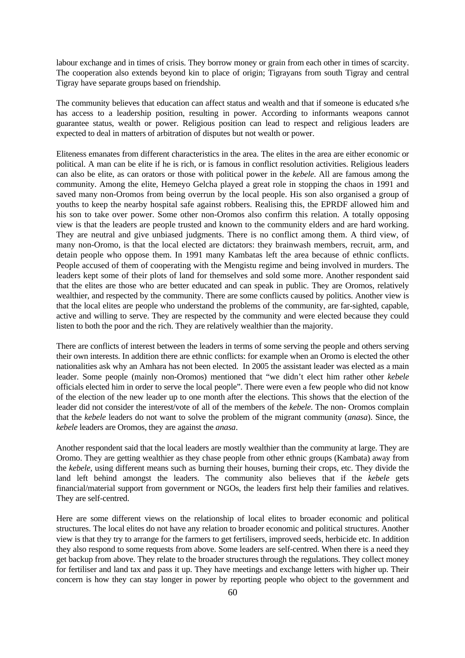labour exchange and in times of crisis. They borrow money or grain from each other in times of scarcity. The cooperation also extends beyond kin to place of origin; Tigrayans from south Tigray and central Tigray have separate groups based on friendship.

The community believes that education can affect status and wealth and that if someone is educated s/he has access to a leadership position, resulting in power. According to informants weapons cannot guarantee status, wealth or power. Religious position can lead to respect and religious leaders are expected to deal in matters of arbitration of disputes but not wealth or power.

Eliteness emanates from different characteristics in the area. The elites in the area are either economic or political. A man can be elite if he is rich, or is famous in conflict resolution activities. Religious leaders can also be elite, as can orators or those with political power in the *kebele*. All are famous among the community. Among the elite, Hemeyo Gelcha played a great role in stopping the chaos in 1991 and saved many non-Oromos from being overrun by the local people. His son also organised a group of youths to keep the nearby hospital safe against robbers. Realising this, the EPRDF allowed him and his son to take over power. Some other non-Oromos also confirm this relation. A totally opposing view is that the leaders are people trusted and known to the community elders and are hard working. They are neutral and give unbiased judgments. There is no conflict among them. A third view, of many non-Oromo, is that the local elected are dictators: they brainwash members, recruit, arm, and detain people who oppose them. In 1991 many Kambatas left the area because of ethnic conflicts. People accused of them of cooperating with the Mengistu regime and being involved in murders. The leaders kept some of their plots of land for themselves and sold some more. Another respondent said that the elites are those who are better educated and can speak in public. They are Oromos, relatively wealthier, and respected by the community. There are some conflicts caused by politics. Another view is that the local elites are people who understand the problems of the community, are far-sighted, capable, active and willing to serve. They are respected by the community and were elected because they could listen to both the poor and the rich. They are relatively wealthier than the majority.

There are conflicts of interest between the leaders in terms of some serving the people and others serving their own interests. In addition there are ethnic conflicts: for example when an Oromo is elected the other nationalities ask why an Amhara has not been elected. In 2005 the assistant leader was elected as a main leader. Some people (mainly non-Oromos) mentioned that "we didn't elect him rather other *kebele*  officials elected him in order to serve the local people". There were even a few people who did not know of the election of the new leader up to one month after the elections. This shows that the election of the leader did not consider the interest/vote of all of the members of the *kebele*. The non- Oromos complain that the *kebele* leaders do not want to solve the problem of the migrant community (*anasa*). Since, the *kebele* leaders are Oromos, they are against the *anasa*.

Another respondent said that the local leaders are mostly wealthier than the community at large. They are Oromo. They are getting wealthier as they chase people from other ethnic groups (Kambata) away from the *kebele*, using different means such as burning their houses, burning their crops, etc. They divide the land left behind amongst the leaders. The community also believes that if the *kebele* gets financial/material support from government or NGOs, the leaders first help their families and relatives. They are self-centred.

Here are some different views on the relationship of local elites to broader economic and political structures. The local elites do not have any relation to broader economic and political structures. Another view is that they try to arrange for the farmers to get fertilisers, improved seeds, herbicide etc. In addition they also respond to some requests from above. Some leaders are self-centred. When there is a need they get backup from above. They relate to the broader structures through the regulations. They collect money for fertiliser and land tax and pass it up. They have meetings and exchange letters with higher up. Their concern is how they can stay longer in power by reporting people who object to the government and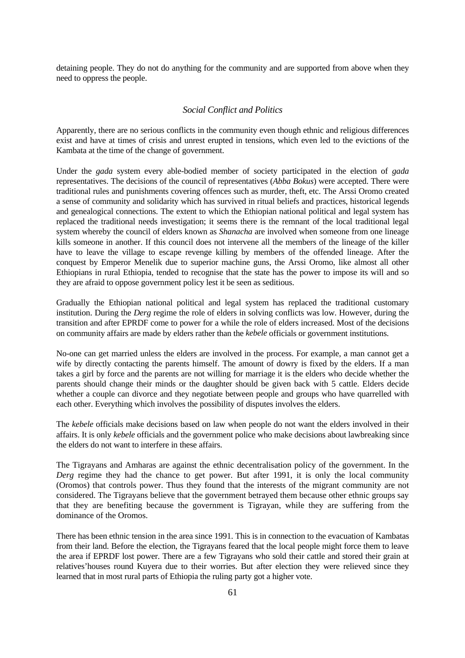detaining people. They do not do anything for the community and are supported from above when they need to oppress the people.

### *Social Conflict and Politics*

Apparently, there are no serious conflicts in the community even though ethnic and religious differences exist and have at times of crisis and unrest erupted in tensions, which even led to the evictions of the Kambata at the time of the change of government.

Under the *gada* system every able-bodied member of society participated in the election of *gada*  representatives. The decisions of the council of representatives (*Abba Bokus*) were accepted. There were traditional rules and punishments covering offences such as murder, theft, etc. The Arssi Oromo created a sense of community and solidarity which has survived in ritual beliefs and practices, historical legends and genealogical connections. The extent to which the Ethiopian national political and legal system has replaced the traditional needs investigation; it seems there is the remnant of the local traditional legal system whereby the council of elders known as *Shanacha* are involved when someone from one lineage kills someone in another. If this council does not intervene all the members of the lineage of the killer have to leave the village to escape revenge killing by members of the offended lineage. After the conquest by Emperor Menelik due to superior machine guns, the Arssi Oromo, like almost all other Ethiopians in rural Ethiopia, tended to recognise that the state has the power to impose its will and so they are afraid to oppose government policy lest it be seen as seditious.

Gradually the Ethiopian national political and legal system has replaced the traditional customary institution. During the *Derg* regime the role of elders in solving conflicts was low. However, during the transition and after EPRDF come to power for a while the role of elders increased. Most of the decisions on community affairs are made by elders rather than the *kebele* officials or government institutions.

No-one can get married unless the elders are involved in the process. For example, a man cannot get a wife by directly contacting the parents himself. The amount of dowry is fixed by the elders. If a man takes a girl by force and the parents are not willing for marriage it is the elders who decide whether the parents should change their minds or the daughter should be given back with 5 cattle. Elders decide whether a couple can divorce and they negotiate between people and groups who have quarrelled with each other. Everything which involves the possibility of disputes involves the elders.

The *kebele* officials make decisions based on law when people do not want the elders involved in their affairs. It is only *kebele* officials and the government police who make decisions about lawbreaking since the elders do not want to interfere in these affairs.

The Tigrayans and Amharas are against the ethnic decentralisation policy of the government. In the *Derg* regime they had the chance to get power. But after 1991, it is only the local community (Oromos) that controls power. Thus they found that the interests of the migrant community are not considered. The Tigrayans believe that the government betrayed them because other ethnic groups say that they are benefiting because the government is Tigrayan, while they are suffering from the dominance of the Oromos.

There has been ethnic tension in the area since 1991. This is in connection to the evacuation of Kambatas from their land. Before the election, the Tigrayans feared that the local people might force them to leave the area if EPRDF lost power. There are a few Tigrayans who sold their cattle and stored their grain at relatives'houses round Kuyera due to their worries. But after election they were relieved since they learned that in most rural parts of Ethiopia the ruling party got a higher vote.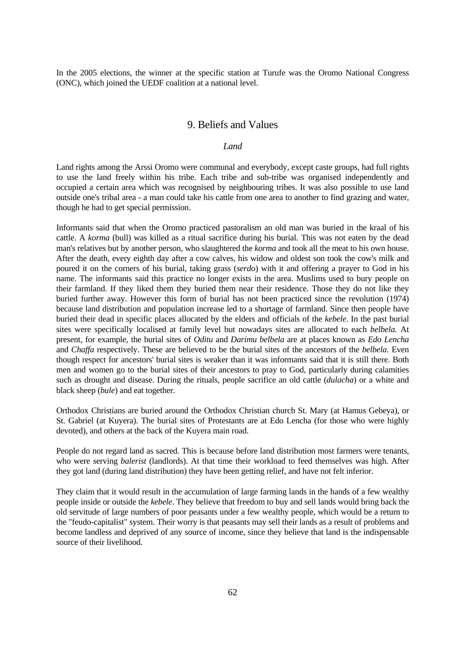In the 2005 elections, the winner at the specific station at Turufe was the Oromo National Congress (ONC), which joined the UEDF coalition at a national level.

# 9. Beliefs and Values

## *Land Land*

Land rights among the Arssi Oromo were communal and everybody, except caste groups, had full rights to use the land freely within his tribe. Each tribe and sub-tribe was organised independently and occupied a certain area which was recognised by neighbouring tribes. It was also possible to use land outside one's tribal area - a man could take his cattle from one area to another to find grazing and water, though he had to get special permission.

Informants said that when the Oromo practiced pastoralism an old man was buried in the kraal of his cattle. A *korma* (bull) was killed as a ritual sacrifice during his burial. This was not eaten by the dead man's relatives but by another person, who slaughtered the *korma* and took all the meat to his own house. After the death, every eighth day after a cow calves, his widow and oldest son took the cow's milk and poured it on the corners of his burial, taking grass (*serdo*) with it and offering a prayer to God in his name. The informants said this practice no longer exists in the area. Muslims used to bury people on their farmland. If they liked them they buried them near their residence. Those they do not like they buried further away. However this form of burial has not been practiced since the revolution (1974) because land distribution and population increase led to a shortage of farmland. Since then people have buried their dead in specific places allocated by the elders and officials of the *kebele*. In the past burial sites were specifically localised at family level but nowadays sites are allocated to each *belbela.* At present, for example, the burial sites of *Oditu* and *Darimu belbela* are at places known as *Edo Lencha*  and *Chaffa* respectively. These are believed to be the burial sites of the ancestors of the *belbela*. Even though respect for ancestors' burial sites is weaker than it was informants said that it is still there. Both men and women go to the burial sites of their ancestors to pray to God, particularly during calamities such as drought and disease. During the rituals, people sacrifice an old cattle (*dulacha*) or a white and black sheep (*bule*) and eat together.

Orthodox Christians are buried around the Orthodox Christian church St. Mary (at Hamus Gebeya), or St. Gabriel (at Kuyera). The burial sites of Protestants are at Edo Lencha (for those who were highly devoted), and others at the back of the Kuyera main road.

People do not regard land as sacred. This is because before land distribution most farmers were tenants, who were serving *balerist* (landlords). At that time their workload to feed themselves was high. After they got land (during land distribution) they have been getting relief, and have not felt inferior.

They claim that it would result in the accumulation of large farming lands in the hands of a few wealthy people inside or outside the *kebele*. They believe that freedom to buy and sell lands would bring back the old servitude of large numbers of poor peasants under a few wealthy people, which would be a return to the "feudo-capitalist" system. Their worry is that peasants may sell their lands as a result of problems and become landless and deprived of any source of income, since they believe that land is the indispensable source of their livelihood.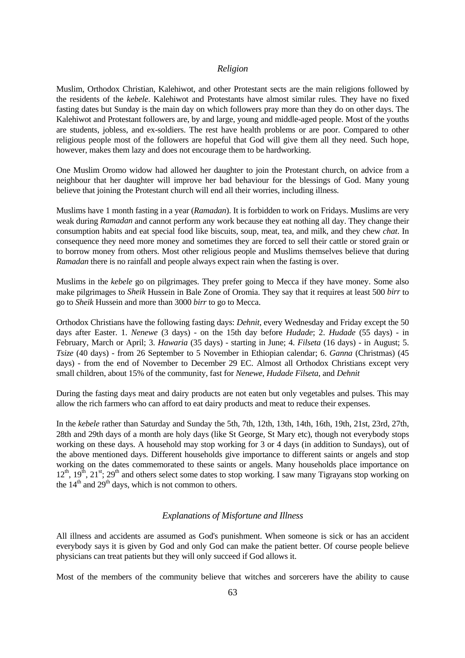#### *Religion*

Muslim, Orthodox Christian, Kalehiwot, and other Protestant sects are the main religions followed by the residents of the *kebele*. Kalehiwot and Protestants have almost similar rules. They have no fixed fasting dates but Sunday is the main day on which followers pray more than they do on other days. The Kalehiwot and Protestant followers are, by and large, young and middle-aged people. Most of the youths are students, jobless, and ex-soldiers. The rest have health problems or are poor. Compared to other religious people most of the followers are hopeful that God will give them all they need. Such hope, however, makes them lazy and does not encourage them to be hardworking.

One Muslim Oromo widow had allowed her daughter to join the Protestant church, on advice from a neighbour that her daughter will improve her bad behaviour for the blessings of God. Many young believe that joining the Protestant church will end all their worries, including illness.

Muslims have 1 month fasting in a year (*Ramadan*). It is forbidden to work on Fridays. Muslims are very weak during *Ramadan* and cannot perform any work because they eat nothing all day. They change their consumption habits and eat special food like biscuits, soup, meat, tea, and milk, and they chew *chat*. In consequence they need more money and sometimes they are forced to sell their cattle or stored grain or to borrow money from others. Most other religious people and Muslims themselves believe that during *Ramadan* there is no rainfall and people always expect rain when the fasting is over.

Muslims in the *kebele* go on pilgrimages. They prefer going to Mecca if they have money. Some also make pilgrimages to *Sheik* Hussein in Bale Zone of Oromia. They say that it requires at least 500 *birr* to go to *Sheik* Hussein and more than 3000 *birr* to go to Mecca.

Orthodox Christians have the following fasting days: *Dehnit,* every Wednesday and Friday except the 50 days after Easter. 1. *Nenewe* (3 days) - on the 15th day before *Hudade*; 2. *Hudade* (55 days) - in February, March or April; 3. *Hawaria* (35 days) - starting in June; 4. *Filseta* (16 days) - in August; 5. *Tsize* (40 days) - from 26 September to 5 November in Ethiopian calendar; 6. *Ganna* (Christmas) (45 days) - from the end of November to December 29 EC. Almost all Orthodox Christians except very small children, about 15% of the community, fast for *Nenewe*, *Hudade Filseta*, and *Dehnit* 

During the fasting days meat and dairy products are not eaten but only vegetables and pulses. This may allow the rich farmers who can afford to eat dairy products and meat to reduce their expenses.

In the *kebele* rather than Saturday and Sunday the 5th, 7th, 12th, 13th, 14th, 16th, 19th, 21st, 23rd, 27th, 28th and 29th days of a month are holy days (like St George, St Mary etc), though not everybody stops working on these days. A household may stop working for 3 or 4 days (in addition to Sundays), out of the above mentioned days. Different households give importance to different saints or angels and stop working on the dates commemorated to these saints or angels. Many households place importance on  $12<sup>th</sup>$ ,  $19<sup>th</sup>$ ,  $21<sup>st</sup>$ ;  $29<sup>th</sup>$  and others select some dates to stop working. I saw many Tigrayans stop working on the  $14<sup>th</sup>$  and  $29<sup>th</sup>$  days, which is not common to others.

#### *Explanations of Misfortune and Illness*

All illness and accidents are assumed as God's punishment. When someone is sick or has an accident everybody says it is given by God and only God can make the patient better. Of course people believe physicians can treat patients but they will only succeed if God allows it.

Most of the members of the community believe that witches and sorcerers have the ability to cause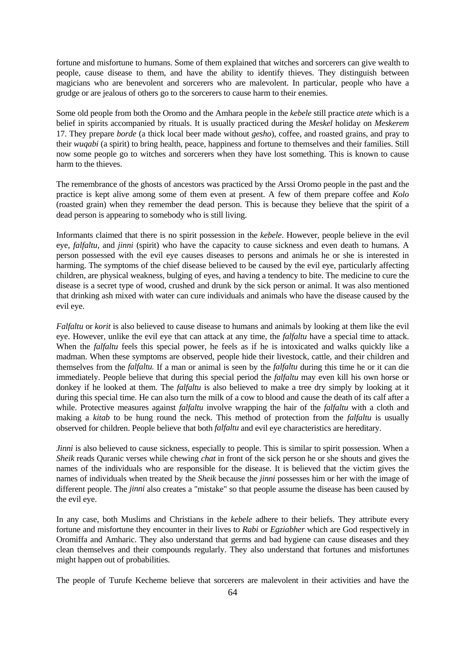fortune and misfortune to humans. Some of them explained that witches and sorcerers can give wealth to people, cause disease to them, and have the ability to identify thieves. They distinguish between magicians who are benevolent and sorcerers who are malevolent. In particular, people who have a grudge or are jealous of others go to the sorcerers to cause harm to their enemies.

Some old people from both the Oromo and the Amhara people in the *kebele* still practice *atete* which is a belief in spirits accompanied by rituals. It is usually practiced during the *Meskel* holiday on *Meskerem* 17. They prepare *borde* (a thick local beer made without *gesho*), coffee, and roasted grains, and pray to their *wuqabi* (a spirit) to bring health, peace, happiness and fortune to themselves and their families. Still now some people go to witches and sorcerers when they have lost something. This is known to cause harm to the thieves.

The remembrance of the ghosts of ancestors was practiced by the Arssi Oromo people in the past and the practice is kept alive among some of them even at present. A few of them prepare coffee and *Kolo*  (roasted grain) when they remember the dead person. This is because they believe that the spirit of a dead person is appearing to somebody who is still living.

Informants claimed that there is no spirit possession in the *kebele*. However, people believe in the evil eye, *falfaltu,* and *jinni* (spirit) who have the capacity to cause sickness and even death to humans. A person possessed with the evil eye causes diseases to persons and animals he or she is interested in harming. The symptoms of the chief disease believed to be caused by the evil eye, particularly affecting children, are physical weakness, bulging of eyes, and having a tendency to bite. The medicine to cure the disease is a secret type of wood, crushed and drunk by the sick person or animal. It was also mentioned that drinking ash mixed with water can cure individuals and animals who have the disease caused by the evil eye.

*Falfaltu* or *korit* is also believed to cause disease to humans and animals by looking at them like the evil eye. However, unlike the evil eye that can attack at any time, the *falfaltu* have a special time to attack. When the *falfaltu* feels this special power, he feels as if he is intoxicated and walks quickly like a madman. When these symptoms are observed, people hide their livestock, cattle, and their children and themselves from the *falfaltu.* If a man or animal is seen by the *falfaltu* during this time he or it can die immediately. People believe that during this special period the *falfaltu* may even kill his own horse or donkey if he looked at them. The *falfaltu* is also believed to make a tree dry simply by looking at it during this special time. He can also turn the milk of a cow to blood and cause the death of its calf after a while. Protective measures against *falfaltu* involve wrapping the hair of the *falfaltu* with a cloth and making a *kitab* to be hung round the neck. This method of protection from the *falfaltu* is usually observed for children. People believe that both *falfaltu* and evil eye characteristics are hereditary.

*Jinni* is also believed to cause sickness, especially to people. This is similar to spirit possession. When a *Sheik* reads Quranic verses while chewing *chat* in front of the sick person he or she shouts and gives the names of the individuals who are responsible for the disease. It is believed that the victim gives the names of individuals when treated by the *Sheik* because the *jinni* possesses him or her with the image of different people. The *jinni* also creates a "mistake" so that people assume the disease has been caused by the evil eye.

In any case, both Muslims and Christians in the *kebele* adhere to their beliefs. They attribute every fortune and misfortune they encounter in their lives to *Rabi* or *Egziabher* which are God respectively in Oromiffa and Amharic. They also understand that germs and bad hygiene can cause diseases and they clean themselves and their compounds regularly. They also understand that fortunes and misfortunes might happen out of probabilities.

The people of Turufe Kecheme believe that sorcerers are malevolent in their activities and have the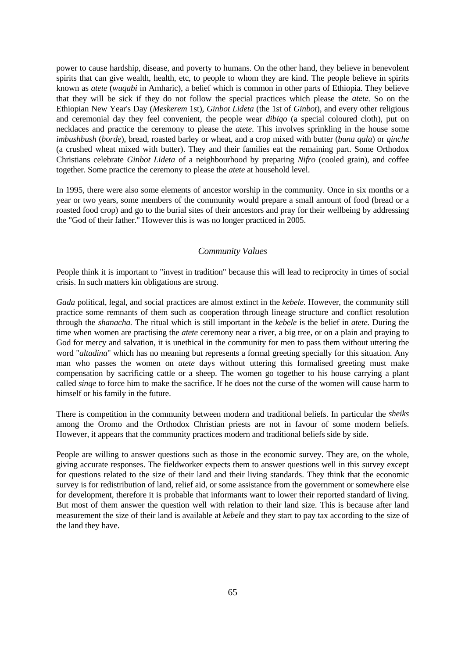power to cause hardship, disease, and poverty to humans. On the other hand, they believe in benevolent spirits that can give wealth, health, etc, to people to whom they are kind. The people believe in spirits known as *atete* (*wuqabi* in Amharic), a belief which is common in other parts of Ethiopia. They believe that they will be sick if they do not follow the special practices which please the *atete*. So on the Ethiopian New Year's Day (*Meskerem* 1st), *Ginbot Lideta* (the 1st of *Ginbot*), and every other religious and ceremonial day they feel convenient, the people wear *dibiqo* (a special coloured cloth), put on necklaces and practice the ceremony to please the *atete*. This involves sprinkling in the house some *imbushbush* (*borde*), bread, roasted barley or wheat, and a crop mixed with butter (*buna qala*) or *qinche* (a crushed wheat mixed with butter). They and their families eat the remaining part. Some Orthodox Christians celebrate *Ginbot Lideta* of a neighbourhood by preparing *Nifro* (cooled grain), and coffee together. Some practice the ceremony to please the *atete* at household level.

In 1995, there were also some elements of ancestor worship in the community. Once in six months or a year or two years, some members of the community would prepare a small amount of food (bread or a roasted food crop) and go to the burial sites of their ancestors and pray for their wellbeing by addressing the "God of their father." However this is was no longer practiced in 2005.

## *Community Values*

People think it is important to "invest in tradition" because this will lead to reciprocity in times of social crisis. In such matters kin obligations are strong.

*Gada* political, legal, and social practices are almost extinct in the *kebele*. However, the community still practice some remnants of them such as cooperation through lineage structure and conflict resolution through the *shanacha.* The ritual which is still important in the *kebele* is the belief in *atete.* During the time when women are practising the *atete* ceremony near a river, a big tree, or on a plain and praying to God for mercy and salvation, it is unethical in the community for men to pass them without uttering the word "*altadina*" which has no meaning but represents a formal greeting specially for this situation. Any man who passes the women on *atete* days without uttering this formalised greeting must make compensation by sacrificing cattle or a sheep. The women go together to his house carrying a plant called *sinqe* to force him to make the sacrifice. If he does not the curse of the women will cause harm to himself or his family in the future.

There is competition in the community between modern and traditional beliefs. In particular the *sheiks* among the Oromo and the Orthodox Christian priests are not in favour of some modern beliefs. However, it appears that the community practices modern and traditional beliefs side by side.

People are willing to answer questions such as those in the economic survey. They are, on the whole, giving accurate responses. The fieldworker expects them to answer questions well in this survey except for questions related to the size of their land and their living standards. They think that the economic survey is for redistribution of land, relief aid, or some assistance from the government or somewhere else for development, therefore it is probable that informants want to lower their reported standard of living. But most of them answer the question well with relation to their land size. This is because after land measurement the size of their land is available at *kebele* and they start to pay tax according to the size of the land they have.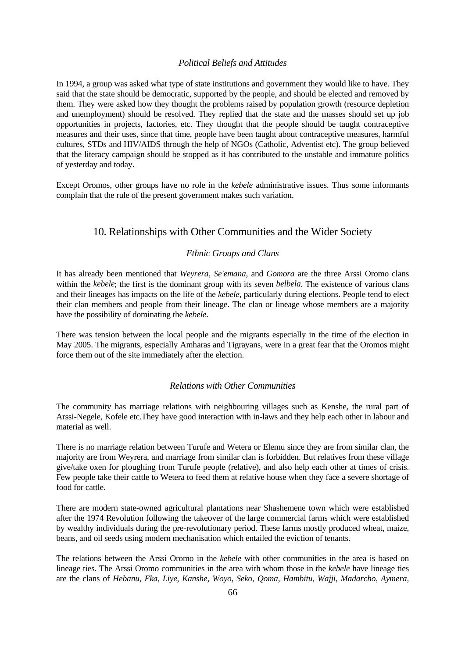### *Political Beliefs and Attitudes*

In 1994, a group was asked what type of state institutions and government they would like to have. They said that the state should be democratic, supported by the people, and should be elected and removed by them. They were asked how they thought the problems raised by population growth (resource depletion and unemployment) should be resolved. They replied that the state and the masses should set up job opportunities in projects, factories, etc. They thought that the people should be taught contraceptive measures and their uses, since that time, people have been taught about contraceptive measures, harmful cultures, STDs and HIV/AIDS through the help of NGOs (Catholic, Adventist etc). The group believed that the literacy campaign should be stopped as it has contributed to the unstable and immature politics of yesterday and today.

Except Oromos, other groups have no role in the *kebele* administrative issues. Thus some informants complain that the rule of the present government makes such variation.

# 10. Relationships with Other Communities and the Wider Society

### *Ethnic Groups and Clans*

It has already been mentioned that *Weyrera*, *Se'emana*, and *Gomora* are the three Arssi Oromo clans within the *kebele*; the first is the dominant group with its seven *belbela*. The existence of various clans and their lineages has impacts on the life of the *kebele*, particularly during elections. People tend to elect their clan members and people from their lineage. The clan or lineage whose members are a majority have the possibility of dominating the *kebele*.

There was tension between the local people and the migrants especially in the time of the election in May 2005. The migrants, especially Amharas and Tigrayans, were in a great fear that the Oromos might force them out of the site immediately after the election.

### *Relations with Other Communities*

The community has marriage relations with neighbouring villages such as Kenshe, the rural part of Arssi-Negele, Kofele etc.They have good interaction with in-laws and they help each other in labour and material as well.

There is no marriage relation between Turufe and Wetera or Elemu since they are from similar clan, the majority are from Weyrera, and marriage from similar clan is forbidden. But relatives from these village give/take oxen for ploughing from Turufe people (relative), and also help each other at times of crisis. Few people take their cattle to Wetera to feed them at relative house when they face a severe shortage of food for cattle.

There are modern state-owned agricultural plantations near Shashemene town which were established after the 1974 Revolution following the takeover of the large commercial farms which were established by wealthy individuals during the pre-revolutionary period. These farms mostly produced wheat, maize, beans, and oil seeds using modern mechanisation which entailed the eviction of tenants.

The relations between the Arssi Oromo in the *kebele* with other communities in the area is based on lineage ties. The Arssi Oromo communities in the area with whom those in the *kebele* have lineage ties are the clans of *Hebanu*, *Eka*, *Liye*, *Kanshe*, *Woyo*, *Seko*, *Qoma*, *Hambitu*, *Wajji*, *Madarcho*, *Aymera*,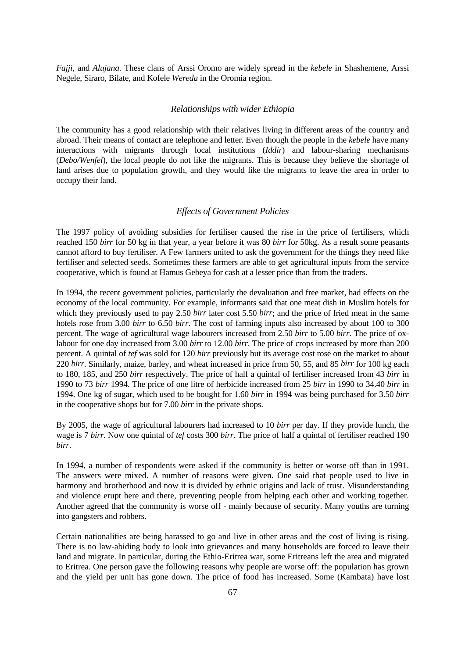*Fajji*, and *Alujana*. These clans of Arssi Oromo are widely spread in the *kebele* in Shashemene, Arssi Negele, Siraro, Bilate, and Kofele *Wereda* in the Oromia region.

### *Relationships with wider Ethiopia*

The community has a good relationship with their relatives living in different areas of the country and abroad. Their means of contact are telephone and letter. Even though the people in the *kebele* have many interactions with migrants through local institutions (*Iddir*) and labour-sharing mechanisms (*Debo/Wenfel*), the local people do not like the migrants. This is because they believe the shortage of land arises due to population growth, and they would like the migrants to leave the area in order to occupy their land.

#### *Effects of Government Policies*

The 1997 policy of avoiding subsidies for fertiliser caused the rise in the price of fertilisers, which reached 150 *birr* for 50 kg in that year, a year before it was 80 *birr* for 50kg. As a result some peasants cannot afford to buy fertiliser. A Few farmers united to ask the government for the things they need like fertiliser and selected seeds. Sometimes these farmers are able to get agricultural inputs from the service cooperative, which is found at Hamus Gebeya for cash at a lesser price than from the traders.

In 1994, the recent government policies, particularly the devaluation and free market, had effects on the economy of the local community. For example, informants said that one meat dish in Muslim hotels for which they previously used to pay 2.50 *birr* later cost 5.50 *birr*; and the price of fried meat in the same hotels rose from 3.00 *birr* to 6.50 *birr*. The cost of farming inputs also increased by about 100 to 300 percent. The wage of agricultural wage labourers increased from 2.50 *birr* to 5.00 *birr*. The price of oxlabour for one day increased from 3.00 *birr* to 12.00 *birr*. The price of crops increased by more than 200 percent. A quintal of *tef* was sold for 120 *birr* previously but its average cost rose on the market to about 220 *birr*. Similarly, maize, barley, and wheat increased in price from 50, 55, and 85 *birr* for 100 kg each to 180, 185, and 250 *birr* respectively. The price of half a quintal of fertiliser increased from 43 *birr* in 1990 to 73 *birr* 1994. The price of one litre of herbicide increased from 25 *birr* in 1990 to 34.40 *birr* in 1994. One kg of sugar, which used to be bought for 1.60 *birr* in 1994 was being purchased for 3.50 *birr* in the cooperative shops but for 7.00 *birr* in the private shops.

By 2005, the wage of agricultural labourers had increased to 10 *birr* per day. If they provide lunch, the wage is 7 *birr*. Now one quintal of *tef* costs 300 *birr*. The price of half a quintal of fertiliser reached 190 *birr*.

In 1994, a number of respondents were asked if the community is better or worse off than in 1991. The answers were mixed. A number of reasons were given. One said that people used to live in harmony and brotherhood and now it is divided by ethnic origins and lack of trust. Misunderstanding and violence erupt here and there, preventing people from helping each other and working together. Another agreed that the community is worse off - mainly because of security. Many youths are turning into gangsters and robbers.

Certain nationalities are being harassed to go and live in other areas and the cost of living is rising. There is no law-abiding body to look into grievances and many households are forced to leave their land and migrate. In particular, during the Ethio-Eritrea war, some Eritreans left the area and migrated to Eritrea. One person gave the following reasons why people are worse off: the population has grown and the yield per unit has gone down. The price of food has increased. Some (Kambata) have lost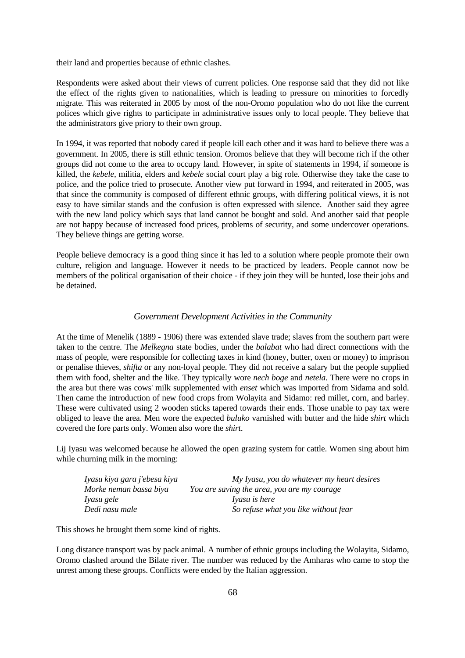their land and properties because of ethnic clashes.

Respondents were asked about their views of current policies. One response said that they did not like the effect of the rights given to nationalities, which is leading to pressure on minorities to forcedly migrate. This was reiterated in 2005 by most of the non-Oromo population who do not like the current polices which give rights to participate in administrative issues only to local people. They believe that the administrators give priory to their own group.

In 1994, it was reported that nobody cared if people kill each other and it was hard to believe there was a government. In 2005, there is still ethnic tension. Oromos believe that they will become rich if the other groups did not come to the area to occupy land. However, in spite of statements in 1994, if someone is killed, the *kebele,* militia, elders and *kebele* social court play a big role. Otherwise they take the case to police, and the police tried to prosecute. Another view put forward in 1994, and reiterated in 2005, was that since the community is composed of different ethnic groups, with differing political views, it is not easy to have similar stands and the confusion is often expressed with silence. Another said they agree with the new land policy which says that land cannot be bought and sold. And another said that people are not happy because of increased food prices, problems of security, and some undercover operations. They believe things are getting worse.

People believe democracy is a good thing since it has led to a solution where people promote their own culture, religion and language. However it needs to be practiced by leaders. People cannot now be members of the political organisation of their choice - if they join they will be hunted, lose their jobs and be detained.

## *Government Development Activities in the Community*

At the time of Menelik (1889 - 1906) there was extended slave trade; slaves from the southern part were taken to the centre. The *Melkegna* state bodies, under the *balabat* who had direct connections with the mass of people, were responsible for collecting taxes in kind (honey, butter, oxen or money) to imprison or penalise thieves, *shifta* or any non-loyal people. They did not receive a salary but the people supplied them with food, shelter and the like. They typically wore *nech boge* and *netela*. There were no crops in the area but there was cows' milk supplemented with *enset* which was imported from Sidama and sold. Then came the introduction of new food crops from Wolayita and Sidamo: red millet, corn, and barley. These were cultivated using 2 wooden sticks tapered towards their ends. Those unable to pay tax were obliged to leave the area. Men wore the expected *buluko* varnished with butter and the hide *shirt* which covered the fore parts only. Women also wore the *shirt*.

Lij Iyasu was welcomed because he allowed the open grazing system for cattle. Women sing about him while churning milk in the morning:

| Iyasu kiya gara j'ebesa kiya | My Iyasu, you do whatever my heart desires  |
|------------------------------|---------------------------------------------|
| Morke neman bassa biya       | You are saving the area, you are my courage |
| Iyasu gele                   | <i>Iyasu is here</i>                        |
| Dedi nasu male               | So refuse what you like without fear        |

This shows he brought them some kind of rights.

Long distance transport was by pack animal. A number of ethnic groups including the Wolayita, Sidamo, Oromo clashed around the Bilate river. The number was reduced by the Amharas who came to stop the unrest among these groups. Conflicts were ended by the Italian aggression.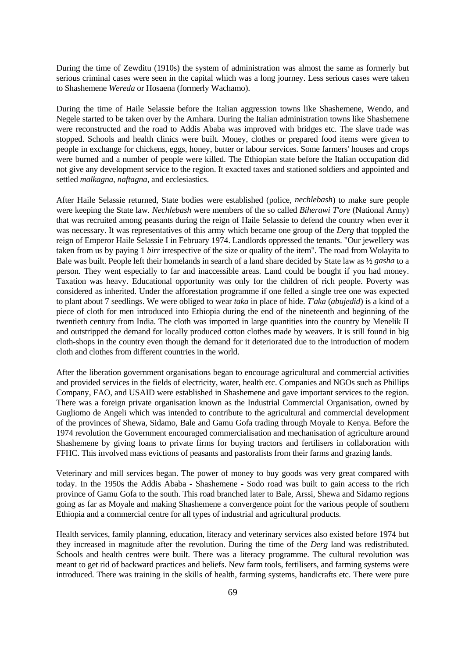During the time of Zewditu (1910s) the system of administration was almost the same as formerly but serious criminal cases were seen in the capital which was a long journey. Less serious cases were taken to Shashemene *Wereda* or Hosaena (formerly Wachamo).

During the time of Haile Selassie before the Italian aggression towns like Shashemene, Wendo, and Negele started to be taken over by the Amhara. During the Italian administration towns like Shashemene were reconstructed and the road to Addis Ababa was improved with bridges etc. The slave trade was stopped. Schools and health clinics were built. Money, clothes or prepared food items were given to people in exchange for chickens, eggs, honey, butter or labour services. Some farmers' houses and crops were burned and a number of people were killed. The Ethiopian state before the Italian occupation did not give any development service to the region. It exacted taxes and stationed soldiers and appointed and settled *malkagna*, *naftagna*, and ecclesiastics.

After Haile Selassie returned, State bodies were established (police, *nechlebash*) to make sure people were keeping the State law. *Nechlebash* were members of the so called *Biherawi T'ore* (National Army) that was recruited among peasants during the reign of Haile Selassie to defend the country when ever it was necessary. It was representatives of this army which became one group of the *Derg* that toppled the reign of Emperor Haile Selassie I in February 1974. Landlords oppressed the tenants. "Our jewellery was taken from us by paying 1 *birr* irrespective of the size or quality of the item". The road from Wolayita to Bale was built. People left their homelands in search of a land share decided by State law as ½ *gasha* to a person. They went especially to far and inaccessible areas. Land could be bought if you had money. Taxation was heavy. Educational opportunity was only for the children of rich people. Poverty was considered as inherited. Under the afforestation programme if one felled a single tree one was expected to plant about 7 seedlings. We were obliged to wear *taka* in place of hide. *T'aka* (*abujedid*) is a kind of a piece of cloth for men introduced into Ethiopia during the end of the nineteenth and beginning of the twentieth century from India. The cloth was imported in large quantities into the country by Menelik II and outstripped the demand for locally produced cotton clothes made by weavers. It is still found in big cloth-shops in the country even though the demand for it deteriorated due to the introduction of modern cloth and clothes from different countries in the world.

After the liberation government organisations began to encourage agricultural and commercial activities and provided services in the fields of electricity, water, health etc. Companies and NGOs such as Phillips Company, FAO, and USAID were established in Shashemene and gave important services to the region. There was a foreign private organisation known as the Industrial Commercial Organisation, owned by Gugliomo de Angeli which was intended to contribute to the agricultural and commercial development of the provinces of Shewa, Sidamo, Bale and Gamu Gofa trading through Moyale to Kenya. Before the 1974 revolution the Government encouraged commercialisation and mechanisation of agriculture around Shashemene by giving loans to private firms for buying tractors and fertilisers in collaboration with FFHC. This involved mass evictions of peasants and pastoralists from their farms and grazing lands.

Veterinary and mill services began. The power of money to buy goods was very great compared with today. In the 1950s the Addis Ababa - Shashemene - Sodo road was built to gain access to the rich province of Gamu Gofa to the south. This road branched later to Bale, Arssi, Shewa and Sidamo regions going as far as Moyale and making Shashemene a convergence point for the various people of southern Ethiopia and a commercial centre for all types of industrial and agricultural products.

Health services, family planning, education, literacy and veterinary services also existed before 1974 but they increased in magnitude after the revolution. During the time of the *Derg* land was redistributed. Schools and health centres were built. There was a literacy programme. The cultural revolution was meant to get rid of backward practices and beliefs. New farm tools, fertilisers, and farming systems were introduced. There was training in the skills of health, farming systems, handicrafts etc. There were pure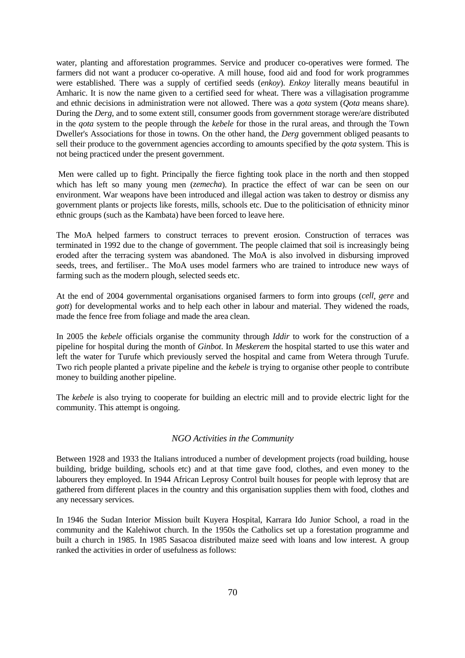water, planting and afforestation programmes. Service and producer co-operatives were formed. The farmers did not want a producer co-operative. A mill house, food aid and food for work programmes were established. There was a supply of certified seeds (*enkoy*). *Enkoy* literally means beautiful in Amharic. It is now the name given to a certified seed for wheat. There was a villagisation programme and ethnic decisions in administration were not allowed. There was a *qota* system (*Qota* means share). During the *Derg*, and to some extent still, consumer goods from government storage were/are distributed in the *qota* system to the people through the *kebele* for those in the rural areas, and through the Town Dweller's Associations for those in towns. On the other hand, the *Derg* government obliged peasants to sell their produce to the government agencies according to amounts specified by the *qota* system. This is not being practiced under the present government.

Men were called up to fight. Principally the fierce fighting took place in the north and then stopped which has left so many young men (*zemecha*). In practice the effect of war can be seen on our environment. War weapons have been introduced and illegal action was taken to destroy or dismiss any government plants or projects like forests, mills, schools etc. Due to the politicisation of ethnicity minor ethnic groups (such as the Kambata) have been forced to leave here.

The MoA helped farmers to construct terraces to prevent erosion. Construction of terraces was terminated in 1992 due to the change of government. The people claimed that soil is increasingly being eroded after the terracing system was abandoned. The MoA is also involved in disbursing improved seeds, trees, and fertiliser.. The MoA uses model farmers who are trained to introduce new ways of farming such as the modern plough, selected seeds etc.

At the end of 2004 governmental organisations organised farmers to form into groups (*cell*, *gere* and *gott*) for developmental works and to help each other in labour and material. They widened the roads, made the fence free from foliage and made the area clean.

In 2005 the *kebele* officials organise the community through *Iddir* to work for the construction of a pipeline for hospital during the month of *Ginbot*. In *Meskerem* the hospital started to use this water and left the water for Turufe which previously served the hospital and came from Wetera through Turufe. Two rich people planted a private pipeline and the *kebele* is trying to organise other people to contribute money to building another pipeline.

The *kebele* is also trying to cooperate for building an electric mill and to provide electric light for the community. This attempt is ongoing.

# *NGO Activities in the Community*

Between 1928 and 1933 the Italians introduced a number of development projects (road building, house building, bridge building, schools etc) and at that time gave food, clothes, and even money to the labourers they employed. In 1944 African Leprosy Control built houses for people with leprosy that are gathered from different places in the country and this organisation supplies them with food, clothes and any necessary services.

In 1946 the Sudan Interior Mission built Kuyera Hospital, Karrara Ido Junior School, a road in the community and the Kalehiwot church. In the 1950s the Catholics set up a forestation programme and built a church in 1985. In 1985 Sasacoa distributed maize seed with loans and low interest. A group ranked the activities in order of usefulness as follows: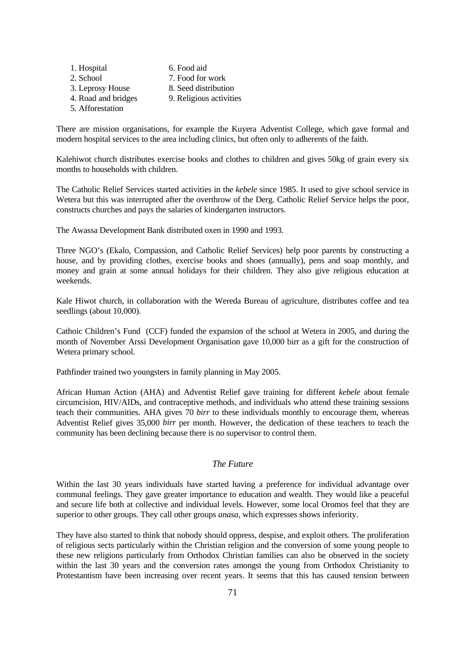1. Hospital 6. Food aid 2. School 7. Food for work 3. Leprosy House 8. Seed distribution 4. Road and bridges 9. Religious activities 5. Afforestation

There are mission organisations, for example the Kuyera Adventist College, which gave formal and modern hospital services to the area including clinics, but often only to adherents of the faith.

Kalehiwot church distributes exercise books and clothes to children and gives 50kg of grain every six months to households with children.

The Catholic Relief Services started activities in the *kebele* since 1985. It used to give school service in Wetera but this was interrupted after the overthrow of the Derg. Catholic Relief Service helps the poor, constructs churches and pays the salaries of kindergarten instructors.

The Awassa Development Bank distributed oxen in 1990 and 1993.

Three NGO's (Ekalo, Compassion, and Catholic Relief Services) help poor parents by constructing a house, and by providing clothes, exercise books and shoes (annually), pens and soap monthly, and money and grain at some annual holidays for their children. They also give religious education at weekends.

Kale Hiwot church, in collaboration with the Wereda Bureau of agriculture, distributes coffee and tea seedlings (about 10,000).

Cathoic Children's Fund (CCF) funded the expansion of the school at Wetera in 2005, and during the month of November Arssi Development Organisation gave 10,000 birr as a gift for the construction of Wetera primary school.

Pathfinder trained two youngsters in family planning in May 2005.

African Human Action (AHA) and Adventist Relief gave training for different *kebele* about female circumcision, HIV/AIDs, and contraceptive methods, and individuals who attend these training sessions teach their communities. AHA gives 70 *birr* to these individuals monthly to encourage them, whereas Adventist Relief gives 35,000 *birr* per month. However, the dedication of these teachers to teach the community has been declining because there is no supervisor to control them.

# *The Future*

Within the last 30 years individuals have started having a preference for individual advantage over communal feelings. They gave greater importance to education and wealth. They would like a peaceful and secure life both at collective and individual levels. However, some local Oromos feel that they are superior to other groups. They call other groups *anasa,* which expresses shows inferiority.

They have also started to think that nobody should oppress, despise, and exploit others. The proliferation of religious sects particularly within the Christian religion and the conversion of some young people to these new religions particularly from Orthodox Christian families can also be observed in the society within the last 30 years and the conversion rates amongst the young from Orthodox Christianity to Protestantism have been increasing over recent years. It seems that this has caused tension between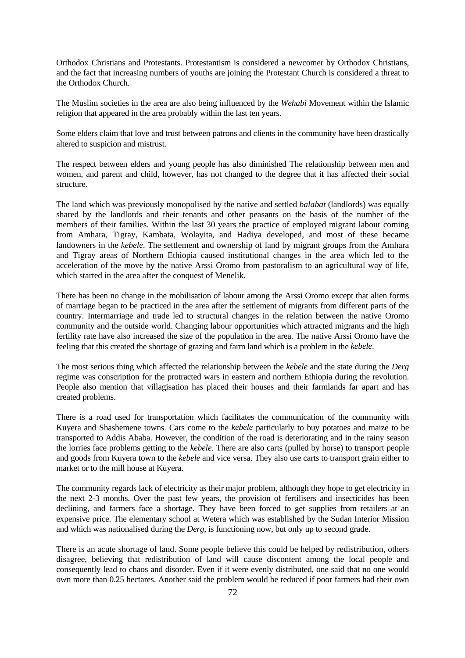Orthodox Christians and Protestants. Protestantism is considered a newcomer by Orthodox Christians, and the fact that increasing numbers of youths are joining the Protestant Church is considered a threat to the Orthodox Church.

The Muslim societies in the area are also being influenced by the *Wehabi* Movement within the Islamic religion that appeared in the area probably within the last ten years.

Some elders claim that love and trust between patrons and clients in the community have been drastically altered to suspicion and mistrust.

The respect between elders and young people has also diminished The relationship between men and women, and parent and child, however, has not changed to the degree that it has affected their social structure.

The land which was previously monopolised by the native and settled *balabat* (landlords) was equally shared by the landlords and their tenants and other peasants on the basis of the number of the members of their families. Within the last 30 years the practice of employed migrant labour coming from Amhara, Tigray, Kambata, Wolayita, and Hadiya developed, and most of these became landowners in the *kebele*. The settlement and ownership of land by migrant groups from the Amhara and Tigray areas of Northern Ethiopia caused institutional changes in the area which led to the acceleration of the move by the native Arssi Oromo from pastoralism to an agricultural way of life, which started in the area after the conquest of Menelik.

There has been no change in the mobilisation of labour among the Arssi Oromo except that alien forms of marriage began to be practiced in the area after the settlement of migrants from different parts of the country. Intermarriage and trade led to structural changes in the relation between the native Oromo community and the outside world. Changing labour opportunities which attracted migrants and the high fertility rate have also increased the size of the population in the area. The native Arssi Oromo have the feeling that this created the shortage of grazing and farm land which is a problem in the *kebele*.

The most serious thing which affected the relationship between the *kebele* and the state during the *Derg* regime was conscription for the protracted wars in eastern and northern Ethiopia during the revolution. People also mention that villagisation has placed their houses and their farmlands far apart and has created problems.

There is a road used for transportation which facilitates the communication of the community with Kuyera and Shashemene towns. Cars come to the *kebele* particularly to buy potatoes and maize to be transported to Addis Ababa. However, the condition of the road is deteriorating and in the rainy season the lorries face problems getting to the *kebele.* There are also carts (pulled by horse) to transport people and goods from Kuyera town to the *kebele* and vice versa. They also use carts to transport grain either to market or to the mill house at Kuyera.

The community regards lack of electricity as their major problem, although they hope to get electricity in the next 2-3 months. Over the past few years, the provision of fertilisers and insecticides has been declining, and farmers face a shortage. They have been forced to get supplies from retailers at an expensive price. The elementary school at Wetera which was established by the Sudan Interior Mission and which was nationalised during the *Derg*, is functioning now, but only up to second grade.

There is an acute shortage of land. Some people believe this could be helped by redistribution, others disagree, believing that redistribution of land will cause discontent among the local people and consequently lead to chaos and disorder. Even if it were evenly distributed, one said that no one would own more than 0.25 hectares. Another said the problem would be reduced if poor farmers had their own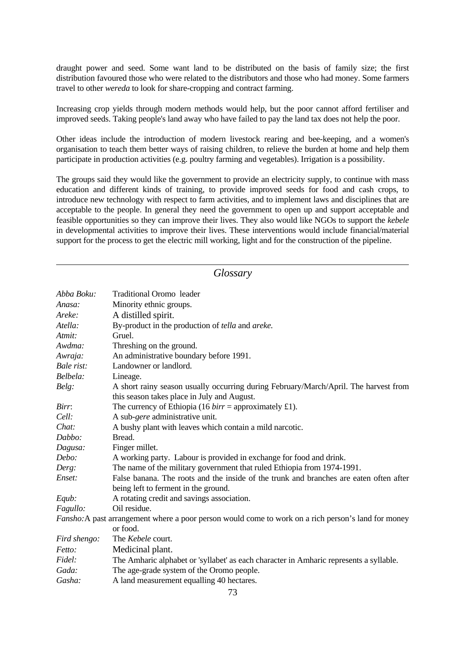draught power and seed. Some want land to be distributed on the basis of family size; the first distribution favoured those who were related to the distributors and those who had money. Some farmers travel to other *wereda* to look for share-cropping and contract farming.

Increasing crop yields through modern methods would help, but the poor cannot afford fertiliser and improved seeds. Taking people's land away who have failed to pay the land tax does not help the poor.

Other ideas include the introduction of modern livestock rearing and bee-keeping, and a women's organisation to teach them better ways of raising children, to relieve the burden at home and help them participate in production activities (e.g. poultry farming and vegetables). Irrigation is a possibility.

The groups said they would like the government to provide an electricity supply, to continue with mass education and different kinds of training, to provide improved seeds for food and cash crops, to introduce new technology with respect to farm activities, and to implement laws and disciplines that are acceptable to the people. In general they need the government to open up and support acceptable and feasible opportunities so they can improve their lives. They also would like NGOs to support the *kebele* in developmental activities to improve their lives. These interventions would include financial/material support for the process to get the electric mill working, light and for the construction of the pipeline.

| Glossary     |                                                                                                                                     |  |  |  |  |  |  |  |  |
|--------------|-------------------------------------------------------------------------------------------------------------------------------------|--|--|--|--|--|--|--|--|
| Abba Boku:   | <b>Traditional Oromo</b> leader                                                                                                     |  |  |  |  |  |  |  |  |
| Anasa:       | Minority ethnic groups.                                                                                                             |  |  |  |  |  |  |  |  |
| Areke:       | A distilled spirit.                                                                                                                 |  |  |  |  |  |  |  |  |
| Atella:      | By-product in the production of tella and areke.                                                                                    |  |  |  |  |  |  |  |  |
| Atmit:       | Gruel.                                                                                                                              |  |  |  |  |  |  |  |  |
| Awdma:       | Threshing on the ground.                                                                                                            |  |  |  |  |  |  |  |  |
| Awraja:      | An administrative boundary before 1991.                                                                                             |  |  |  |  |  |  |  |  |
| Bale rist:   | Landowner or landlord.                                                                                                              |  |  |  |  |  |  |  |  |
| Belbela:     | Lineage.                                                                                                                            |  |  |  |  |  |  |  |  |
| Belg:        | A short rainy season usually occurring during February/March/April. The harvest from<br>this season takes place in July and August. |  |  |  |  |  |  |  |  |
| Birr:        | The currency of Ethiopia (16 $birr =$ approximately £1).                                                                            |  |  |  |  |  |  |  |  |
| Cell:        | A sub-gere administrative unit.                                                                                                     |  |  |  |  |  |  |  |  |
| Chat:        | A bushy plant with leaves which contain a mild narcotic.                                                                            |  |  |  |  |  |  |  |  |
| Dabbo:       | Bread.                                                                                                                              |  |  |  |  |  |  |  |  |
| Dagusa:      | Finger millet.                                                                                                                      |  |  |  |  |  |  |  |  |
| Debo:        | A working party. Labour is provided in exchange for food and drink.                                                                 |  |  |  |  |  |  |  |  |
| Derg:        | The name of the military government that ruled Ethiopia from 1974-1991.                                                             |  |  |  |  |  |  |  |  |
| Enset:       | False banana. The roots and the inside of the trunk and branches are eaten often after                                              |  |  |  |  |  |  |  |  |
|              | being left to ferment in the ground.                                                                                                |  |  |  |  |  |  |  |  |
| Equb:        | A rotating credit and savings association.                                                                                          |  |  |  |  |  |  |  |  |
| Fagullo:     | Oil residue.                                                                                                                        |  |  |  |  |  |  |  |  |
|              | Fansho: A past arrangement where a poor person would come to work on a rich person's land for money                                 |  |  |  |  |  |  |  |  |
|              | or food.                                                                                                                            |  |  |  |  |  |  |  |  |
| Fird shengo: | The Kebele court.                                                                                                                   |  |  |  |  |  |  |  |  |
| Fetto:       | Medicinal plant.                                                                                                                    |  |  |  |  |  |  |  |  |
| Fidel:       | The Amharic alphabet or 'syllabet' as each character in Amharic represents a syllable.                                              |  |  |  |  |  |  |  |  |
| Gada:        | The age-grade system of the Oromo people.                                                                                           |  |  |  |  |  |  |  |  |
| Gasha:       | A land measurement equalling 40 hectares.                                                                                           |  |  |  |  |  |  |  |  |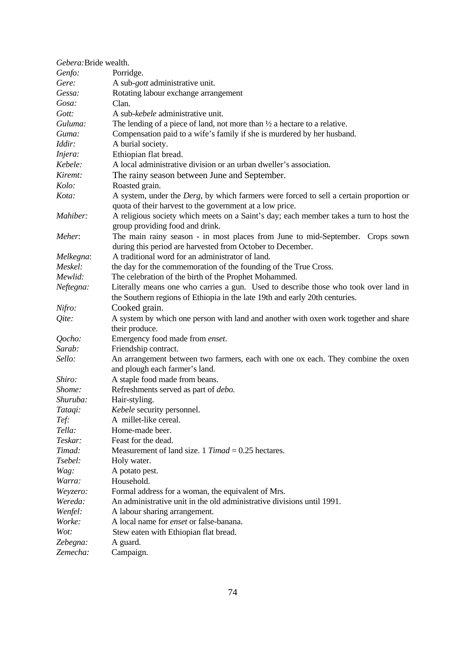| Gebera: Bride wealth. |                                                                                                                                                    |
|-----------------------|----------------------------------------------------------------------------------------------------------------------------------------------------|
| Genfo:                | Porridge.                                                                                                                                          |
| Gere:                 | A sub- <i>gott</i> administrative unit.                                                                                                            |
| Gessa:                | Rotating labour exchange arrangement                                                                                                               |
| Gosa:                 | Clan.                                                                                                                                              |
| Gott:                 | A sub-kebele administrative unit.                                                                                                                  |
| Guluma:               | The lending of a piece of land, not more than $\frac{1}{2}$ a hectare to a relative.                                                               |
| Guma:                 | Compensation paid to a wife's family if she is murdered by her husband.                                                                            |
| Iddir:                | A burial society.                                                                                                                                  |
| Injera:               | Ethiopian flat bread.                                                                                                                              |
| Kebele:               | A local administrative division or an urban dweller's association.                                                                                 |
| Kiremt:               | The rainy season between June and September.                                                                                                       |
| Kolo:                 | Roasted grain.                                                                                                                                     |
| Kota:                 | A system, under the Derg, by which farmers were forced to sell a certain proportion or<br>quota of their harvest to the government at a low price. |
| Mahiber:              | A religious society which meets on a Saint's day; each member takes a turn to host the                                                             |
|                       | group providing food and drink.                                                                                                                    |
| Meher:                | The main rainy season - in most places from June to mid-September. Crops sown                                                                      |
|                       | during this period are harvested from October to December.                                                                                         |
| Melkegna:             | A traditional word for an administrator of land.                                                                                                   |
| Meskel:               | the day for the commemoration of the founding of the True Cross.                                                                                   |
| Mewlid:               | The celebration of the birth of the Prophet Mohammed.                                                                                              |
| Neftegna:             | Literally means one who carries a gun. Used to describe those who took over land in                                                                |
|                       | the Southern regions of Ethiopia in the late 19th and early 20th centuries.                                                                        |
| Nifro:                | Cooked grain.                                                                                                                                      |
| Qite:                 | A system by which one person with land and another with oxen work together and share                                                               |
|                       | their produce.                                                                                                                                     |
| Qocho:                | Emergency food made from enset.                                                                                                                    |
| Sarab:                | Friendship contract.                                                                                                                               |
| Sello:                | An arrangement between two farmers, each with one ox each. They combine the oxen                                                                   |
|                       | and plough each farmer's land.                                                                                                                     |
| Shiro:                | A staple food made from beans.                                                                                                                     |
| Shome:                | Refreshments served as part of <i>debo</i> .                                                                                                       |
| Shuruba:              | Hair-styling.                                                                                                                                      |
| Tataqi:               | Kebele security personnel.                                                                                                                         |
| Tef:                  | A millet-like cereal.                                                                                                                              |
| Tella:                | Home-made beer.                                                                                                                                    |
| Teskar:               | Feast for the dead.                                                                                                                                |
| Timad:                | Measurement of land size. 1 Timad = $0.25$ hectares.                                                                                               |
| Tsebel:               | Holy water.                                                                                                                                        |
| Wag:                  | A potato pest.                                                                                                                                     |
| Warra:                | Household.                                                                                                                                         |
| Weyzero:              | Formal address for a woman, the equivalent of Mrs.                                                                                                 |
| Wereda:               | An administrative unit in the old administrative divisions until 1991.                                                                             |
| Wenfel:               | A labour sharing arrangement.                                                                                                                      |
| Worke:                | A local name for <i>enset</i> or false-banana.                                                                                                     |
| Wot:                  | Stew eaten with Ethiopian flat bread.                                                                                                              |
| Zebegna:              | A guard.                                                                                                                                           |
| Zemecha:              | Campaign.                                                                                                                                          |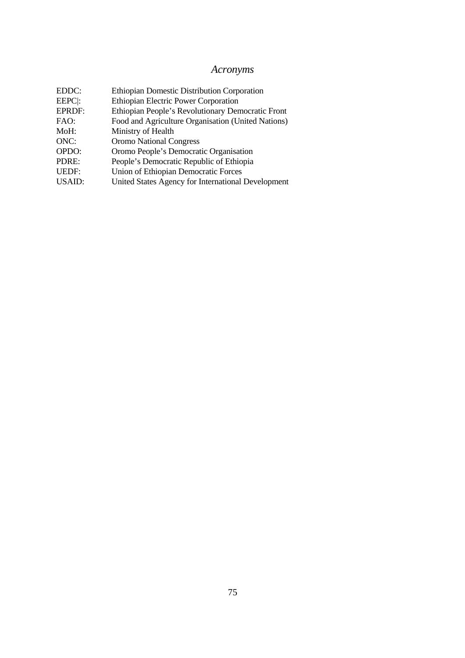## *Acronyms*

| EDDC:         | Ethiopian Domestic Distribution Corporation        |
|---------------|----------------------------------------------------|
| EEPC:         | <b>Ethiopian Electric Power Corporation</b>        |
| <b>EPRDF:</b> | Ethiopian People's Revolutionary Democratic Front  |
| FAO:          | Food and Agriculture Organisation (United Nations) |
| MoH:          | Ministry of Health                                 |
| ONC:          | <b>Oromo National Congress</b>                     |
| OPDO:         | Oromo People's Democratic Organisation             |
| PDRE:         | People's Democratic Republic of Ethiopia           |
| <b>UEDF:</b>  | <b>Union of Ethiopian Democratic Forces</b>        |
| <b>USAID:</b> | United States Agency for International Development |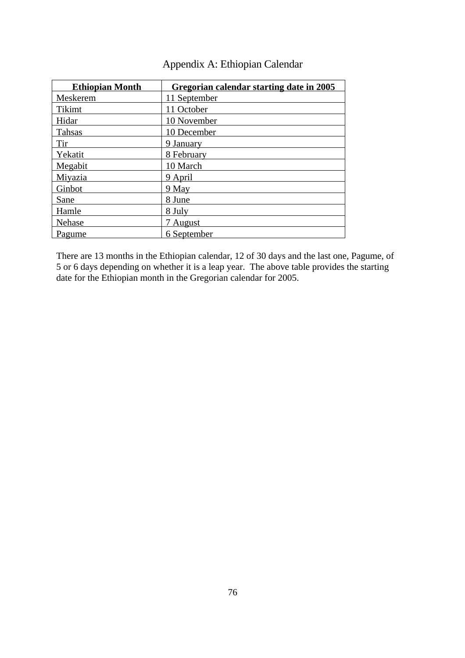| <b>Ethiopian Month</b> | Gregorian calendar starting date in 2005 |
|------------------------|------------------------------------------|
| Meskerem               | 11 September                             |
| <b>Tikimt</b>          | 11 October                               |
| Hidar                  | 10 November                              |
| <b>Tahsas</b>          | 10 December                              |
| Tir                    | 9 January                                |
| Yekatit                | 8 February                               |
| Megabit                | 10 March                                 |
| Miyazia                | 9 April                                  |
| Ginbot                 | 9 May                                    |
| Sane                   | 8 June                                   |
| Hamle                  | 8 July                                   |
| Nehase                 | 7 August                                 |
| Pagume                 | 6 September                              |

## Appendix A: Ethiopian Calendar

There are 13 months in the Ethiopian calendar, 12 of 30 days and the last one, Pagume, of 5 or 6 days depending on whether it is a leap year. The above table provides the starting date for the Ethiopian month in the Gregorian calendar for 2005.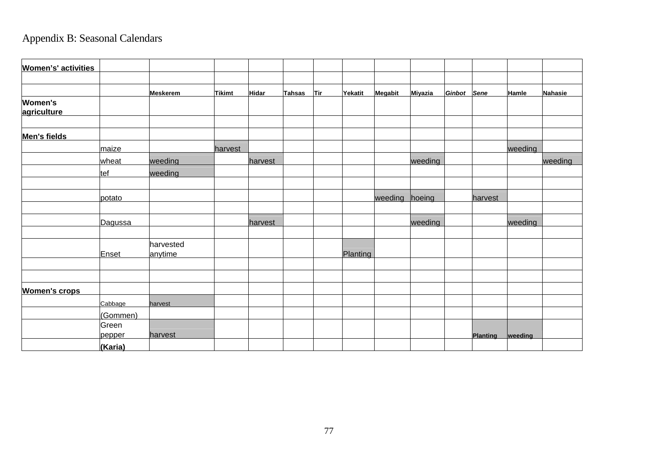## Appendix B: Seasonal Calendars

| <b>Women's' activities</b>    |                 |                      |               |              |               |            |          |         |                |             |                 |         |         |
|-------------------------------|-----------------|----------------------|---------------|--------------|---------------|------------|----------|---------|----------------|-------------|-----------------|---------|---------|
|                               |                 |                      |               |              |               |            |          |         |                |             |                 |         |         |
|                               |                 | <b>Meskerem</b>      | <b>Tikimt</b> | <b>Hidar</b> | <b>Tahsas</b> | <u>Tir</u> | Yekatit  | Megabit | <b>Miyazia</b> | Ginbot Sene |                 | Hamle   | Nahasie |
| <b>Women's</b><br>agriculture |                 |                      |               |              |               |            |          |         |                |             |                 |         |         |
|                               |                 |                      |               |              |               |            |          |         |                |             |                 |         |         |
| <b>Men's fields</b>           |                 |                      |               |              |               |            |          |         |                |             |                 |         |         |
|                               | maize           |                      | harvest       |              |               |            |          |         |                |             |                 | weeding |         |
|                               | wheat           | weeding              |               | harvest      |               |            |          |         | weeding        |             |                 |         | weeding |
|                               | tef             | weeding              |               |              |               |            |          |         |                |             |                 |         |         |
|                               |                 |                      |               |              |               |            |          |         |                |             |                 |         |         |
|                               | potato          |                      |               |              |               |            |          | weeding | hoeing         |             | harvest         |         |         |
|                               | Dagussa         |                      |               | harvest      |               |            |          |         | weeding        |             |                 | weeding |         |
|                               |                 |                      |               |              |               |            |          |         |                |             |                 |         |         |
|                               | Enset           | harvested<br>anytime |               |              |               |            | Planting |         |                |             |                 |         |         |
|                               |                 |                      |               |              |               |            |          |         |                |             |                 |         |         |
| <b>Women's crops</b>          |                 |                      |               |              |               |            |          |         |                |             |                 |         |         |
|                               | Cabbage         | harvest              |               |              |               |            |          |         |                |             |                 |         |         |
|                               | (Gommen)        |                      |               |              |               |            |          |         |                |             |                 |         |         |
|                               | Green<br>pepper | harvest              |               |              |               |            |          |         |                |             | <b>Planting</b> | weeding |         |
|                               | (Karia)         |                      |               |              |               |            |          |         |                |             |                 |         |         |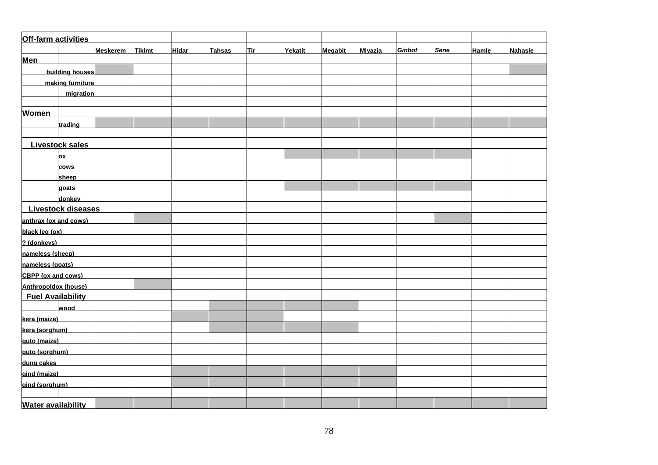| Off-farm activities       |                          |                 |               |              |               |            |                |                |                |        |             |              |                |
|---------------------------|--------------------------|-----------------|---------------|--------------|---------------|------------|----------------|----------------|----------------|--------|-------------|--------------|----------------|
|                           |                          | <b>Meskerem</b> | <b>Tikimt</b> | <b>Hidar</b> | <b>Tahsas</b> | <b>Tir</b> | <b>Yekatit</b> | <b>Megabit</b> | <b>Miyazia</b> | Ginbot | <b>Sene</b> | <b>Hamle</b> | <b>Nahasie</b> |
| <b>Men</b>                |                          |                 |               |              |               |            |                |                |                |        |             |              |                |
|                           | building houses          |                 |               |              |               |            |                |                |                |        |             |              |                |
|                           | making furniture         |                 |               |              |               |            |                |                |                |        |             |              |                |
|                           | migration                |                 |               |              |               |            |                |                |                |        |             |              |                |
|                           |                          |                 |               |              |               |            |                |                |                |        |             |              |                |
| <b>Women</b>              |                          |                 |               |              |               |            |                |                |                |        |             |              |                |
|                           | trading                  |                 |               |              |               |            |                |                |                |        |             |              |                |
|                           |                          |                 |               |              |               |            |                |                |                |        |             |              |                |
|                           | <b>Livestock sales</b>   |                 |               |              |               |            |                |                |                |        |             |              |                |
|                           | ОX                       |                 |               |              |               |            |                |                |                |        |             |              |                |
|                           | cows                     |                 |               |              |               |            |                |                |                |        |             |              |                |
|                           | sheep                    |                 |               |              |               |            |                |                |                |        |             |              |                |
|                           | goats                    |                 |               |              |               |            |                |                |                |        |             |              |                |
|                           | donkey                   |                 |               |              |               |            |                |                |                |        |             |              |                |
|                           | Livestock diseases       |                 |               |              |               |            |                |                |                |        |             |              |                |
| anthrax (ox and cows)     |                          |                 |               |              |               |            |                |                |                |        |             |              |                |
| black leg (ox)            |                          |                 |               |              |               |            |                |                |                |        |             |              |                |
| ? (donkeys)               |                          |                 |               |              |               |            |                |                |                |        |             |              |                |
| nameless (sheep)          |                          |                 |               |              |               |            |                |                |                |        |             |              |                |
| nameless (goats)          |                          |                 |               |              |               |            |                |                |                |        |             |              |                |
| <b>CBPP</b> (ox and cows) |                          |                 |               |              |               |            |                |                |                |        |             |              |                |
| Anthropoldox (house)      |                          |                 |               |              |               |            |                |                |                |        |             |              |                |
|                           | <b>Fuel Availability</b> |                 |               |              |               |            |                |                |                |        |             |              |                |
|                           | wood                     |                 |               |              |               |            |                |                |                |        |             |              |                |
| kera (maize)              |                          |                 |               |              |               |            |                |                |                |        |             |              |                |
| kera (sorghum)            |                          |                 |               |              |               |            |                |                |                |        |             |              |                |
| guto (maize)              |                          |                 |               |              |               |            |                |                |                |        |             |              |                |
| guto (sorghum)            |                          |                 |               |              |               |            |                |                |                |        |             |              |                |
| dung cakes                |                          |                 |               |              |               |            |                |                |                |        |             |              |                |
| gind (maize)              |                          |                 |               |              |               |            |                |                |                |        |             |              |                |
| gind (sorghum)            |                          |                 |               |              |               |            |                |                |                |        |             |              |                |
|                           |                          |                 |               |              |               |            |                |                |                |        |             |              |                |
| <b>Water availability</b> |                          |                 |               |              |               |            |                |                |                |        |             |              |                |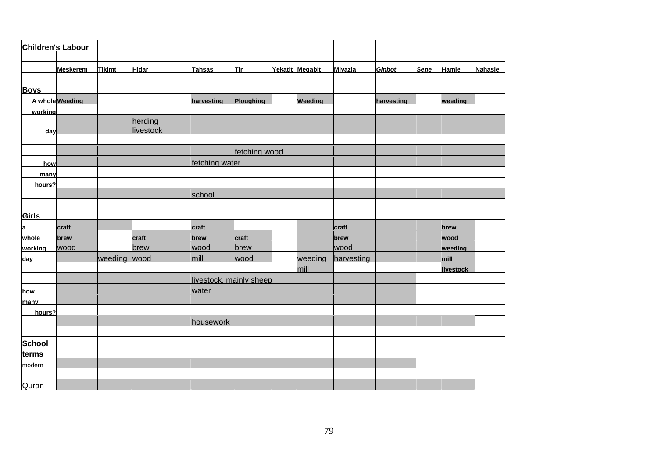| Children's Labour |                 |               |                      |                         |               |                 |                |               |             |              |                |
|-------------------|-----------------|---------------|----------------------|-------------------------|---------------|-----------------|----------------|---------------|-------------|--------------|----------------|
|                   |                 |               |                      |                         |               |                 |                |               |             |              |                |
|                   | <b>Meskerem</b> | <b>Tikimt</b> | <b>Hidar</b>         | <b>Tahsas</b>           | <b>Tir</b>    | Yekatit Megabit | <b>Miyazia</b> | <b>Ginbot</b> | <b>Sene</b> | <b>Hamle</b> | <b>Nahasie</b> |
|                   |                 |               |                      |                         |               |                 |                |               |             |              |                |
| <b>Boys</b>       |                 |               |                      |                         |               |                 |                |               |             |              |                |
|                   | A whole Weeding |               |                      | harvesting              | Ploughing     | Weeding         |                | harvesting    |             | weeding      |                |
| working           |                 |               |                      |                         |               |                 |                |               |             |              |                |
| day               |                 |               | herding<br>livestock |                         |               |                 |                |               |             |              |                |
|                   |                 |               |                      |                         |               |                 |                |               |             |              |                |
|                   |                 |               |                      |                         | fetching wood |                 |                |               |             |              |                |
| how               |                 |               |                      | fetching water          |               |                 |                |               |             |              |                |
| many              |                 |               |                      |                         |               |                 |                |               |             |              |                |
| hours?            |                 |               |                      |                         |               |                 |                |               |             |              |                |
|                   |                 |               |                      | school                  |               |                 |                |               |             |              |                |
|                   |                 |               |                      |                         |               |                 |                |               |             |              |                |
| Girls             |                 |               |                      |                         |               |                 |                |               |             |              |                |
| a                 | craft           |               |                      | craft                   |               |                 | craft          |               |             | brew         |                |
| whole             | brew            |               | craft                | brew                    | craft         |                 | brew           |               |             | wood         |                |
| working           | wood            |               | brew                 | wood                    | brew          |                 | wood           |               |             | weeding      |                |
| day               |                 | weeding wood  |                      | mill                    | wood          | weeding         | harvesting     |               |             | mill         |                |
|                   |                 |               |                      |                         |               | mill            |                |               |             | livestock    |                |
|                   |                 |               |                      | livestock, mainly sheep |               |                 |                |               |             |              |                |
| how               |                 |               |                      | water                   |               |                 |                |               |             |              |                |
| many              |                 |               |                      |                         |               |                 |                |               |             |              |                |
| hours?            |                 |               |                      |                         |               |                 |                |               |             |              |                |
|                   |                 |               |                      | housework               |               |                 |                |               |             |              |                |
|                   |                 |               |                      |                         |               |                 |                |               |             |              |                |
| <b>School</b>     |                 |               |                      |                         |               |                 |                |               |             |              |                |
| terms             |                 |               |                      |                         |               |                 |                |               |             |              |                |
| modern            |                 |               |                      |                         |               |                 |                |               |             |              |                |
|                   |                 |               |                      |                         |               |                 |                |               |             |              |                |
| Quran             |                 |               |                      |                         |               |                 |                |               |             |              |                |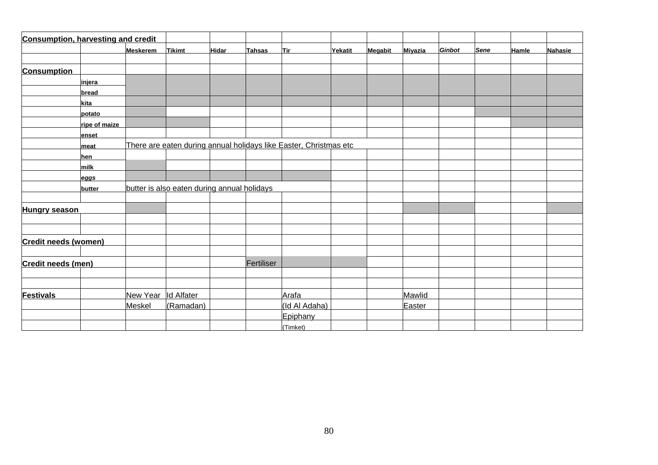| <b>Consumption, harvesting and credit</b> |               |                     |                                             |              |               |                                                                   |         |         |                |               |             |       |                |
|-------------------------------------------|---------------|---------------------|---------------------------------------------|--------------|---------------|-------------------------------------------------------------------|---------|---------|----------------|---------------|-------------|-------|----------------|
|                                           |               | <b>Meskerem</b>     | <b>Tikimt</b>                               | <b>Hidar</b> | <b>Tahsas</b> | Tir                                                               | Yekatit | Megabit | <b>Miyazia</b> | <b>Ginbot</b> | <b>Sene</b> | Hamle | <b>Nahasie</b> |
| <b>Consumption</b>                        |               |                     |                                             |              |               |                                                                   |         |         |                |               |             |       |                |
|                                           | injera        |                     |                                             |              |               |                                                                   |         |         |                |               |             |       |                |
|                                           | bread         |                     |                                             |              |               |                                                                   |         |         |                |               |             |       |                |
|                                           | kita          |                     |                                             |              |               |                                                                   |         |         |                |               |             |       |                |
|                                           | potato        |                     |                                             |              |               |                                                                   |         |         |                |               |             |       |                |
|                                           | ripe of maize |                     |                                             |              |               |                                                                   |         |         |                |               |             |       |                |
|                                           | enset         |                     |                                             |              |               |                                                                   |         |         |                |               |             |       |                |
|                                           | meat          |                     |                                             |              |               | There are eaten during annual holidays like Easter, Christmas etc |         |         |                |               |             |       |                |
|                                           | hen           |                     |                                             |              |               |                                                                   |         |         |                |               |             |       |                |
|                                           | milk          |                     |                                             |              |               |                                                                   |         |         |                |               |             |       |                |
|                                           | eggs          |                     |                                             |              |               |                                                                   |         |         |                |               |             |       |                |
|                                           | butter        |                     | butter is also eaten during annual holidays |              |               |                                                                   |         |         |                |               |             |       |                |
|                                           |               |                     |                                             |              |               |                                                                   |         |         |                |               |             |       |                |
| <b>Hungry season</b>                      |               |                     |                                             |              |               |                                                                   |         |         |                |               |             |       |                |
|                                           |               |                     |                                             |              |               |                                                                   |         |         |                |               |             |       |                |
|                                           |               |                     |                                             |              |               |                                                                   |         |         |                |               |             |       |                |
| <b>Credit needs (women)</b>               |               |                     |                                             |              |               |                                                                   |         |         |                |               |             |       |                |
| <b>Credit needs (men)</b>                 |               |                     |                                             |              | Fertiliser    |                                                                   |         |         |                |               |             |       |                |
|                                           |               |                     |                                             |              |               |                                                                   |         |         |                |               |             |       |                |
|                                           |               |                     |                                             |              |               |                                                                   |         |         |                |               |             |       |                |
| <b>Festivals</b>                          |               | New Year Id Alfater |                                             |              |               | Arafa                                                             |         |         | Mawlid         |               |             |       |                |
|                                           |               | Meskel              | (Ramadan)                                   |              |               | (Id Al Adaha)                                                     |         |         | Easter         |               |             |       |                |
|                                           |               |                     |                                             |              |               | Epiphany                                                          |         |         |                |               |             |       |                |
|                                           |               |                     |                                             |              |               | (Timket)                                                          |         |         |                |               |             |       |                |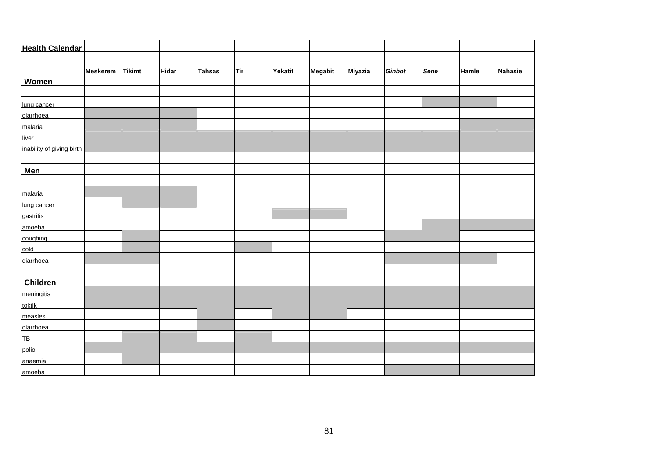| <b>Health Calendar</b>    |                 |               |              |               |            |         |                |                |        |             |       |         |
|---------------------------|-----------------|---------------|--------------|---------------|------------|---------|----------------|----------------|--------|-------------|-------|---------|
|                           |                 |               |              |               |            |         |                |                |        |             |       |         |
|                           | <b>Meskerem</b> | <b>Tikimt</b> | <b>Hidar</b> | <b>Tahsas</b> | <b>Tir</b> | Yekatit | <b>Megabit</b> | <b>Miyazia</b> | Ginbot | <b>Sene</b> | Hamle | Nahasie |
| Women                     |                 |               |              |               |            |         |                |                |        |             |       |         |
|                           |                 |               |              |               |            |         |                |                |        |             |       |         |
| lung cancer               |                 |               |              |               |            |         |                |                |        |             |       |         |
| diarrhoea                 |                 |               |              |               |            |         |                |                |        |             |       |         |
| malaria                   |                 |               |              |               |            |         |                |                |        |             |       |         |
| liver                     |                 |               |              |               |            |         |                |                |        |             |       |         |
| inability of giving birth |                 |               |              |               |            |         |                |                |        |             |       |         |
|                           |                 |               |              |               |            |         |                |                |        |             |       |         |
| <b>Men</b>                |                 |               |              |               |            |         |                |                |        |             |       |         |
|                           |                 |               |              |               |            |         |                |                |        |             |       |         |
| malaria                   |                 |               |              |               |            |         |                |                |        |             |       |         |
| lung cancer               |                 |               |              |               |            |         |                |                |        |             |       |         |
| gastritis                 |                 |               |              |               |            |         |                |                |        |             |       |         |
| amoeba                    |                 |               |              |               |            |         |                |                |        |             |       |         |
| coughing                  |                 |               |              |               |            |         |                |                |        |             |       |         |
| cold                      |                 |               |              |               |            |         |                |                |        |             |       |         |
| diarrhoea                 |                 |               |              |               |            |         |                |                |        |             |       |         |
|                           |                 |               |              |               |            |         |                |                |        |             |       |         |
| Children                  |                 |               |              |               |            |         |                |                |        |             |       |         |
| meningitis                |                 |               |              |               |            |         |                |                |        |             |       |         |
| toktik                    |                 |               |              |               |            |         |                |                |        |             |       |         |
| measles                   |                 |               |              |               |            |         |                |                |        |             |       |         |
| diarrhoea                 |                 |               |              |               |            |         |                |                |        |             |       |         |
| TB_                       |                 |               |              |               |            |         |                |                |        |             |       |         |
| polio                     |                 |               |              |               |            |         |                |                |        |             |       |         |
| anaemia                   |                 |               |              |               |            |         |                |                |        |             |       |         |
| amoeba                    |                 |               |              |               |            |         |                |                |        |             |       |         |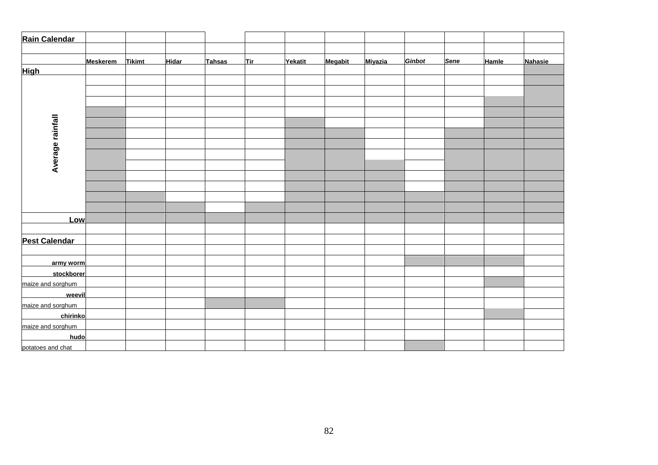| Rain Calendar        |                 |               |              |               |            |         |         |                |        |             |              |         |
|----------------------|-----------------|---------------|--------------|---------------|------------|---------|---------|----------------|--------|-------------|--------------|---------|
|                      |                 |               |              |               |            |         |         |                |        |             |              |         |
|                      | <b>Meskerem</b> | <b>Tikimt</b> | <b>Hidar</b> | <b>Tahsas</b> | <b>Tir</b> | Yekatit | Megabit | <b>Miyazia</b> | Ginbot | <b>Sene</b> | <b>Hamle</b> | Nahasie |
| <b>High</b>          |                 |               |              |               |            |         |         |                |        |             |              |         |
|                      |                 |               |              |               |            |         |         |                |        |             |              |         |
|                      |                 |               |              |               |            |         |         |                |        |             |              |         |
|                      |                 |               |              |               |            |         |         |                |        |             |              |         |
|                      |                 |               |              |               |            |         |         |                |        |             |              |         |
|                      |                 |               |              |               |            |         |         |                |        |             |              |         |
|                      |                 |               |              |               |            |         |         |                |        |             |              |         |
|                      |                 |               |              |               |            |         |         |                |        |             |              |         |
| Average rainfall     |                 |               |              |               |            |         |         |                |        |             |              |         |
|                      |                 |               |              |               |            |         |         |                |        |             |              |         |
|                      |                 |               |              |               |            |         |         |                |        |             |              |         |
|                      |                 |               |              |               |            |         |         |                |        |             |              |         |
|                      |                 |               |              |               |            |         |         |                |        |             |              |         |
|                      |                 |               |              |               |            |         |         |                |        |             |              |         |
| Low                  |                 |               |              |               |            |         |         |                |        |             |              |         |
|                      |                 |               |              |               |            |         |         |                |        |             |              |         |
| <b>Pest Calendar</b> |                 |               |              |               |            |         |         |                |        |             |              |         |
|                      |                 |               |              |               |            |         |         |                |        |             |              |         |
| army worm            |                 |               |              |               |            |         |         |                |        |             |              |         |
| stockborer           |                 |               |              |               |            |         |         |                |        |             |              |         |
| maize and sorghum    |                 |               |              |               |            |         |         |                |        |             |              |         |
| weevil               |                 |               |              |               |            |         |         |                |        |             |              |         |
| maize and sorghum    |                 |               |              |               |            |         |         |                |        |             |              |         |
| chirinko             |                 |               |              |               |            |         |         |                |        |             |              |         |
| maize and sorghum    |                 |               |              |               |            |         |         |                |        |             |              |         |
| hudo                 |                 |               |              |               |            |         |         |                |        |             |              |         |
| potatoes and chat    |                 |               |              |               |            |         |         |                |        |             |              |         |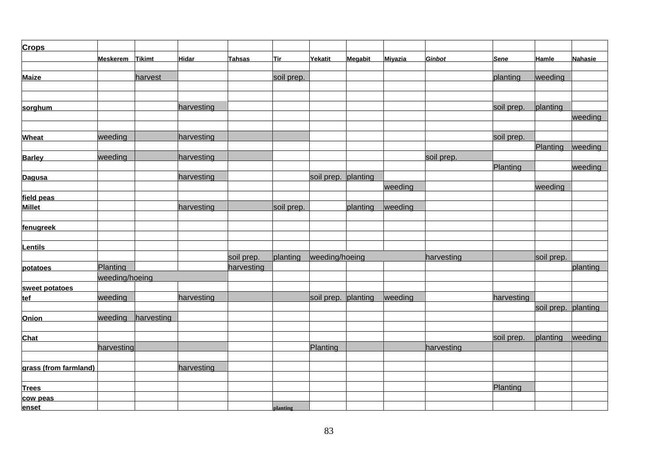| <b>Crops</b>          |                 |            |            |            |            |                     |          |         |               |             |                     |                |
|-----------------------|-----------------|------------|------------|------------|------------|---------------------|----------|---------|---------------|-------------|---------------------|----------------|
|                       | Meskerem Tikimt |            | Hidar      | Tahsas     | <u>Tir</u> | Yekatit             | Megabit  | Miyazia | <b>Ginbot</b> | <b>Sene</b> | <b>Hamle</b>        | <b>Nahasie</b> |
|                       |                 |            |            |            |            |                     |          |         |               |             |                     |                |
| <b>Maize</b>          |                 | harvest    |            |            | soil prep. |                     |          |         |               | planting    | weeding             |                |
|                       |                 |            |            |            |            |                     |          |         |               |             |                     |                |
|                       |                 |            |            |            |            |                     |          |         |               |             |                     |                |
| sorghum               |                 |            | harvesting |            |            |                     |          |         |               | soil prep.  | planting            |                |
|                       |                 |            |            |            |            |                     |          |         |               |             |                     | weeding        |
| <b>Wheat</b>          | weeding         |            | harvesting |            |            |                     |          |         |               | soil prep.  |                     |                |
|                       |                 |            |            |            |            |                     |          |         |               |             | Planting            | weeding        |
| <b>Barley</b>         | weeding         |            | harvesting |            |            |                     |          |         | soil prep.    |             |                     |                |
|                       |                 |            |            |            |            |                     |          |         |               | Planting    |                     | weeding        |
| Dagusa                |                 |            | harvesting |            |            | soil prep. planting |          |         |               |             |                     |                |
|                       |                 |            |            |            |            |                     |          | weeding |               |             | weeding             |                |
| field peas            |                 |            |            |            |            |                     |          |         |               |             |                     |                |
| <b>Millet</b>         |                 |            | harvesting |            | soil prep. |                     | planting | weeding |               |             |                     |                |
|                       |                 |            |            |            |            |                     |          |         |               |             |                     |                |
| fenugreek             |                 |            |            |            |            |                     |          |         |               |             |                     |                |
|                       |                 |            |            |            |            |                     |          |         |               |             |                     |                |
| <b>Lentils</b>        |                 |            |            |            |            |                     |          |         |               |             |                     |                |
|                       |                 |            |            | soil prep. | planting   | weeding/hoeing      |          |         | harvesting    |             | soil prep.          |                |
| potatoes              | Planting        |            |            | harvesting |            |                     |          |         |               |             |                     | planting       |
|                       | weeding/hoeing  |            |            |            |            |                     |          |         |               |             |                     |                |
| sweet potatoes        |                 |            |            |            |            |                     |          |         |               |             |                     |                |
| tef                   | weeding         |            | harvesting |            |            | soil prep. planting |          | weeding |               | harvesting  |                     |                |
|                       |                 |            |            |            |            |                     |          |         |               |             | soil prep. planting |                |
| <b>Onion</b>          | weeding         | harvesting |            |            |            |                     |          |         |               |             |                     |                |
|                       |                 |            |            |            |            |                     |          |         |               |             |                     |                |
| <b>Chat</b>           |                 |            |            |            |            |                     |          |         |               | soil prep.  | planting            | weeding        |
|                       | harvesting      |            |            |            |            | Planting            |          |         | harvesting    |             |                     |                |
|                       |                 |            |            |            |            |                     |          |         |               |             |                     |                |
| grass (from farmland) |                 |            | harvesting |            |            |                     |          |         |               |             |                     |                |
|                       |                 |            |            |            |            |                     |          |         |               | Planting    |                     |                |
| <b>Trees</b>          |                 |            |            |            |            |                     |          |         |               |             |                     |                |
| cow peas<br>enset     |                 |            |            |            | planting   |                     |          |         |               |             |                     |                |
|                       |                 |            |            |            |            |                     |          |         |               |             |                     |                |